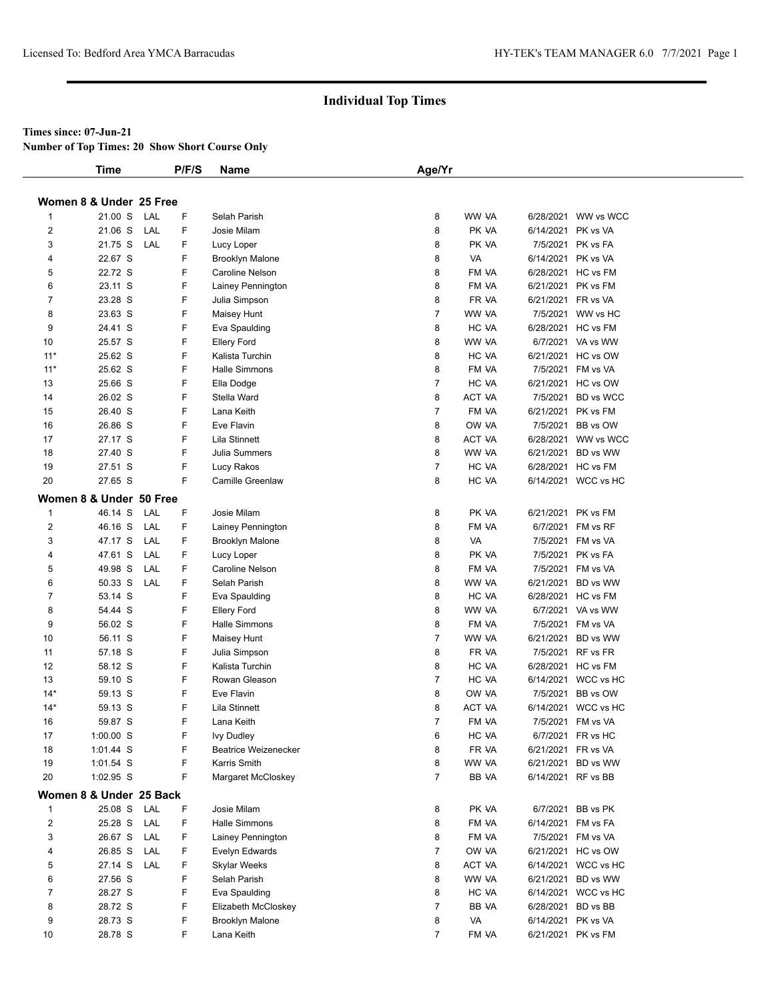#### **Times since: 07-Jun-21**

**Number of Top Times: 20 Show Short Course Only**

|                         | <b>Time</b>                        |     | P/F/S | Name                        | Age/Yr         |                |                    |                                          |
|-------------------------|------------------------------------|-----|-------|-----------------------------|----------------|----------------|--------------------|------------------------------------------|
|                         | Women 8 & Under 25 Free            |     |       |                             |                |                |                    |                                          |
| $\mathbf{1}$            | 21.00 S                            | LAL | F     | Selah Parish                | 8              | WW VA          |                    | 6/28/2021 WW vs WCC                      |
| 2                       | 21.06 S                            | LAL | F.    | Josie Milam                 | 8              | PK VA          | 6/14/2021          | PK vs VA                                 |
| 3                       | 21.75 S                            | LAL | F     | Lucy Loper                  | 8              | PK VA          |                    | 7/5/2021 PK vs FA                        |
| 4                       | 22.67 S                            |     | F.    | <b>Brooklyn Malone</b>      | 8              | VA             | 6/14/2021 PK vs VA |                                          |
| 5                       | 22.72 S                            |     | F.    | Caroline Nelson             | 8              | FM VA          |                    | 6/28/2021 HC vs FM                       |
| 6                       | 23.11 S                            |     | F     | Lainey Pennington           | 8              | FM VA          |                    | 6/21/2021 PK vs FM                       |
| 7                       | 23.28 S                            |     | F     | Julia Simpson               | 8              | FR VA          |                    | 6/21/2021 FR vs VA                       |
| 8                       | 23.63 S                            |     | F     | Maisey Hunt                 | 7              | WW VA          |                    | 7/5/2021 WW vs HC                        |
| 9                       | 24.41 S                            |     | F     | Eva Spaulding               | 8              | HC VA          |                    | 6/28/2021 HC vs FM                       |
| 10                      | 25.57 S                            |     | F     | <b>Ellery Ford</b>          | 8              | WW VA          |                    | 6/7/2021 VA vs WW                        |
| $11*$                   | 25.62 S                            |     | F.    | Kalista Turchin             | 8              | HC VA          |                    | 6/21/2021 HC vs OW                       |
| $11*$                   | 25.62 S                            |     | F     | <b>Halle Simmons</b>        | 8              | FM VA          |                    | 7/5/2021 FM vs VA                        |
| 13                      | 25.66 S                            |     | F     | Ella Dodge                  | 7              | HC VA          |                    | 6/21/2021 HC vs OW                       |
| 14                      | 26.02 S                            |     | F     | Stella Ward                 | 8              | ACT VA         |                    | 7/5/2021 BD vs WCC                       |
| 15                      | 26.40 S                            |     | F     | Lana Keith                  | 7              | FM VA          |                    | 6/21/2021 PK vs FM                       |
| 16                      | 26.86 S                            |     | F     | Eve Flavin                  | 8              | OW VA          |                    | 7/5/2021 BB vs OW                        |
| 17                      | 27.17 S                            |     | F.    | Lila Stinnett               | 8              | ACT VA         |                    | 6/28/2021 WW vs WCC                      |
| 18                      | 27.40 S                            |     | F     | Julia Summers               | 8              | WW VA          |                    | 6/21/2021 BD vs WW                       |
| 19                      | 27.51 S                            |     | F     | Lucy Rakos                  | $\overline{7}$ | HC VA          |                    | 6/28/2021 HC vs FM                       |
| 20                      | 27.65 S                            |     | F.    | <b>Camille Greenlaw</b>     | 8              | HC VA          |                    | 6/14/2021 WCC vs HC                      |
|                         | Women 8 & Under 50 Free            |     |       |                             |                |                |                    |                                          |
| 1                       | 46.14 S                            | LAL | F     | Josie Milam                 | 8              | PK VA          |                    | 6/21/2021 PK vs FM                       |
| $\overline{2}$          | 46.16 S                            | LAL | F     | Lainey Pennington           | 8              | FM VA          |                    | 6/7/2021 FM vs RF                        |
| 3                       | 47.17 S                            | LAL | F.    | <b>Brooklyn Malone</b>      | 8              | VA             |                    | 7/5/2021 FM vs VA                        |
| 4                       | 47.61 S                            | LAL | F     | Lucy Loper                  | 8              | PK VA          |                    | 7/5/2021 PK vs FA                        |
| 5                       | 49.98 S                            | LAL | F     | Caroline Nelson             | 8              | FM VA          |                    | 7/5/2021 FM vs VA                        |
| 6                       | 50.33 S                            | LAL | F.    | Selah Parish                | 8              | WW VA          |                    | 6/21/2021 BD vs WW                       |
| 7                       | 53.14 S                            |     | F.    | Eva Spaulding               | 8              | HC VA          |                    | 6/28/2021 HC vs FM                       |
| 8                       | 54.44 S                            |     | F     | <b>Ellery Ford</b>          | 8              | WW VA          |                    | 6/7/2021 VA vs WW                        |
| 9                       | 56.02 S                            |     | F.    | <b>Halle Simmons</b>        | 8              | FM VA          |                    | 7/5/2021 FM vs VA                        |
| 10                      | 56.11 S                            |     | F     | Maisey Hunt                 | $\overline{7}$ | WW VA          |                    | 6/21/2021 BD vs WW                       |
| 11                      | 57.18 S                            |     | F     | Julia Simpson               | 8              | FR VA          |                    | 7/5/2021 RF vs FR                        |
| 12                      | 58.12 S                            |     | F.    | Kalista Turchin             | 8              | HC VA          |                    | 6/28/2021 HC vs FM                       |
| 13                      | 59.10 S                            |     | F     | Rowan Gleason               | $\overline{7}$ | HC VA          |                    | 6/14/2021 WCC vs HC                      |
| $14*$                   | 59.13 S                            |     | F     | Eve Flavin                  | 8              | OW VA          |                    | 7/5/2021 BB vs OW                        |
| $14*$                   | 59.13 S                            |     | F     | Lila Stinnett               | 8              | ACT VA         |                    | 6/14/2021 WCC vs HC                      |
| 16                      | 59.87 S                            |     | F     | Lana Keith                  | $\overline{7}$ | FM VA          |                    |                                          |
| 17                      | $1:00.00$ S                        |     | F     | <b>Ivy Dudley</b>           | 6              | HC VA          |                    | 7/5/2021 FM vs VA<br>6/7/2021 FR vs HC   |
| 18                      | 1:01.44 S                          |     | F     | <b>Beatrice Weizenecker</b> | 8              | FR VA          |                    | 6/21/2021 FR vs VA                       |
|                         |                                    |     | F     | Karris Smith                |                |                |                    |                                          |
| 19<br>20                | 1:01.54 S<br>1:02.95 S             |     | F     | Margaret McCloskey          | 8<br>7         | WW VA<br>BB VA |                    | 6/21/2021 BD vs WW<br>6/14/2021 RF vs BB |
|                         |                                    |     |       |                             |                |                |                    |                                          |
| $\mathbf{1}$            | Women 8 & Under 25 Back<br>25.08 S | LAL | F     | Josie Milam                 | 8              | PK VA          |                    | 6/7/2021 BB vs PK                        |
| $\overline{\mathbf{c}}$ | 25.28 S                            | LAL | F     | Halle Simmons               | 8              | FM VA          |                    | 6/14/2021 FM vs FA                       |
| 3                       | 26.67 S                            | LAL | F     | Lainey Pennington           | 8              | FM VA          |                    | 7/5/2021 FM vs VA                        |
| 4                       | 26.85 S                            | LAL | F     | Evelyn Edwards              | 7              | OW VA          |                    | 6/21/2021 HC vs OW                       |
| 5                       | 27.14 S                            | LAL | F     | Skylar Weeks                | 8              | ACT VA         |                    | 6/14/2021 WCC vs HC                      |
| 6                       | 27.56 S                            |     | F     | Selah Parish                | 8              | WW VA          |                    | 6/21/2021 BD vs WW                       |
| $\overline{7}$          | 28.27 S                            |     | F     | Eva Spaulding               | 8              | HC VA          |                    | 6/14/2021 WCC vs HC                      |
| 8                       | 28.72 S                            |     | F     | Elizabeth McCloskey         | 7              | BB VA          | 6/28/2021          | BD vs BB                                 |
| 9                       | 28.73 S                            |     | F     | <b>Brooklyn Malone</b>      | 8              | VA             |                    | 6/14/2021 PK vs VA                       |
| 10                      | 28.78 S                            |     | F.    | Lana Keith                  | 7              | FM VA          |                    | 6/21/2021 PK vs FM                       |
|                         |                                    |     |       |                             |                |                |                    |                                          |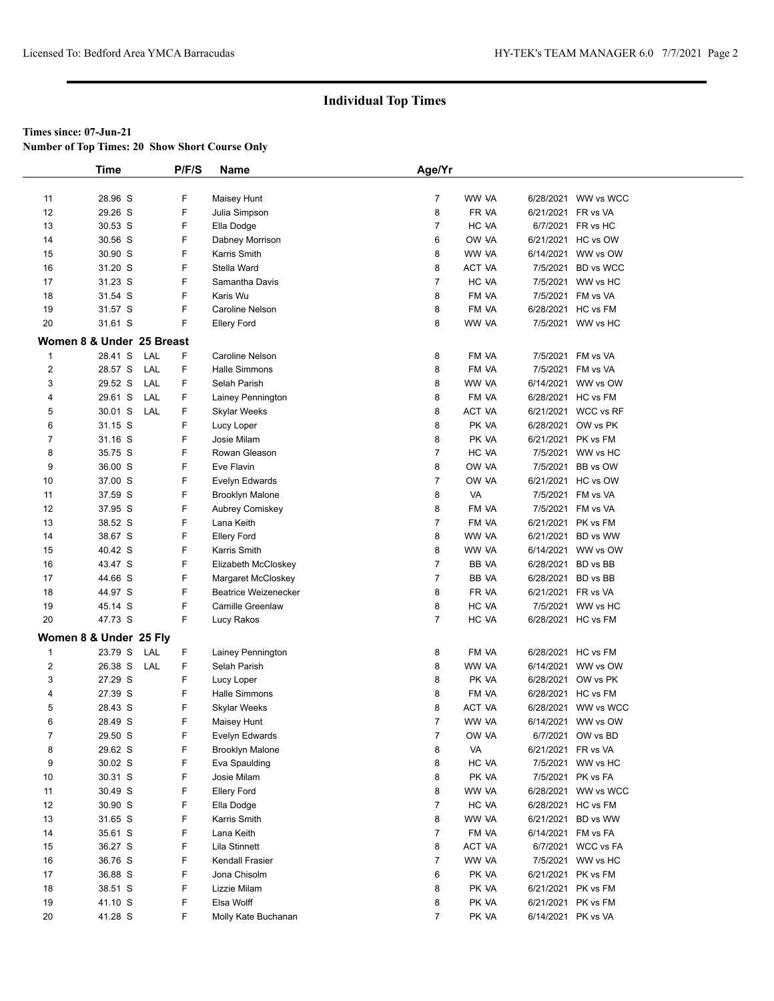**Number of Top Times: 20 Show Short Course Only**

|                | Time                             | P/F/S | <b>Name</b>                   | Age/Yr         |                |                    |                                           |  |
|----------------|----------------------------------|-------|-------------------------------|----------------|----------------|--------------------|-------------------------------------------|--|
|                |                                  |       |                               |                |                |                    |                                           |  |
| 11             | 28.96 S                          | F     | Maisey Hunt                   | $\overline{7}$ | WW VA          |                    | 6/28/2021 WW vs WCC                       |  |
| 12             | 29.26 S                          | F     | Julia Simpson                 | 8              | FR VA          |                    | 6/21/2021 FR vs VA                        |  |
| 13             | 30.53 S                          | F     | Ella Dodge                    | 7              | HC VA          |                    | 6/7/2021 FR vs HC                         |  |
| 14             | 30.56 S                          | F     | Dabney Morrison               | 6              | OW VA          |                    | 6/21/2021 HC vs OW                        |  |
| 15             | 30.90 S                          | F     | Karris Smith                  | 8              | WW VA          | 6/14/2021          | WW vs OW                                  |  |
| 16             | 31.20 S                          | F     | Stella Ward                   | 8              | ACT VA         |                    | 7/5/2021 BD vs WCC                        |  |
| 17             | 31.23 S                          | F     | Samantha Davis                | $\overline{7}$ | HC VA          | 7/5/2021           | WW vs HC                                  |  |
| 18             | 31.54 S                          | F     | Karis Wu                      | 8              | FM VA          |                    | 7/5/2021 FM vs VA                         |  |
| 19             | 31.57 S                          | F     | Caroline Nelson               | 8              | FM VA          |                    | 6/28/2021 HC vs FM                        |  |
| 20             | 31.61 S                          | F     | <b>Ellery Ford</b>            | 8              | WW VA          |                    | 7/5/2021 WW vs HC                         |  |
|                | Women 8 & Under 25 Breast        |       |                               |                |                |                    |                                           |  |
| $\mathbf 1$    | LAL<br>28.41 S                   | F     | Caroline Nelson               | 8              | FM VA          |                    | 7/5/2021 FM vs VA                         |  |
| $\overline{2}$ | LAL<br>28.57 S                   | F     | Halle Simmons                 | 8              | FM VA          |                    | 7/5/2021 FM vs VA                         |  |
| 3              | 29.52 S<br>LAL                   | F.    | Selah Parish                  | 8              | WW VA          |                    | 6/14/2021 WW vs OW                        |  |
| 4              | 29.61 S<br>LAL                   | F.    | Lainey Pennington             | 8              | FM VA          |                    | 6/28/2021 HC vs FM                        |  |
| 5              | 30.01 S<br>LAL                   | F     | Skylar Weeks                  | 8              | <b>ACT VA</b>  |                    | 6/21/2021 WCC vs RF                       |  |
| 6              | 31.15 S                          | F     | Lucy Loper                    | 8              | PK VA          |                    | 6/28/2021 OW vs PK                        |  |
| $\overline{7}$ | 31.16 S                          | F     | Josie Milam                   | 8              | PK VA          |                    | 6/21/2021 PK vs FM                        |  |
| 8              | 35.75 S                          | F     | Rowan Gleason                 | 7              | HC VA          |                    | 7/5/2021 WW vs HC                         |  |
| 9              | 36.00 S                          | F     | Eve Flavin                    | 8              | OW VA          |                    | 7/5/2021 BB vs OW                         |  |
| 10             | 37.00 S                          | F     | Evelyn Edwards                | $\overline{7}$ | OW VA          |                    | 6/21/2021 HC vs OW                        |  |
| 11             | 37.59 S                          | F     | <b>Brooklyn Malone</b>        | 8              | <b>VA</b>      |                    | 7/5/2021 FM vs VA                         |  |
| 12             | 37.95 S                          | F     | Aubrey Comiskey               | 8              | FM VA          |                    | 7/5/2021 FM vs VA                         |  |
| 13             | 38.52 S                          | F     | Lana Keith                    | $\overline{7}$ | FM VA          |                    | 6/21/2021 PK vs FM                        |  |
| 14             | 38.67 S                          | F     | <b>Ellery Ford</b>            | 8              | WW VA          |                    | 6/21/2021 BD vs WW                        |  |
| 15             | 40.42 S                          | F     | Karris Smith                  | 8              | WW VA          |                    | 6/14/2021 WW vs OW                        |  |
| 16             | 43.47 S                          | F     | Elizabeth McCloskey           | $\overline{7}$ | BB VA          |                    | 6/28/2021 BD vs BB                        |  |
| 17             | 44.66 S                          | F     | Margaret McCloskey            | $\overline{7}$ | BB VA          |                    | 6/28/2021 BD vs BB                        |  |
| 18             | 44.97 S                          | F     | <b>Beatrice Weizenecker</b>   | 8              | FR VA          |                    | 6/21/2021 FR vs VA                        |  |
| 19             | 45.14 S                          | F     | <b>Camille Greenlaw</b>       | 8              | HC VA          |                    | 7/5/2021 WW vs HC                         |  |
| 20             | 47.73 S                          | F     | Lucy Rakos                    | $\overline{7}$ | HC VA          |                    | 6/28/2021 HC vs FM                        |  |
|                |                                  |       |                               |                |                |                    |                                           |  |
|                | Women 8 & Under 25 Fly           | F     |                               |                | FM VA          |                    |                                           |  |
| $\mathbf 1$    | 23.79 S<br>LAL<br>26.38 S<br>LAL | F     | Lainey Pennington             | 8<br>8         |                |                    | 6/28/2021 HC vs FM                        |  |
| $\overline{2}$ |                                  | F     | Selah Parish                  |                | WW VA          |                    | 6/14/2021 WW vs OW                        |  |
| 3<br>4         | 27.29 S<br>27.39 S               | F     | Lucy Loper<br>Halle Simmons   | 8<br>8         | PK VA<br>FM VA |                    | 6/28/2021 OW vs PK                        |  |
| 5              | 28.43 S                          | F     |                               | 8              | ACT VA         |                    | 6/28/2021 HC vs FM<br>6/28/2021 WW vs WCC |  |
| 6              | 28.49 S                          | F     | Skylar Weeks                  | $\overline{7}$ | WW VA          |                    | 6/14/2021 WW vs OW                        |  |
| $\overline{7}$ | 29.50 S                          | F     | Maisey Hunt<br>Evelyn Edwards | 7              | OW VA          |                    | 6/7/2021 OW vs BD                         |  |
| 8              | 29.62 S                          | F     | <b>Brooklyn Malone</b>        | 8              | VA             | 6/21/2021 FR vs VA |                                           |  |
| 9              | 30.02 S                          | F     | Eva Spaulding                 | 8              | HC VA          |                    | 7/5/2021 WW vs HC                         |  |
| 10             | 30.31 S                          | F     | Josie Milam                   | 8              | PK VA          |                    | 7/5/2021 PK vs FA                         |  |
| 11             | 30.49 S                          | F     | <b>Ellery Ford</b>            | 8              | WW VA          |                    | 6/28/2021 WW vs WCC                       |  |
| 12             | 30.90 S                          | F     | Ella Dodge                    | 7              | HC VA          |                    | 6/28/2021 HC vs FM                        |  |
| 13             | 31.65 S                          | F     | Karris Smith                  | 8              | WW VA          |                    | 6/21/2021 BD vs WW                        |  |
| 14             | 35.61 S                          | F     | Lana Keith                    | 7              | FM VA          |                    | 6/14/2021 FM vs FA                        |  |
| 15             | 36.27 S                          | F     | Lila Stinnett                 | 8              | ACT VA         |                    | 6/7/2021 WCC vs FA                        |  |
| 16             | 36.76 S                          | F     | Kendall Frasier               | 7              | WW VA          |                    | 7/5/2021 WW vs HC                         |  |
| 17             | 36.88 S                          | F     | Jona Chisolm                  | 6              | PK VA          |                    | 6/21/2021 PK vs FM                        |  |
| 18             | 38.51 S                          | F     | Lizzie Milam                  | 8              | PK VA          |                    | 6/21/2021 PK vs FM                        |  |
| 19             | 41.10 S                          | F     | Elsa Wolff                    | 8              | PK VA          |                    | 6/21/2021 PK vs FM                        |  |
| 20             | 41.28 S                          | F.    | Molly Kate Buchanan           | 7              | PK VA          |                    | 6/14/2021 PK vs VA                        |  |
|                |                                  |       |                               |                |                |                    |                                           |  |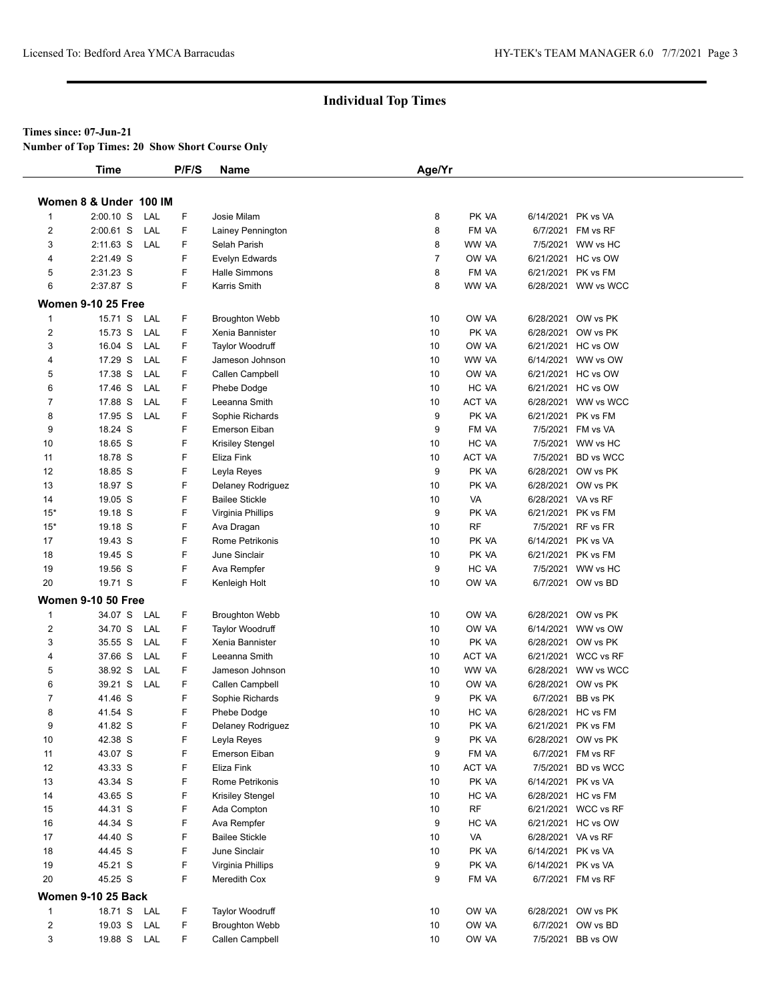**Number of Top Times: 20 Show Short Course Only**

|                         | <b>Time</b>               | P/F/S  | <b>Name</b>                            | Age/Yr         |               |                    |                                           |
|-------------------------|---------------------------|--------|----------------------------------------|----------------|---------------|--------------------|-------------------------------------------|
|                         |                           |        |                                        |                |               |                    |                                           |
|                         | Women 8 & Under 100 IM    |        |                                        |                |               |                    |                                           |
| 1                       | $2:00.10$ S<br>LAL        | F      | Josie Milam                            | 8              | PK VA         | 6/14/2021 PK vs VA |                                           |
| 2                       | 2:00.61 S<br>LAL          | F      | Lainey Pennington                      | 8              | FM VA         |                    | 6/7/2021 FM vs RF                         |
| 3                       | 2:11.63 S<br>LAL          | F      | Selah Parish                           | 8              | WW VA         |                    | 7/5/2021 WW vs HC                         |
| 4                       | 2:21.49 S                 | F      | Evelyn Edwards                         | $\overline{7}$ | OW VA         |                    | 6/21/2021 HC vs OW                        |
| 5                       | 2:31.23 S                 | F      | Halle Simmons                          | 8              | FM VA         |                    | 6/21/2021 PK vs FM                        |
| 6                       | 2:37.87 S                 | F      | Karris Smith                           | 8              | WW VA         |                    | 6/28/2021 WW vs WCC                       |
|                         | <b>Women 9-10 25 Free</b> |        |                                        |                |               |                    |                                           |
| $\mathbf{1}$            | 15.71 S<br>LAL            | F      | <b>Broughton Webb</b>                  | 10             | OW VA         |                    | 6/28/2021 OW vs PK                        |
| $\overline{\mathbf{c}}$ | 15.73 S<br>LAL            | F      | Xenia Bannister                        | 10             | PK VA         |                    | 6/28/2021 OW vs PK                        |
| 3                       | 16.04 S<br>LAL            | F      | <b>Taylor Woodruff</b>                 | 10             | OW VA         |                    | 6/21/2021 HC vs OW                        |
| 4                       | 17.29 S<br>LAL            | F      | Jameson Johnson                        | 10             | WW VA         |                    | 6/14/2021 WW vs OW                        |
| 5                       | 17.38 S<br>LAL            | F      | Callen Campbell                        | 10             | OW VA         |                    | 6/21/2021 HC vs OW                        |
| 6                       | 17.46 S<br>LAL            | F      | Phebe Dodge                            | 10             | HC VA         |                    | 6/21/2021 HC vs OW                        |
| 7                       | 17.88 S<br>LAL            | F      | Leeanna Smith                          | 10             | <b>ACT VA</b> |                    | 6/28/2021 WW vs WCC                       |
| 8                       | 17.95 S<br>LAL            | F      | Sophie Richards                        | 9              | PK VA         |                    | 6/21/2021 PK vs FM                        |
| 9                       | 18.24 S                   | F      | Emerson Eiban                          | 9              | FM VA         |                    | 7/5/2021 FM vs VA                         |
| 10                      | 18.65 S                   | F      | Krisiley Stengel                       | 10             | HC VA         |                    | 7/5/2021 WW vs HC                         |
| 11                      | 18.78 S                   | F      | Eliza Fink                             | 10             | ACT VA        |                    | 7/5/2021 BD vs WCC                        |
| 12                      | 18.85 S                   | F      | Leyla Reyes                            | 9              | PK VA         |                    | 6/28/2021 OW vs PK                        |
| 13                      | 18.97 S                   | F      | Delaney Rodriguez                      | 10             | PK VA         |                    | 6/28/2021 OW vs PK                        |
| 14                      | 19.05 S                   | F      | <b>Bailee Stickle</b>                  | 10             | VA            | 6/28/2021 VA vs RF |                                           |
| $15*$                   | 19.18 S                   | F      | Virginia Phillips                      | 9              | PK VA         |                    | 6/21/2021 PK vs FM                        |
| $15*$                   | 19.18 S                   | F      | Ava Dragan                             | 10             | RF            |                    | 7/5/2021 RF vs FR                         |
| 17                      | 19.43 S                   | F      | Rome Petrikonis                        | 10             | PK VA         | 6/14/2021 PK vs VA |                                           |
| 18                      | 19.45 S                   | F      | June Sinclair                          | 10             | PK VA         |                    | 6/21/2021 PK vs FM                        |
| 19                      | 19.56 S                   | F      | Ava Rempfer                            | 9              | HC VA         |                    | 7/5/2021 WW vs HC                         |
| 20                      | 19.71 S                   | F      | Kenleigh Holt                          | 10             | OW VA         |                    | 6/7/2021 OW vs BD                         |
|                         | <b>Women 9-10 50 Free</b> |        |                                        |                |               |                    |                                           |
| 1                       | 34.07 S<br>LAL            | F      | <b>Broughton Webb</b>                  | 10             | OW VA         |                    | 6/28/2021 OW vs PK                        |
| $\overline{c}$          | 34.70 S<br>LAL            | F      | <b>Taylor Woodruff</b>                 | 10             | OW VA         |                    | 6/14/2021 WW vs OW                        |
| 3                       | 35.55 S<br>LAL            | F      | Xenia Bannister                        | 10             | PK VA         |                    | 6/28/2021 OW vs PK                        |
| 4                       | 37.66 S<br>LAL            | F      | Leeanna Smith                          | 10             | ACT VA        |                    | 6/21/2021 WCC vs RF                       |
| 5                       | 38.92 S<br>LAL            | F      | Jameson Johnson                        | 10             | WW VA         | 6/28/2021          | WW vs WCC                                 |
| 6                       | 39.21 S<br>LAL            | F      | Callen Campbell                        | 10             | OW VA         |                    | 6/28/2021 OW vs PK                        |
| 7                       | 41.46 S                   | F      | Sophie Richards                        | 9              | PK VA         | 6/7/2021           | BB vs PK                                  |
| 8                       | 41.54 S                   | F      | Phebe Dodge                            | 10             | HC VA         |                    | 6/28/2021 HC vs FM                        |
| 9                       | 41.82 S                   | F      | Delaney Rodriguez                      | 10             | PK VA         |                    | 6/21/2021 PK vs FM                        |
| 10                      | 42.38 S                   | F      | Leyla Reyes                            | 9              | PK VA         |                    | 6/28/2021 OW vs PK                        |
| 11                      | 43.07 S                   | F      | Emerson Eiban                          | 9              | FM VA         | 6/7/2021           | FM vs RF                                  |
| 12                      | 43.33 S                   | F      | Eliza Fink                             | 10             | ACT VA        |                    | 7/5/2021 BD vs WCC                        |
| 13                      | 43.34 S                   | F      | Rome Petrikonis                        | 10             | PK VA         | 6/14/2021 PK vs VA |                                           |
| 14                      | 43.65 S                   | F<br>F | Krisiley Stengel                       | 10             | HC VA<br>RF   |                    | 6/28/2021 HC vs FM<br>6/21/2021 WCC vs RF |
| 15<br>16                | 44.31 S<br>44.34 S        | F      | Ada Compton                            | 10<br>9        | HC VA         |                    | 6/21/2021 HC vs OW                        |
| 17                      | 44.40 S                   | F      | Ava Rempfer                            | 10             | VA            | 6/28/2021 VA vs RF |                                           |
| 18                      | 44.45 S                   | F      | <b>Bailee Stickle</b><br>June Sinclair | 10             | PK VA         | 6/14/2021 PK vs VA |                                           |
| 19                      | 45.21 S                   | F      | Virginia Phillips                      | 9              | PK VA         | 6/14/2021 PK vs VA |                                           |
| 20                      | 45.25 S                   | F      | Meredith Cox                           | 9              | FM VA         |                    | 6/7/2021 FM vs RF                         |
|                         |                           |        |                                        |                |               |                    |                                           |
|                         | <b>Women 9-10 25 Back</b> |        |                                        |                |               |                    |                                           |
| $\mathbf{1}$            | 18.71 S<br>LAL            | F      | Taylor Woodruff                        | 10             | OW VA         |                    | 6/28/2021 OW vs PK                        |
| $\overline{\mathbf{c}}$ | 19.03 S<br>LAL            | F      | <b>Broughton Webb</b>                  | 10             | OW VA         |                    | 6/7/2021 OW vs BD                         |
| 3                       | 19.88 S LAL               | F      | Callen Campbell                        | 10             | OW VA         |                    | 7/5/2021 BB vs OW                         |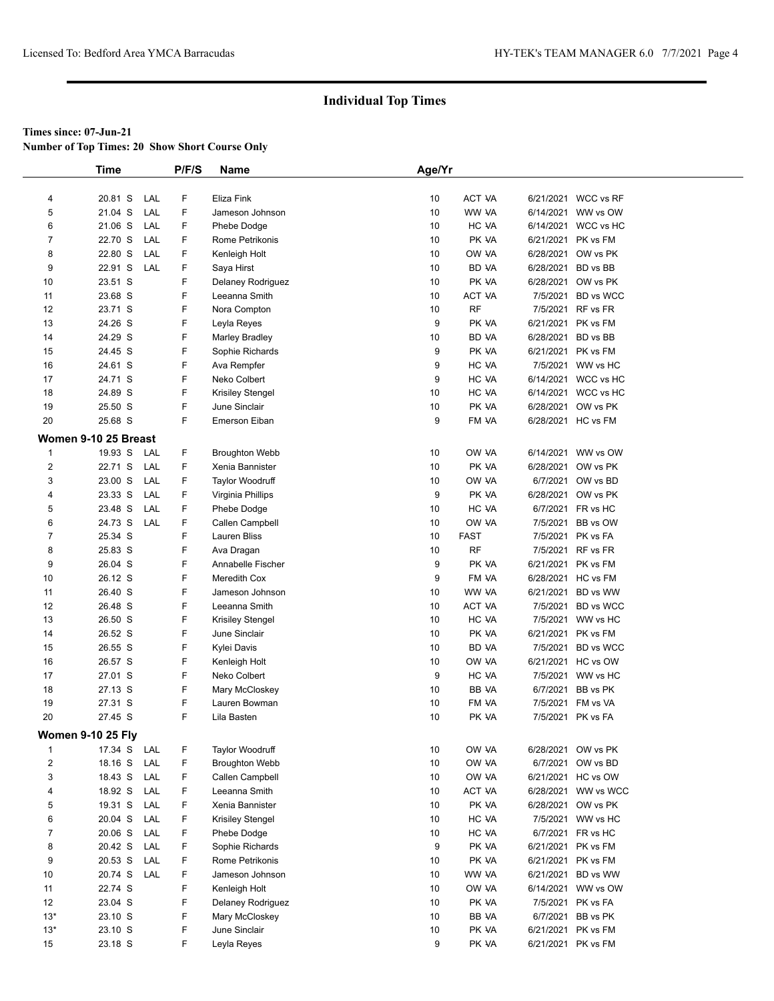**Number of Top Times: 20 Show Short Course Only**

|                | Time                     |     | P/F/S | Name                    | Age/Yr   |               |                    |                    |  |
|----------------|--------------------------|-----|-------|-------------------------|----------|---------------|--------------------|--------------------|--|
|                |                          |     |       |                         |          |               |                    |                    |  |
| 4              | 20.81 S                  | LAL | F     | Eliza Fink              | 10       | ACT VA        | 6/21/2021          | WCC vs RF          |  |
| 5              | 21.04 S                  | LAL | F     | Jameson Johnson         | 10       | WW VA         | 6/14/2021          | WW vs OW           |  |
| 6              | 21.06 S                  | LAL | F     | Phebe Dodge             | 10       | HC VA         | 6/14/2021          | WCC vs HC          |  |
| $\overline{7}$ | 22.70 S                  | LAL | F     | Rome Petrikonis         | 10       | PK VA         | 6/21/2021          | PK vs FM           |  |
| 8              | 22.80 S                  | LAL | F     | Kenleigh Holt           | 10       | OW VA         | 6/28/2021          | OW vs PK           |  |
| 9              | 22.91 S                  | LAL | F     | Saya Hirst              | 10       | BD VA         | 6/28/2021          | BD vs BB           |  |
| 10             | 23.51 S                  |     | F     | Delaney Rodriguez       | 10       | PK VA         | 6/28/2021          | OW vs PK           |  |
| 11             | 23.68 S                  |     | F     | Leeanna Smith           | 10       | ACT VA        | 7/5/2021           | <b>BD</b> vs WCC   |  |
| 12             | 23.71 S                  |     | F     | Nora Compton            | 10       | <b>RF</b>     | 7/5/2021           | RF vs FR           |  |
| 13             | 24.26 S                  |     | F     | Leyla Reyes             | 9        | PK VA         | 6/21/2021          | PK vs FM           |  |
| 14             | 24.29 S                  |     | F     | <b>Marley Bradley</b>   | 10       | BD VA         | 6/28/2021          | BD vs BB           |  |
| 15             | 24.45 S                  |     | F     | Sophie Richards         | 9        | PK VA         | 6/21/2021          | PK vs FM           |  |
| 16             | 24.61 S                  |     | F     | Ava Rempfer             | 9        | HC VA         | 7/5/2021           | WW vs HC           |  |
| 17             | 24.71 S                  |     | F     | Neko Colbert            | 9        | HC VA         | 6/14/2021          | WCC vs HC          |  |
| 18             | 24.89 S                  |     | F     | <b>Krisiley Stengel</b> | 10       | HC VA         | 6/14/2021          | WCC vs HC          |  |
| 19             | 25.50 S                  |     | F     | June Sinclair           | 10       | PK VA         | 6/28/2021          | OW vs PK           |  |
| 20             | 25.68 S                  |     | F     | <b>Emerson Eiban</b>    | 9        | FM VA         |                    | 6/28/2021 HC vs FM |  |
|                | Women 9-10 25 Breast     |     |       |                         |          |               |                    |                    |  |
| $\mathbf{1}$   | 19.93 S                  | LAL | F     | <b>Broughton Webb</b>   |          | OW VA         | 6/14/2021          | WW vs OW           |  |
| 2              |                          | LAL | F     |                         | 10<br>10 | PK VA         |                    | OW vs PK           |  |
|                | 22.71 S                  |     |       | Xenia Bannister         |          |               | 6/28/2021          |                    |  |
| 3              | 23.00 S                  | LAL | F     | <b>Taylor Woodruff</b>  | 10       | OW VA         | 6/7/2021           | OW vs BD           |  |
| 4              | 23.33 S                  | LAL | F     | Virginia Phillips       | 9        | PK VA         | 6/28/2021          | OW vs PK           |  |
| 5              | 23.48 S                  | LAL | F     | Phebe Dodge             | 10       | HC VA         | 6/7/2021           | FR vs HC           |  |
| 6              | 24.73 S                  | LAL | F     | Callen Campbell         | 10       | OW VA         | 7/5/2021           | BB vs OW           |  |
| $\overline{7}$ | 25.34 S                  |     | F     | Lauren Bliss            | 10       | <b>FAST</b>   | 7/5/2021           | PK vs FA           |  |
| 8              | 25.83 S                  |     | F     | Ava Dragan              | 10       | <b>RF</b>     | 7/5/2021           | RF vs FR           |  |
| 9              | 26.04 S                  |     | F     | Annabelle Fischer       | 9        | PK VA         | 6/21/2021          | PK vs FM           |  |
| 10             | 26.12 S                  |     | F     | Meredith Cox            | 9        | FM VA         |                    | 6/28/2021 HC vs FM |  |
| 11             | 26.40 S                  |     | F     | Jameson Johnson         | 10       | WW VA         | 6/21/2021          | BD vs WW           |  |
| 12             | 26.48 S                  |     | F     | Leeanna Smith           | 10       | <b>ACT VA</b> | 7/5/2021           | <b>BD</b> vs WCC   |  |
| 13             | 26.50 S                  |     | F     | <b>Krisiley Stengel</b> | 10       | HC VA         | 7/5/2021           | WW vs HC           |  |
| 14             | 26.52 S                  |     | F     | June Sinclair           | 10       | PK VA         | 6/21/2021          | PK vs FM           |  |
| 15             | 26.55 S                  |     | F     | Kylei Davis             | 10       | BD VA         | 7/5/2021           | <b>BD</b> vs WCC   |  |
| 16             | 26.57 S                  |     | F     | Kenleigh Holt           | 10       | OW VA         | 6/21/2021          | HC vs OW           |  |
| 17             | 27.01 S                  |     | F     | Neko Colbert            | 9        | HC VA         | 7/5/2021           | WW vs HC           |  |
| 18             | 27.13 S                  |     | F     | Mary McCloskey          | 10       | BB VA         | 6/7/2021           | BB vs PK           |  |
| 19             | 27.31 S                  |     | F     | Lauren Bowman           | 10       | FM VA         | 7/5/2021           | FM vs VA           |  |
| 20             | 27.45 S                  |     | F.    | Lila Basten             | 10       | PK VA         |                    | 7/5/2021 PK vs FA  |  |
|                | <b>Women 9-10 25 Fly</b> |     |       |                         |          |               |                    |                    |  |
| $\mathbf{1}$   | 17.34 S                  | LAL | F     | Taylor Woodruff         | 10       | OW VA         | 6/28/2021          | OW vs PK           |  |
| $\overline{2}$ | 18.16 S                  | LAL | F     | <b>Broughton Webb</b>   | 10       | OW VA         | 6/7/2021           | OW vs BD           |  |
| 3              | 18.43 S                  | LAL | F     | Callen Campbell         | 10       | OW VA         | 6/21/2021          | HC vs OW           |  |
| 4              | 18.92 S                  | LAL | F     | Leeanna Smith           | 10       | ACT VA        | 6/28/2021          | WW vs WCC          |  |
| 5              | 19.31 S                  | LAL | F     | Xenia Bannister         | 10       | PK VA         | 6/28/2021          | OW vs PK           |  |
| 6              | 20.04 S                  | LAL | F     | <b>Krisiley Stengel</b> | 10       | HC VA         | 7/5/2021           | WW vs HC           |  |
| $\overline{7}$ | 20.06 S                  | LAL | F     | Phebe Dodge             | 10       | HC VA         | 6/7/2021           | FR vs HC           |  |
| 8              | 20.42 S                  | LAL | F     | Sophie Richards         | 9        | PK VA         | 6/21/2021          | PK vs FM           |  |
| 9              | 20.53 S                  | LAL | F     | Rome Petrikonis         | 10       | PK VA         | 6/21/2021          | PK vs FM           |  |
| 10             | 20.74 S                  | LAL | F     | Jameson Johnson         | 10       | WW VA         | 6/21/2021          | BD vs WW           |  |
| 11             | 22.74 S                  |     | F     | Kenleigh Holt           | 10       | OW VA         | 6/14/2021          | WW vs OW           |  |
| 12             | 23.04 S                  |     | F     | Delaney Rodriguez       | 10       | PK VA         | 7/5/2021           | PK vs FA           |  |
| $13*$          | 23.10 S                  |     | F     | Mary McCloskey          | 10       | BB VA         | 6/7/2021           | BB vs PK           |  |
| $13*$          | 23.10 S                  |     | F     | June Sinclair           | 10       | PK VA         | 6/21/2021          | PK vs FM           |  |
| 15             | 23.18 S                  |     | F     | Leyla Reyes             | 9        | PK VA         | 6/21/2021 PK vs FM |                    |  |
|                |                          |     |       |                         |          |               |                    |                    |  |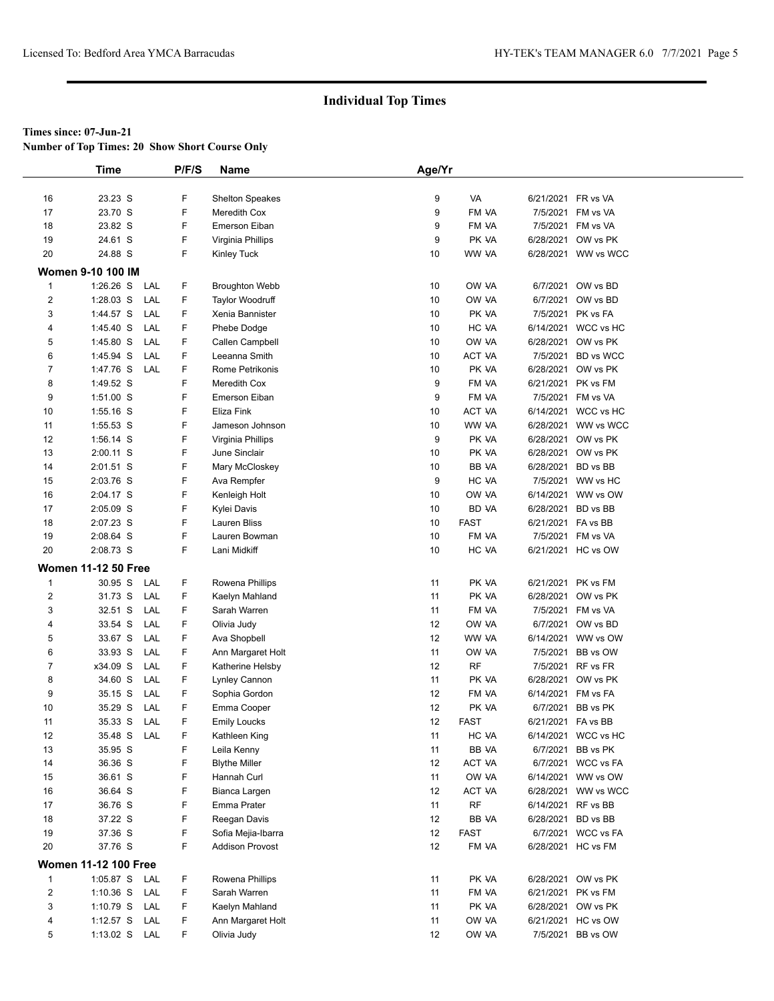**Number of Top Times: 20 Show Short Course Only**

|                         | <b>Time</b>                 | P/F/S | <b>Name</b>            | Age/Yr |             |                    |                     |
|-------------------------|-----------------------------|-------|------------------------|--------|-------------|--------------------|---------------------|
|                         |                             |       |                        |        |             |                    |                     |
| 16                      | 23.23 S                     | F     | <b>Shelton Speakes</b> | 9      | VA          |                    | 6/21/2021 FR vs VA  |
| 17                      | 23.70 S                     | F     | Meredith Cox           | 9      | FM VA       |                    | 7/5/2021 FM vs VA   |
| 18                      | 23.82 S                     | F     | Emerson Eiban          | 9      | FM VA       |                    | 7/5/2021 FM vs VA   |
| 19                      | 24.61 S                     | F     | Virginia Phillips      | 9      | PK VA       |                    | 6/28/2021 OW vs PK  |
| 20                      | 24.88 S                     | F     | Kinley Tuck            | 10     | WW VA       |                    | 6/28/2021 WW vs WCC |
|                         | Women 9-10 100 IM           |       |                        |        |             |                    |                     |
| $\mathbf{1}$            | $1:26.26$ S<br>LAL          | F     | <b>Broughton Webb</b>  | 10     | OW VA       |                    | 6/7/2021 OW vs BD   |
| $\overline{\mathbf{c}}$ | $1:28.03$ S<br>LAL          | F     | Taylor Woodruff        | 10     | OW VA       |                    | 6/7/2021 OW vs BD   |
| 3                       | 1:44.57 S<br>LAL            | F     | Xenia Bannister        | 10     | PK VA       |                    | 7/5/2021 PK vs FA   |
| 4                       | 1:45.40 S<br>LAL            | F     | Phebe Dodge            | 10     | HC VA       |                    | 6/14/2021 WCC vs HC |
| 5                       | 1:45.80 S<br>LAL            | F     | Callen Campbell        | 10     | OW VA       |                    | 6/28/2021 OW vs PK  |
| 6                       | 1:45.94 S<br>LAL            | F     | Leeanna Smith          | 10     | ACT VA      |                    | 7/5/2021 BD vs WCC  |
| 7                       | 1:47.76 S<br>LAL            | F     | Rome Petrikonis        | 10     | PK VA       |                    | 6/28/2021 OW vs PK  |
| 8                       | 1:49.52 S                   | F     | Meredith Cox           | 9      | FM VA       |                    | 6/21/2021 PK vs FM  |
| 9                       | $1:51.00$ S                 | F     | Emerson Eiban          | 9      | FM VA       |                    | 7/5/2021 FM vs VA   |
| 10                      | 1:55.16 S                   | F     | Eliza Fink             | 10     | ACT VA      |                    | 6/14/2021 WCC vs HC |
| 11                      | 1:55.53 S                   | F     | Jameson Johnson        | 10     | WW VA       |                    | 6/28/2021 WW vs WCC |
| 12                      | 1:56.14 S                   | F     | Virginia Phillips      | 9      | PK VA       |                    | 6/28/2021 OW vs PK  |
| 13                      | 2:00.11 S                   | F     | June Sinclair          | 10     | PK VA       |                    | 6/28/2021 OW vs PK  |
| 14                      | 2:01.51 S                   | F     | Mary McCloskey         | 10     | BB VA       |                    | 6/28/2021 BD vs BB  |
| 15                      | 2:03.76 S                   | F     | Ava Rempfer            | 9      | HC VA       |                    | 7/5/2021 WW vs HC   |
| 16                      | 2:04.17 S                   | F     | Kenleigh Holt          | 10     | OW VA       |                    | 6/14/2021 WW vs OW  |
| 17                      | 2:05.09 S                   | F     | Kylei Davis            | 10     | BD VA       |                    | 6/28/2021 BD vs BB  |
| 18                      | 2:07.23 S                   | F     | Lauren Bliss           | 10     | <b>FAST</b> | 6/21/2021 FA vs BB |                     |
| 19                      | 2:08.64 S                   | F     | Lauren Bowman          | 10     | FM VA       |                    | 7/5/2021 FM vs VA   |
| 20                      | 2:08.73 S                   | F.    | Lani Midkiff           | 10     | HC VA       |                    | 6/21/2021 HC vs OW  |
|                         | <b>Women 11-12 50 Free</b>  |       |                        |        |             |                    |                     |
| $\mathbf{1}$            | 30.95 S<br>LAL              | F     | Rowena Phillips        | 11     | PK VA       |                    | 6/21/2021 PK vs FM  |
| $\overline{c}$          | 31.73 S<br>LAL              | F     | Kaelyn Mahland         | 11     | PK VA       |                    | 6/28/2021 OW vs PK  |
| 3                       | 32.51 S<br>LAL              | F     | Sarah Warren           | 11     | FM VA       |                    | 7/5/2021 FM vs VA   |
| 4                       | 33.54 S<br>LAL              | F     | Olivia Judy            | 12     | OW VA       |                    | 6/7/2021 OW vs BD   |
| 5                       | 33.67 S<br>LAL              | F     | Ava Shopbell           | 12     | WW VA       |                    | 6/14/2021 WW vs OW  |
| 6                       | 33.93 S<br>LAL              | F     | Ann Margaret Holt      | 11     | OW VA       |                    | 7/5/2021 BB vs OW   |
| 7                       | x34.09 S<br>LAL             | F     | Katherine Helsby       | 12     | <b>RF</b>   |                    | 7/5/2021 RF vs FR   |
| 8                       | 34.60 S<br>LAL              | F     | Lynley Cannon          | 11     | PK VA       |                    | 6/28/2021 OW vs PK  |
| 9                       | 35.15 S<br>LAL              | F     | Sophia Gordon          | 12     | FM VA       |                    | 6/14/2021 FM vs FA  |
| 10                      | 35.29 S<br>LAL              | F     | Emma Cooper            | 12     | PK VA       |                    | 6/7/2021 BB vs PK   |
| 11                      | 35.33 S<br>LAL              | F     | <b>Emily Loucks</b>    | 12     | <b>FAST</b> |                    | 6/21/2021 FA vs BB  |
| 12                      | 35.48 S<br>LAL              | F     | Kathleen King          | 11     | HC VA       |                    | 6/14/2021 WCC vs HC |
| 13                      | 35.95 S                     | F     | Leila Kenny            | 11     | BB VA       |                    | 6/7/2021 BB vs PK   |
| 14                      | 36.36 S                     | F     | <b>Blythe Miller</b>   | 12     | ACT VA      |                    | 6/7/2021 WCC vs FA  |
| 15                      | 36.61 S                     | F     | Hannah Curl            | 11     | OW VA       |                    | 6/14/2021 WW vs OW  |
| 16                      | 36.64 S                     | F     | Bianca Largen          | 12     | ACT VA      |                    | 6/28/2021 WW vs WCC |
| 17                      | 36.76 S                     | F     | Emma Prater            | 11     | <b>RF</b>   |                    | 6/14/2021 RF vs BB  |
| 18                      | 37.22 S                     | F     | Reegan Davis           | 12     | BB VA       |                    | 6/28/2021 BD vs BB  |
| 19                      | 37.36 S                     | F     | Sofia Mejia-Ibarra     | 12     | <b>FAST</b> |                    | 6/7/2021 WCC vs FA  |
| 20                      | 37.76 S                     | F     | <b>Addison Provost</b> | 12     | FM VA       |                    | 6/28/2021 HC vs FM  |
|                         | <b>Women 11-12 100 Free</b> |       |                        |        |             |                    |                     |
| $\mathbf{1}$            | 1:05.87 S LAL               | F     | Rowena Phillips        | 11     | PK VA       |                    | 6/28/2021 OW vs PK  |
| $\overline{2}$          | $1:10.36$ S<br>LAL          | F     | Sarah Warren           | 11     | FM VA       |                    | 6/21/2021 PK vs FM  |
| 3                       | 1:10.79 S LAL               | F     | Kaelyn Mahland         | 11     | PK VA       |                    | 6/28/2021 OW vs PK  |
| 4                       | 1:12.57 $S$<br>LAL          | F     | Ann Margaret Holt      | 11     | OW VA       |                    | 6/21/2021 HC vs OW  |
| 5                       | 1:13.02 S LAL               | F     | Olivia Judy            | 12     | OW VA       |                    | 7/5/2021 BB vs OW   |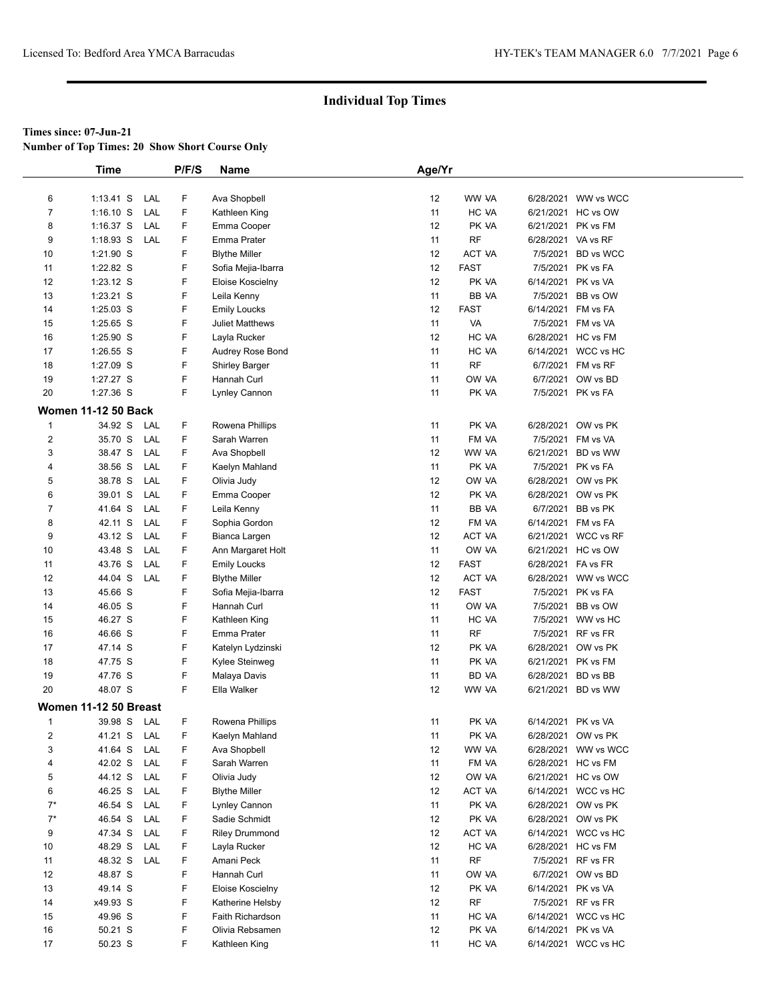**Number of Top Times: 20 Show Short Course Only**

|                         | <b>Time</b>                | P/F/S | Name                  | Age/Yr |               |                    |                                         |
|-------------------------|----------------------------|-------|-----------------------|--------|---------------|--------------------|-----------------------------------------|
|                         |                            |       |                       |        |               |                    |                                         |
| 6                       | $1:13.41$ S<br>LAL         | F     | Ava Shopbell          | 12     | WW VA         |                    | 6/28/2021 WW vs WCC                     |
| $\overline{7}$          | $1:16.10$ S<br>LAL         | F     | Kathleen King         | 11     | HC VA         |                    | 6/21/2021 HC vs OW                      |
| 8                       | $1:16.37$ S<br>LAL         | F     | Emma Cooper           | 12     | PK VA         |                    | 6/21/2021 PK vs FM                      |
| 9                       | $1:18.93$ S<br>LAL         | F     | Emma Prater           | 11     | <b>RF</b>     | 6/28/2021 VA vs RF |                                         |
| 10                      | 1:21.90 S                  | F     | <b>Blythe Miller</b>  | 12     | ACT VA        |                    | 7/5/2021 BD vs WCC                      |
| 11                      | 1:22.82 S                  | F     | Sofia Mejia-Ibarra    | 12     | <b>FAST</b>   |                    | 7/5/2021 PK vs FA                       |
| 12                      | $1:23.12$ S                | F     | Eloise Koscielny      | 12     | PK VA         | 6/14/2021 PK vs VA |                                         |
| 13                      | 1:23.21 S                  | F     | Leila Kenny           | 11     | BB VA         |                    | 7/5/2021 BB vs OW                       |
| 14                      | 1:25.03 S                  | F     | <b>Emily Loucks</b>   | 12     | <b>FAST</b>   |                    | 6/14/2021 FM vs FA                      |
| 15                      | 1:25.65 S                  | F     | Juliet Matthews       | 11     | VA            |                    | 7/5/2021 FM vs VA                       |
| 16                      | 1:25.90 S                  | F     | Layla Rucker          | 12     | HC VA         |                    | 6/28/2021 HC vs FM                      |
| 17                      | $1:26.55$ S                | F     | Audrey Rose Bond      | 11     | HC VA         |                    | 6/14/2021 WCC vs HC                     |
| 18                      | 1:27.09 S                  | F     | <b>Shirley Barger</b> | 11     | <b>RF</b>     |                    | 6/7/2021 FM vs RF                       |
| 19                      | 1:27.27 S                  | F     | Hannah Curl           | 11     | OW VA         |                    | 6/7/2021 OW vs BD                       |
| 20                      | 1:27.36 S                  | F     | Lynley Cannon         | 11     | PK VA         |                    | 7/5/2021 PK vs FA                       |
|                         | <b>Women 11-12 50 Back</b> |       |                       |        |               |                    |                                         |
|                         |                            |       |                       |        | PK VA         |                    |                                         |
| $\mathbf 1$             | 34.92 S<br>LAL             | F     | Rowena Phillips       | 11     |               |                    | 6/28/2021 OW vs PK                      |
| $\overline{\mathbf{c}}$ | 35.70 S<br>LAL             | F     | Sarah Warren          | 11     | FM VA         |                    | 7/5/2021 FM vs VA                       |
| 3                       | 38.47 S<br>LAL             | F     | Ava Shopbell          | 12     | WW VA         |                    | 6/21/2021 BD vs WW<br>7/5/2021 PK vs FA |
| 4                       | 38.56 S<br>LAL             | F     | Kaelyn Mahland        | 11     | PK VA         |                    |                                         |
| 5                       | 38.78 S<br>LAL             | F     | Olivia Judy           | 12     | OW VA         |                    | 6/28/2021 OW vs PK                      |
| 6                       | 39.01 S<br>LAL             | F     | Emma Cooper           | 12     | PK VA         |                    | 6/28/2021 OW vs PK                      |
| 7                       | 41.64 S<br>LAL             | F     | Leila Kenny           | 11     | BB VA         |                    | 6/7/2021 BB vs PK                       |
| 8                       | 42.11 S<br>LAL             | F     | Sophia Gordon         | 12     | FM VA         |                    | 6/14/2021 FM vs FA                      |
| 9                       | 43.12 S<br>LAL             | F     | Bianca Largen         | 12     | ACT VA        |                    | 6/21/2021 WCC vs RF                     |
| 10                      | 43.48 S<br>LAL             | F     | Ann Margaret Holt     | 11     | OW VA         |                    | 6/21/2021 HC vs OW                      |
| 11                      | 43.76 S<br>LAL             | F     | <b>Emily Loucks</b>   | 12     | <b>FAST</b>   | 6/28/2021 FA vs FR |                                         |
| 12                      | 44.04 S<br>LAL             | F     | <b>Blythe Miller</b>  | 12     | <b>ACT VA</b> |                    | 6/28/2021 WW vs WCC                     |
| 13                      | 45.66 S                    | F     | Sofia Mejia-Ibarra    | 12     | <b>FAST</b>   |                    | 7/5/2021 PK vs FA                       |
| 14                      | 46.05 S                    | F     | Hannah Curl           | 11     | OW VA         |                    | 7/5/2021 BB vs OW                       |
| 15                      | 46.27 S                    | F     | Kathleen King         | 11     | HC VA         |                    | 7/5/2021 WW vs HC                       |
| 16                      | 46.66 S                    | F     | Emma Prater           | 11     | <b>RF</b>     |                    | 7/5/2021 RF vs FR                       |
| 17                      | 47.14 S                    | F     | Katelyn Lydzinski     | 12     | PK VA         |                    | 6/28/2021 OW vs PK                      |
| 18                      | 47.75 S                    | F     | Kylee Steinweg        | 11     | PK VA         |                    | 6/21/2021 PK vs FM                      |
| 19                      | 47.76 S                    | F     | Malaya Davis          | 11     | BD VA         |                    | 6/28/2021 BD vs BB                      |
| 20                      | 48.07 S                    | F.    | Ella Walker           | 12     | WW VA         |                    | 6/21/2021 BD vs WW                      |
|                         | Women 11-12 50 Breast      |       |                       |        |               |                    |                                         |
| $\mathbf{1}$            | 39.98 S LAL                | F.    | Rowena Phillips       | 11     | PK VA         | 6/14/2021 PK vs VA |                                         |
| 2                       | 41.21 S<br>LAL             | F     | Kaelyn Mahland        | 11     | PK VA         |                    | 6/28/2021 OW vs PK                      |
| 3                       | 41.64 S<br>LAL             | F     | Ava Shopbell          | 12     | WW VA         |                    | 6/28/2021 WW vs WCC                     |
| 4                       | LAL<br>42.02 S             | F     | Sarah Warren          | 11     | FM VA         |                    | 6/28/2021 HC vs FM                      |
| 5                       | 44.12 S<br>LAL             | F     | Olivia Judy           | 12     | OW VA         |                    | 6/21/2021 HC vs OW                      |
| 6                       | 46.25 S<br>LAL             | F     | <b>Blythe Miller</b>  | 12     | ACT VA        |                    | 6/14/2021 WCC vs HC                     |
| $7^*$                   | 46.54 S<br>LAL             | F     | Lynley Cannon         | 11     | PK VA         |                    | 6/28/2021 OW vs PK                      |
| $7^*$                   | 46.54 S<br>LAL             | F     | Sadie Schmidt         | 12     | PK VA         |                    | 6/28/2021 OW vs PK                      |
| 9                       | 47.34 S<br>LAL             | F     | <b>Riley Drummond</b> | 12     | ACT VA        |                    | 6/14/2021 WCC vs HC                     |
| 10                      | 48.29 S<br>LAL             | F     | Layla Rucker          | 12     | HC VA         |                    | 6/28/2021 HC vs FM                      |
| 11                      | 48.32 S<br>LAL             | F     | Amani Peck            | 11     | <b>RF</b>     |                    | 7/5/2021 RF vs FR                       |
| 12                      | 48.87 S                    | F     | Hannah Curl           | 11     | OW VA         |                    | 6/7/2021 OW vs BD                       |
| 13                      | 49.14 S                    | F     | Eloise Koscielny      | 12     | PK VA         | 6/14/2021 PK vs VA |                                         |
| 14                      | x49.93 S                   | F     | Katherine Helsby      | 12     | RF            |                    | 7/5/2021 RF vs FR                       |
| 15                      | 49.96 S                    | F     | Faith Richardson      | 11     | HC VA         |                    | 6/14/2021 WCC vs HC                     |
| 16                      | 50.21 S                    | F     | Olivia Rebsamen       | 12     | PK VA         | 6/14/2021 PK vs VA |                                         |
| 17                      | 50.23 S                    | F     | Kathleen King         | 11     | HC VA         |                    | 6/14/2021 WCC vs HC                     |
|                         |                            |       |                       |        |               |                    |                                         |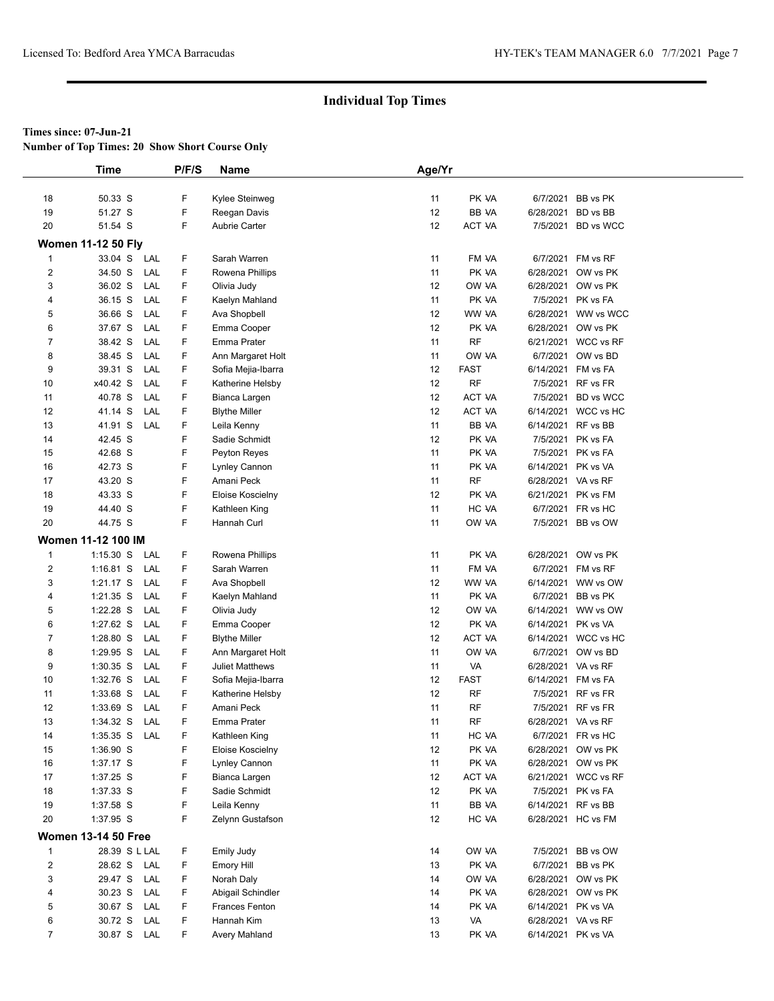**Number of Top Times: 20 Show Short Course Only**

|                         | <b>Time</b>                | P/F/S | Name                   | Age/Yr |               |                    |                     |
|-------------------------|----------------------------|-------|------------------------|--------|---------------|--------------------|---------------------|
|                         |                            |       |                        |        |               |                    |                     |
| 18                      | 50.33 S                    | F     | Kylee Steinweg         | 11     | PK VA         |                    | 6/7/2021 BB vs PK   |
| 19                      | 51.27 S                    | F     | Reegan Davis           | 12     | BB VA         |                    | 6/28/2021 BD vs BB  |
| 20                      | 51.54 S                    | F     | Aubrie Carter          | 12     | ACT VA        |                    | 7/5/2021 BD vs WCC  |
|                         | <b>Women 11-12 50 Fly</b>  |       |                        |        |               |                    |                     |
| $\mathbf{1}$            | 33.04 S<br>LAL             | F     | Sarah Warren           | 11     | FM VA         |                    | 6/7/2021 FM vs RF   |
| $\overline{2}$          | 34.50 S<br>LAL             | F     | Rowena Phillips        | 11     | PK VA         |                    | 6/28/2021 OW vs PK  |
| 3                       | 36.02 S<br>LAL             | F     | Olivia Judy            | 12     | OW VA         |                    | 6/28/2021 OW vs PK  |
| 4                       | 36.15 S<br>LAL             | F     | Kaelyn Mahland         | 11     | PK VA         |                    | 7/5/2021 PK vs FA   |
| 5                       | 36.66 S<br>LAL             | F     | Ava Shopbell           | 12     | WW VA         |                    | 6/28/2021 WW vs WCC |
| 6                       | 37.67 S<br>LAL             | F     | Emma Cooper            | 12     | PK VA         |                    | 6/28/2021 OW vs PK  |
| 7                       | 38.42 S<br>LAL             | F     | Emma Prater            | 11     | <b>RF</b>     |                    | 6/21/2021 WCC vs RF |
| 8                       | 38.45 S<br>LAL             | F     | Ann Margaret Holt      | 11     | OW VA         |                    | 6/7/2021 OW vs BD   |
| 9                       | 39.31 S<br>LAL             | F     | Sofia Mejia-Ibarra     | 12     | <b>FAST</b>   |                    | 6/14/2021 FM vs FA  |
| 10                      | LAL<br>x40.42 S            | F     | Katherine Helsby       | 12     | RF            |                    | 7/5/2021 RF vs FR   |
| 11                      | 40.78 S<br>LAL             | F.    | Bianca Largen          | 12     | <b>ACT VA</b> |                    | 7/5/2021 BD vs WCC  |
| 12                      | 41.14 S<br>LAL             | F     | <b>Blythe Miller</b>   | 12     | <b>ACT VA</b> |                    | 6/14/2021 WCC vs HC |
| 13                      | 41.91 S<br>LAL             | F     | Leila Kenny            | 11     | BB VA         |                    | 6/14/2021 RF vs BB  |
| 14                      | 42.45 S                    | F     | Sadie Schmidt          | 12     | PK VA         |                    | 7/5/2021 PK vs FA   |
| 15                      | 42.68 S                    | F     | Peyton Reyes           | 11     | PK VA         |                    | 7/5/2021 PK vs FA   |
| 16                      | 42.73 S                    | F     | Lynley Cannon          | 11     | PK VA         |                    | 6/14/2021 PK vs VA  |
| 17                      | 43.20 S                    | F     | Amani Peck             | 11     | <b>RF</b>     | 6/28/2021 VA vs RF |                     |
| 18                      | 43.33 S                    | F     | Eloise Koscielny       | 12     | PK VA         |                    | 6/21/2021 PK vs FM  |
| 19                      | 44.40 S                    | F     | Kathleen King          | 11     | HC VA         |                    | 6/7/2021 FR vs HC   |
| 20                      | 44.75 S                    | F     |                        | 11     | OW VA         |                    |                     |
|                         |                            |       | Hannah Curl            |        |               |                    | 7/5/2021 BB vs OW   |
|                         | <b>Women 11-12 100 IM</b>  |       |                        |        |               |                    |                     |
| $\mathbf{1}$            | $1:15.30$ S<br>LAL         | F     | Rowena Phillips        | 11     | PK VA         |                    | 6/28/2021 OW vs PK  |
| $\overline{\mathbf{c}}$ | $1:16.81$ S<br>LAL         | F     | Sarah Warren           | 11     | FM VA         |                    | 6/7/2021 FM vs RF   |
| 3                       | $1:21.17$ S<br>LAL         | F     | Ava Shopbell           | 12     | WW VA         |                    | 6/14/2021 WW vs OW  |
| 4                       | 1:21.35 S<br>LAL           | F     | Kaelyn Mahland         | 11     | PK VA         |                    | 6/7/2021 BB vs PK   |
| 5                       | 1:22.28 S<br>LAL           | F.    | Olivia Judy            | 12     | OW VA         |                    | 6/14/2021 WW vs OW  |
| 6                       | LAL<br>1:27.62 S           | F     | Emma Cooper            | 12     | PK VA         | 6/14/2021 PK vs VA |                     |
| $\overline{7}$          | LAL<br>1:28.80 S           | F     | <b>Blythe Miller</b>   | 12     | <b>ACT VA</b> |                    | 6/14/2021 WCC vs HC |
| 8                       | 1:29.95 S<br>LAL           | F     | Ann Margaret Holt      | 11     | OW VA         |                    | 6/7/2021 OW vs BD   |
| 9                       | $1:30.35$ S<br>LAL         | F     | <b>Juliet Matthews</b> | 11     | VA            | 6/28/2021 VA vs RF |                     |
| 10                      | LAL<br>1:32.76 S           | F     | Sofia Mejia-Ibarra     | 12     | <b>FAST</b>   |                    | 6/14/2021 FM vs FA  |
| 11                      | LAL<br>1:33.68 S           | F     | Katherine Helsby       | 12     | <b>RF</b>     |                    | 7/5/2021 RF vs FR   |
| 12                      | 1:33.69 S<br>LAL           | F     | Amani Peck             | 11     | RF            |                    | 7/5/2021 RF vs FR   |
| 13                      | 1:34.32 S<br>LAL           | F     | Emma Prater            | 11     | <b>RF</b>     | 6/28/2021 VA vs RF |                     |
| 14                      | $1:35.35$ S<br>LAL         | F     | Kathleen King          | 11     | HC VA         |                    | 6/7/2021 FR vs HC   |
| 15                      | 1:36.90 S                  | F     | Eloise Koscielny       | 12     | PK VA         |                    | 6/28/2021 OW vs PK  |
| 16                      | 1:37.17 S                  | F     | Lynley Cannon          | 11     | PK VA         |                    | 6/28/2021 OW vs PK  |
| 17                      | 1:37.25 S                  | F     | Bianca Largen          | 12     | ACT VA        |                    | 6/21/2021 WCC vs RF |
| 18                      | 1:37.33 S                  | F     | Sadie Schmidt          | 12     | PK VA         |                    | 7/5/2021 PK vs FA   |
| 19                      | 1:37.58 S                  | F     | Leila Kenny            | 11     | <b>BB VA</b>  |                    | 6/14/2021 RF vs BB  |
| 20                      | 1:37.95 S                  | F     | Zelynn Gustafson       | 12     | HC VA         |                    | 6/28/2021 HC vs FM  |
|                         | <b>Women 13-14 50 Free</b> |       |                        |        |               |                    |                     |
| $\mathbf{1}$            | 28.39 S L LAL              | F     | Emily Judy             | 14     | OW VA         |                    | 7/5/2021 BB vs OW   |
| $\overline{2}$          | 28.62 S<br>LAL             | F     | Emory Hill             | 13     | PK VA         |                    | 6/7/2021 BB vs PK   |
| 3                       | 29.47 S<br>LAL             | F     | Norah Daly             | 14     | OW VA         |                    | 6/28/2021 OW vs PK  |
| 4                       | 30.23 S<br>LAL             | F     | Abigail Schindler      | 14     | PK VA         |                    | 6/28/2021 OW vs PK  |
| 5                       | 30.67 S<br>LAL             | F     | Frances Fenton         | 14     | PK VA         |                    | 6/14/2021 PK vs VA  |
| 6                       | 30.72 S<br>LAL             | F     | Hannah Kim             | 13     | VA            | 6/28/2021 VA vs RF |                     |
| $\overline{7}$          | 30.87 S LAL                | F     | Avery Mahland          | 13     | PK VA         | 6/14/2021 PK vs VA |                     |
|                         |                            |       |                        |        |               |                    |                     |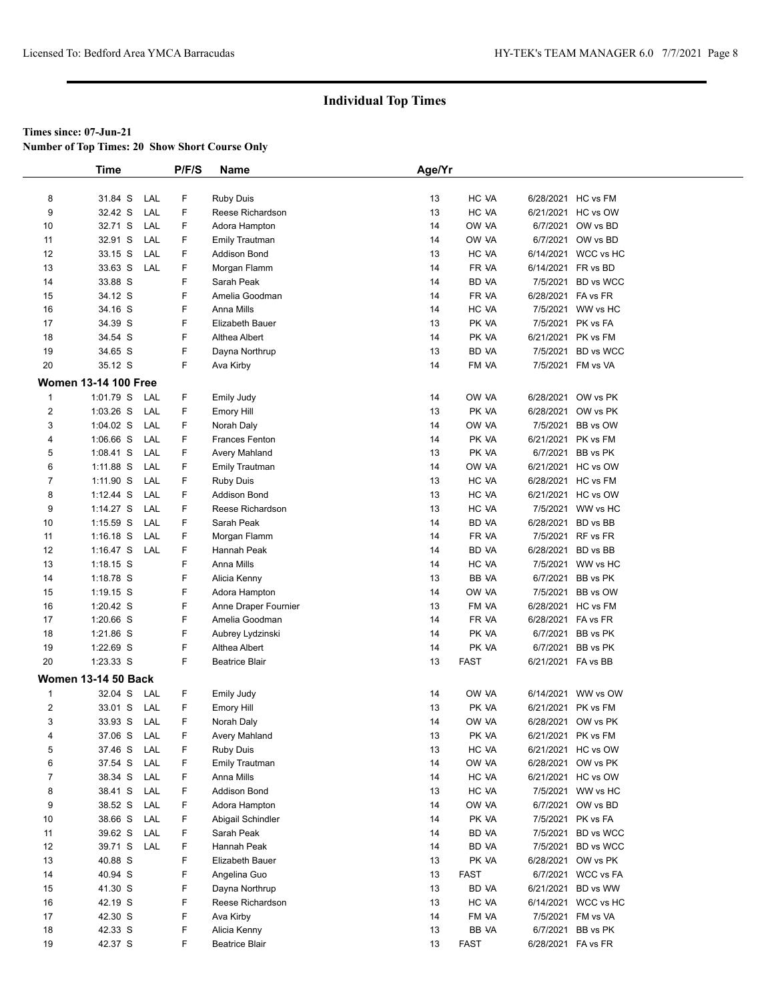**Number of Top Times: 20 Show Short Course Only**

|                | Time                        |     | P/F/S   | Name                                | Age/Yr   |                |                    |                                           |  |
|----------------|-----------------------------|-----|---------|-------------------------------------|----------|----------------|--------------------|-------------------------------------------|--|
|                |                             |     |         |                                     |          |                |                    |                                           |  |
| 8              | 31.84 S                     | LAL | F       | <b>Ruby Duis</b>                    | 13       | HC VA          |                    | 6/28/2021 HC vs FM                        |  |
| 9              | 32.42 S                     | LAL | F       | Reese Richardson                    | 13       | HC VA          |                    | 6/21/2021 HC vs OW                        |  |
| 10             | 32.71 S                     | LAL | F       | Adora Hampton                       | 14       | OW VA          |                    | 6/7/2021 OW vs BD                         |  |
| 11             | 32.91 S                     | LAL | F       | <b>Emily Trautman</b>               | 14       | OW VA          |                    | 6/7/2021 OW vs BD                         |  |
| 12             | 33.15 S                     | LAL | F       | <b>Addison Bond</b>                 | 13       | HC VA          |                    | 6/14/2021 WCC vs HC                       |  |
| 13             | 33.63 S                     | LAL | F       | Morgan Flamm                        | 14       | FR VA          | 6/14/2021 FR vs BD |                                           |  |
| 14             | 33.88 S                     |     | F       | Sarah Peak                          | 14       | BD VA          |                    | 7/5/2021 BD vs WCC                        |  |
| 15             | 34.12 S                     |     | F       | Amelia Goodman                      | 14       | FR VA          | 6/28/2021 FA vs FR |                                           |  |
| 16             | 34.16 S                     |     | F       | Anna Mills                          | 14       | HC VA          |                    | 7/5/2021 WW vs HC                         |  |
| 17             | 34.39 S                     |     | F       | Elizabeth Bauer                     | 13       | PK VA          |                    | 7/5/2021 PK vs FA                         |  |
| 18             | 34.54 S                     |     | F       | Althea Albert                       | 14       | PK VA          |                    | 6/21/2021 PK vs FM                        |  |
| 19             | 34.65 S                     |     | F       | Dayna Northrup                      | 13       | BD VA          |                    | 7/5/2021 BD vs WCC                        |  |
| 20             | 35.12 S                     |     | F.      | Ava Kirby                           | 14       | FM VA          |                    | 7/5/2021 FM vs VA                         |  |
|                | <b>Women 13-14 100 Free</b> |     |         |                                     |          |                |                    |                                           |  |
| $\mathbf{1}$   | $1:01.79$ S                 | LAL | F       | <b>Emily Judy</b>                   | 14       | OW VA          |                    | 6/28/2021 OW vs PK                        |  |
| $\overline{2}$ | $1:03.26$ S                 | LAL | F       | Emory Hill                          | 13       | PK VA          |                    | 6/28/2021 OW vs PK                        |  |
| 3              | $1:04.02$ S                 | LAL | F       | Norah Daly                          | 14       | OW VA          | 7/5/2021           | BB vs OW                                  |  |
| 4              | $1:06.66$ S                 | LAL | F       | <b>Frances Fenton</b>               | 14       | PK VA          |                    | 6/21/2021 PK vs FM                        |  |
| 5              | $1:08.41$ S                 | LAL | F       | Avery Mahland                       | 13       | PK VA          |                    | 6/7/2021 BB vs PK                         |  |
| 6              | 1:11.88 S                   | LAL | F       | <b>Emily Trautman</b>               | 14       | OW VA          |                    | 6/21/2021 HC vs OW                        |  |
| $\overline{7}$ | $1:11.90$ S                 | LAL | F       | <b>Ruby Duis</b>                    | 13       | HC VA          |                    | 6/28/2021 HC vs FM                        |  |
| 8              | $1:12.44$ S                 | LAL | F       | <b>Addison Bond</b>                 | 13       | HC VA          |                    | 6/21/2021 HC vs OW                        |  |
| 9              | $1:14.27$ S                 | LAL | F       | Reese Richardson                    | 13       | HC VA          |                    | 7/5/2021 WW vs HC                         |  |
| 10             | $1:15.59$ S                 | LAL | F       | Sarah Peak                          | 14       | BD VA          | 6/28/2021 BD vs BB |                                           |  |
| 11             | $1:16.18$ S                 | LAL | F       | Morgan Flamm                        | 14       | FR VA          |                    | 7/5/2021 RF vs FR                         |  |
| 12             | 1:16.47 $S$                 | LAL | F       | Hannah Peak                         | 14       | BD VA          | 6/28/2021 BD vs BB |                                           |  |
| 13             | $1:18.15$ S                 |     | F       | Anna Mills                          | 14       | HC VA          |                    | 7/5/2021 WW vs HC                         |  |
| 14             | 1:18.78 S                   |     | F       | Alicia Kenny                        | 13       | BB VA          |                    | 6/7/2021 BB vs PK                         |  |
| 15             | $1:19.15$ S                 |     | F       | Adora Hampton                       | 14       | OW VA          | 7/5/2021           | BB vs OW                                  |  |
| 16             | 1:20.42 S                   |     | F       | Anne Draper Fournier                | 13       | FM VA          |                    | 6/28/2021 HC vs FM                        |  |
| 17             | 1:20.66 S                   |     | F       | Amelia Goodman                      | 14       | FR VA          | 6/28/2021 FA vs FR |                                           |  |
| 18             | 1:21.86 S                   |     | F       | Aubrey Lydzinski                    | 14       | PK VA          |                    | 6/7/2021 BB vs PK                         |  |
| 19             | 1:22.69 S                   |     | F       | Althea Albert                       | 14       | PK VA          |                    | 6/7/2021 BB vs PK                         |  |
| 20             | 1:23.33 S                   |     | F       | <b>Beatrice Blair</b>               | 13       | <b>FAST</b>    | 6/21/2021 FA vs BB |                                           |  |
|                | <b>Women 13-14 50 Back</b>  |     |         |                                     |          |                |                    |                                           |  |
| $\mathbf{1}$   | 32.04 S                     | LAL | F       | <b>Emily Judy</b>                   | 14       | OW VA          |                    | 6/14/2021 WW vs OW                        |  |
| $\sqrt{2}$     | 33.01 S                     | LAL | F       |                                     | 13       | PK VA          |                    | 6/21/2021 PK vs FM                        |  |
| 3              | 33.93 S                     | LAL | F       | <b>Emory Hill</b><br>Norah Daly     | 14       | OW VA          |                    | 6/28/2021 OW vs PK                        |  |
| 4              | 37.06 S                     | LAL | F       |                                     |          | PK VA          |                    | 6/21/2021 PK vs FM                        |  |
| 5              | 37.46 S                     | LAL | F       | Avery Mahland                       | 13<br>13 | HC VA          |                    | 6/21/2021 HC vs OW                        |  |
| 6              |                             | LAL | F       | <b>Ruby Duis</b>                    |          |                |                    | 6/28/2021 OW vs PK                        |  |
| 7              | 37.54 S<br>38.34 S          | LAL | F       | <b>Emily Trautman</b><br>Anna Mills | 14<br>14 | OW VA<br>HC VA |                    | 6/21/2021 HC vs OW                        |  |
| 8              | 38.41 S                     | LAL | F       |                                     | 13       | HC VA          |                    | 7/5/2021 WW vs HC                         |  |
| 9              |                             | LAL | F       | Addison Bond                        | 14       |                |                    |                                           |  |
|                | 38.52 S                     | LAL | F       | Adora Hampton                       | 14       | OW VA<br>PK VA |                    | 6/7/2021 OW vs BD                         |  |
| 10             | 38.66 S                     |     |         | Abigail Schindler                   |          |                |                    | 7/5/2021 PK vs FA                         |  |
| 11             | 39.62 S<br>39.71 S          | LAL | F       | Sarah Peak                          | 14       | BD VA          |                    | 7/5/2021 BD vs WCC                        |  |
| 12             | 40.88 S                     | LAL | F.<br>F | Hannah Peak                         | 14       | BD VA<br>PK VA |                    | 7/5/2021 BD vs WCC<br>6/28/2021 OW vs PK  |  |
| 13<br>14       | 40.94 S                     |     | F       | Elizabeth Bauer<br>Angelina Guo     | 13<br>13 | <b>FAST</b>    |                    | 6/7/2021 WCC vs FA                        |  |
|                | 41.30 S                     |     | F       |                                     |          | BD VA          |                    |                                           |  |
| 15             |                             |     | F       | Dayna Northrup                      | 13       | HC VA          |                    | 6/21/2021 BD vs WW<br>6/14/2021 WCC vs HC |  |
| 16             | 42.19 S                     |     | F       | Reese Richardson                    | 13       |                |                    |                                           |  |
| 17             | 42.30 S                     |     |         | Ava Kirby                           | 14       | FM VA          |                    | 7/5/2021 FM vs VA                         |  |
| 18             | 42.33 S                     |     | F       | Alicia Kenny                        | 13       | BB VA          |                    | 6/7/2021 BB vs PK                         |  |
| 19             | 42.37 S                     |     | F       | <b>Beatrice Blair</b>               | 13       | <b>FAST</b>    | 6/28/2021 FA vs FR |                                           |  |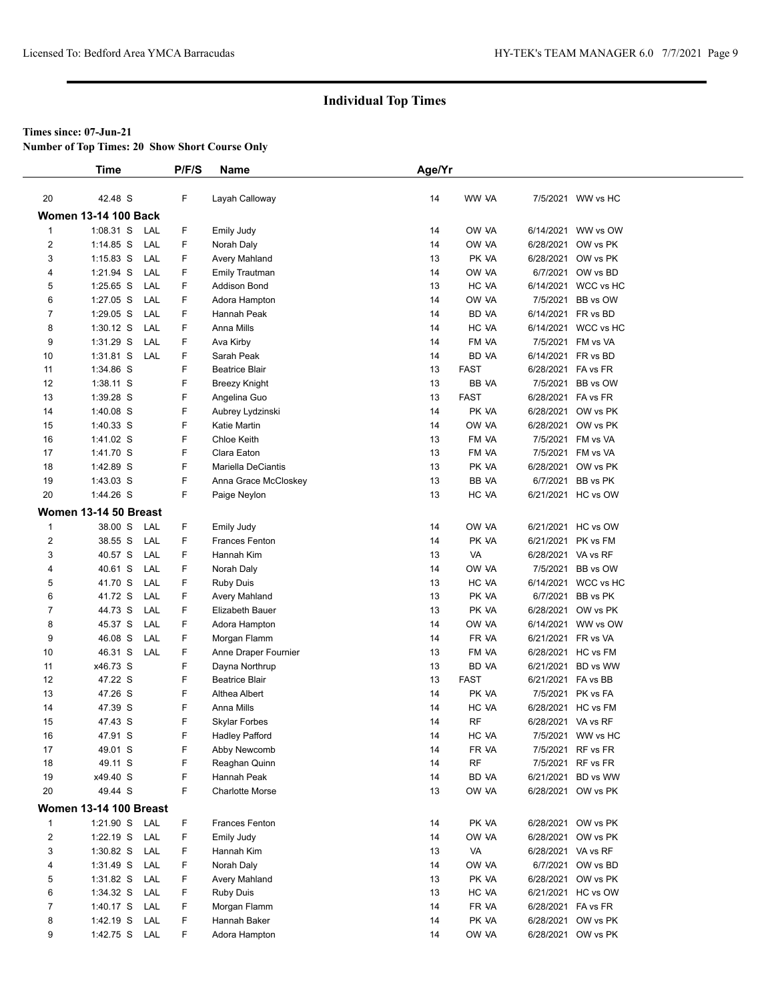**Number of Top Times: 20 Show Short Course Only**

|                | <b>Time</b>                   |            | P/F/S | Name                   | Age/Yr |             |                    |                     |  |
|----------------|-------------------------------|------------|-------|------------------------|--------|-------------|--------------------|---------------------|--|
|                |                               |            |       |                        |        |             |                    |                     |  |
| 20             | 42.48 S                       |            | F     | Layah Calloway         | 14     | WW VA       |                    | 7/5/2021 WW vs HC   |  |
|                | <b>Women 13-14 100 Back</b>   |            |       |                        |        |             |                    |                     |  |
| $\mathbf{1}$   | 1:08.31 S                     | LAL        | F     | Emily Judy             | 14     | OW VA       |                    | 6/14/2021 WW vs OW  |  |
| 2              | $1:14.85$ S                   | LAL        | F.    | Norah Daly             | 14     | OW VA       | 6/28/2021          | OW vs PK            |  |
| 3              | $1:15.83$ S                   | LAL        | F     | Avery Mahland          | 13     | PK VA       |                    | 6/28/2021 OW vs PK  |  |
| 4              | 1:21.94 S                     | LAL        | F     | <b>Emily Trautman</b>  | 14     | OW VA       |                    | 6/7/2021 OW vs BD   |  |
| 5              | 1:25.65 S                     | LAL        | F     | Addison Bond           | 13     | HC VA       |                    | 6/14/2021 WCC vs HC |  |
| 6              | 1:27.05 S                     | LAL        | F     | Adora Hampton          | 14     | OW VA       |                    | 7/5/2021 BB vs OW   |  |
| $\overline{7}$ | 1:29.05 S                     | LAL        | F.    | Hannah Peak            | 14     | BD VA       | 6/14/2021 FR vs BD |                     |  |
| 8              | $1:30.12$ S                   | LAL        | F     | Anna Mills             | 14     | HC VA       |                    | 6/14/2021 WCC vs HC |  |
| 9              | 1:31.29 S                     | LAL        | F     | Ava Kirby              | 14     | FM VA       |                    | 7/5/2021 FM vs VA   |  |
| 10             | $1:31.81$ S                   | LAL        | F     | Sarah Peak             | 14     | BD VA       |                    | 6/14/2021 FR vs BD  |  |
| 11             | 1:34.86 S                     |            | F.    | <b>Beatrice Blair</b>  | 13     | <b>FAST</b> | 6/28/2021 FA vs FR |                     |  |
| 12             | 1:38.11 S                     |            | F     | Breezy Knight          | 13     | BB VA       |                    | 7/5/2021 BB vs OW   |  |
| 13             | 1:39.28 S                     |            | F     | Angelina Guo           | 13     | <b>FAST</b> | 6/28/2021 FA vs FR |                     |  |
| 14             | 1:40.08 S                     |            | F     | Aubrey Lydzinski       | 14     | PK VA       |                    | 6/28/2021 OW vs PK  |  |
| 15             | 1:40.33 S                     |            | F     | Katie Martin           | 14     | OW VA       |                    | 6/28/2021 OW vs PK  |  |
| 16             | 1:41.02 S                     |            | F     | Chloe Keith            | 13     | FM VA       |                    | 7/5/2021 FM vs VA   |  |
| 17             | 1:41.70 S                     |            | F     | Clara Eaton            | 13     | FM VA       |                    | 7/5/2021 FM vs VA   |  |
| 18             | 1:42.89 S                     |            | F     | Mariella DeCiantis     | 13     | PK VA       |                    | 6/28/2021 OW vs PK  |  |
| 19             | $1:43.03$ S                   |            | F     | Anna Grace McCloskey   | 13     | BB VA       |                    | 6/7/2021 BB vs PK   |  |
| 20             | 1:44.26 S                     |            | F     | Paige Neylon           | 13     | HC VA       |                    | 6/21/2021 HC vs OW  |  |
|                | Women 13-14 50 Breast         |            |       |                        |        |             |                    |                     |  |
| $\mathbf{1}$   | 38.00 S                       | LAL        | F     | Emily Judy             | 14     | OW VA       |                    | 6/21/2021 HC vs OW  |  |
| $\overline{2}$ | 38.55 S                       | LAL        | F     | Frances Fenton         | 14     | PK VA       |                    | 6/21/2021 PK vs FM  |  |
| 3              | 40.57 S                       | <b>LAL</b> | F.    | Hannah Kim             | 13     | VA          | 6/28/2021 VA vs RF |                     |  |
| 4              | 40.61 S                       | LAL        | F.    | Norah Daly             | 14     | OW VA       |                    | 7/5/2021 BB vs OW   |  |
| 5              | 41.70 S                       | LAL        | F     | <b>Ruby Duis</b>       | 13     | HC VA       |                    | 6/14/2021 WCC vs HC |  |
| 6              | 41.72 S                       | LAL        | F.    | Avery Mahland          | 13     | PK VA       | 6/7/2021           | BB vs PK            |  |
| 7              | 44.73 S                       | LAL        | F.    | Elizabeth Bauer        | 13     | PK VA       |                    | 6/28/2021 OW vs PK  |  |
| 8              | 45.37 S                       | LAL        | F     | Adora Hampton          | 14     | OW VA       |                    | 6/14/2021 WW vs OW  |  |
| 9              | 46.08 S                       | LAL        | F.    | Morgan Flamm           | 14     | FR VA       | 6/21/2021 FR vs VA |                     |  |
| 10             | 46.31 S                       | LAL        | F.    | Anne Draper Fournier   | 13     | FM VA       |                    | 6/28/2021 HC vs FM  |  |
| 11             | x46.73 S                      |            | F     | Dayna Northrup         | 13     | BD VA       |                    | 6/21/2021 BD vs WW  |  |
| 12             | 47.22 S                       |            | F     | <b>Beatrice Blair</b>  | 13     | <b>FAST</b> | 6/21/2021 FA vs BB |                     |  |
| 13             | 47.26 S                       |            | F     | Althea Albert          | 14     | PK VA       |                    | 7/5/2021 PK vs FA   |  |
| 14             | 47.39 S                       |            | F     | Anna Mills             | 14     | HC VA       |                    | 6/28/2021 HC vs FM  |  |
| 15             | 47.43 S                       |            | F     | <b>Skylar Forbes</b>   | 14     | <b>RF</b>   | 6/28/2021 VA vs RF |                     |  |
| 16             | 47.91 S                       |            | F     | <b>Hadley Pafford</b>  | 14     | HC VA       |                    | 7/5/2021 WW vs HC   |  |
| 17             | 49.01 S                       |            | F     | Abby Newcomb           | 14     | FR VA       |                    | 7/5/2021 RF vs FR   |  |
| 18             | 49.11 S                       |            | F     | Reaghan Quinn          | 14     | <b>RF</b>   |                    | 7/5/2021 RF vs FR   |  |
| 19             | x49.40 S                      |            | F     | Hannah Peak            | 14     | BD VA       |                    | 6/21/2021 BD vs WW  |  |
| 20             | 49.44 S                       |            | F     | <b>Charlotte Morse</b> | 13     | OW VA       |                    | 6/28/2021 OW vs PK  |  |
|                | <b>Women 13-14 100 Breast</b> |            |       |                        |        |             |                    |                     |  |
| $\mathbf{1}$   | 1:21.90 S LAL                 |            | F     | Frances Fenton         | 14     | PK VA       |                    | 6/28/2021 OW vs PK  |  |
| $\overline{2}$ | 1:22.19 S                     | LAL        | F     | Emily Judy             | 14     | OW VA       |                    | 6/28/2021 OW vs PK  |  |
| 3              | 1:30.82 S                     | LAL        | F     | Hannah Kim             | 13     | VA          | 6/28/2021 VA vs RF |                     |  |
| 4              | 1:31.49 S                     | LAL        | F     | Norah Daly             | 14     | OW VA       |                    | 6/7/2021 OW vs BD   |  |
| 5              | 1:31.82 S                     | LAL        | F     | Avery Mahland          | 13     | PK VA       |                    | 6/28/2021 OW vs PK  |  |
| 6              | 1:34.32 S                     | LAL        | F     | <b>Ruby Duis</b>       | 13     | HC VA       |                    | 6/21/2021 HC vs OW  |  |
| 7              | $1:40.17$ S                   | LAL        | F     | Morgan Flamm           | 14     | FR VA       | 6/28/2021 FA vs FR |                     |  |
| 8              | 1:42.19 S                     | LAL        | F     | Hannah Baker           | 14     | PK VA       |                    | 6/28/2021 OW vs PK  |  |
| 9              | 1:42.75 S                     | LAL        | F.    | Adora Hampton          | 14     | OW VA       |                    | 6/28/2021 OW vs PK  |  |
|                |                               |            |       |                        |        |             |                    |                     |  |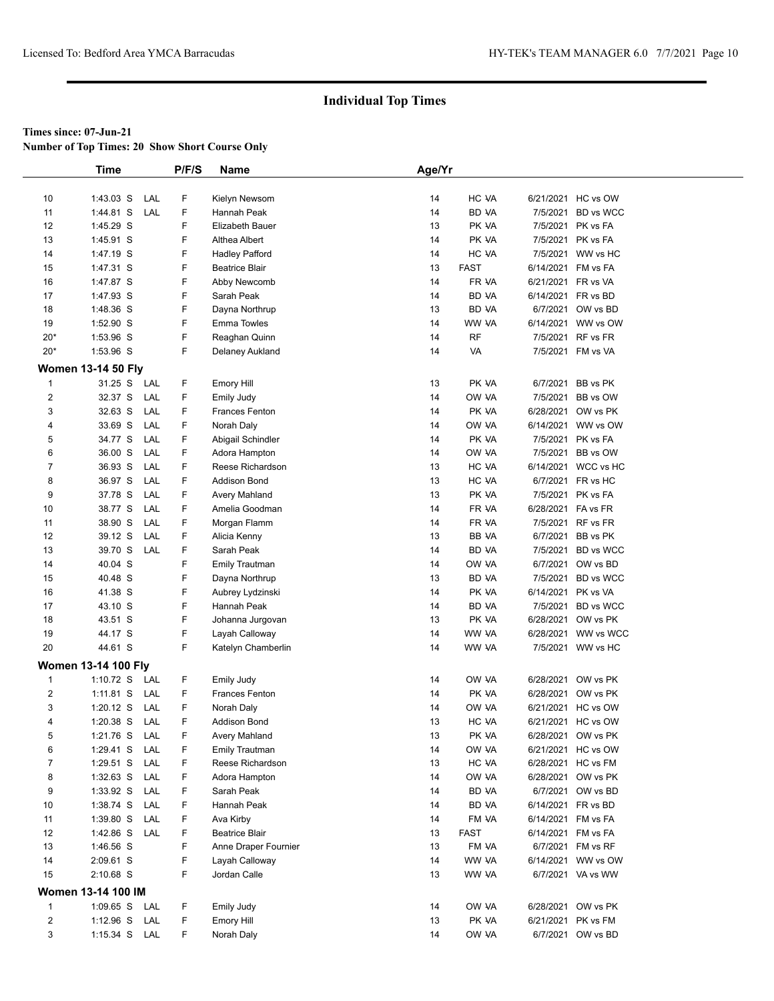**Number of Top Times: 20 Show Short Course Only**

|                               | <b>Time</b>                | P/F/S         | Name                  | Age/Yr   |                |                    |                                          |  |
|-------------------------------|----------------------------|---------------|-----------------------|----------|----------------|--------------------|------------------------------------------|--|
|                               |                            |               |                       |          |                |                    |                                          |  |
| 10                            | $1:43.03$ S                | LAL<br>F      | Kielyn Newsom         | 14       | HC VA          |                    | 6/21/2021 HC vs OW                       |  |
| 11                            | 1:44.81 S                  | F<br>LAL      | Hannah Peak           | 14       | <b>BD VA</b>   |                    | 7/5/2021 BD vs WCC                       |  |
| 12                            | 1:45.29 S                  | F             | Elizabeth Bauer       | 13       | PK VA          |                    | 7/5/2021 PK vs FA                        |  |
| 13                            | 1:45.91 S                  | F             | Althea Albert         | 14       | PK VA          |                    | 7/5/2021 PK vs FA                        |  |
| 14                            | 1:47.19 S                  | F             | <b>Hadley Pafford</b> | 14       | HC VA          |                    | 7/5/2021 WW vs HC                        |  |
| 15                            | 1:47.31 S                  | F             | <b>Beatrice Blair</b> | 13       | <b>FAST</b>    |                    | 6/14/2021 FM vs FA                       |  |
| 16                            | 1:47.87 S                  | F             | Abby Newcomb          | 14       | FR VA          |                    | 6/21/2021 FR vs VA                       |  |
| 17                            | 1:47.93 S                  | F             | Sarah Peak            | 14       | <b>BD VA</b>   |                    | 6/14/2021 FR vs BD                       |  |
| 18                            | 1:48.36 S                  | F             | Dayna Northrup        | 13       | BD VA          |                    | 6/7/2021 OW vs BD                        |  |
| 19                            | 1:52.90 S                  | F             | <b>Emma Towles</b>    | 14       | WW VA          |                    | 6/14/2021 WW vs OW                       |  |
| $20*$                         | 1:53.96 S                  | F             | Reaghan Quinn         | 14       | <b>RF</b>      |                    | 7/5/2021 RF vs FR                        |  |
| $20*$                         | 1:53.96 S                  | F.            | Delaney Aukland       | 14       | VA             |                    | 7/5/2021 FM vs VA                        |  |
|                               | <b>Women 13-14 50 Fly</b>  |               |                       |          |                |                    |                                          |  |
| $\mathbf 1$                   | 31.25 S LAL                | F             | <b>Emory Hill</b>     | 13       | PK VA          |                    | 6/7/2021 BB vs PK                        |  |
| $\overline{\mathbf{c}}$       | 32.37 S                    | LAL<br>F      | <b>Emily Judy</b>     | 14       | OW VA          |                    | 7/5/2021 BB vs OW                        |  |
| 3                             | 32.63 S                    | LAL<br>F      | Frances Fenton        | 14       | PK VA          |                    | 6/28/2021 OW vs PK                       |  |
| 4                             | 33.69 S                    | F<br>LAL      | Norah Daly            | 14       | OW VA          |                    | 6/14/2021 WW vs OW                       |  |
| 5                             | 34.77 S                    | F<br>LAL      | Abigail Schindler     | 14       | PK VA          |                    | 7/5/2021 PK vs FA                        |  |
| 6                             | 36.00 S                    | F<br>LAL      | Adora Hampton         | 14       | OW VA          |                    | 7/5/2021 BB vs OW                        |  |
| 7                             | 36.93 S                    | F<br>LAL      | Reese Richardson      | 13       | HC VA          |                    | 6/14/2021 WCC vs HC                      |  |
| 8                             | 36.97 S                    | F<br>LAL      | <b>Addison Bond</b>   | 13       | HC VA          |                    | 6/7/2021 FR vs HC                        |  |
| 9                             | 37.78 S                    | F<br>LAL      | Avery Mahland         | 13       | PK VA          |                    | 7/5/2021 PK vs FA                        |  |
| 10                            | 38.77 S                    | F<br>LAL      | Amelia Goodman        | 14       | FR VA          | 6/28/2021 FA vs FR |                                          |  |
| 11                            | 38.90 S                    | F<br>LAL      | Morgan Flamm          | 14       | FR VA          |                    | 7/5/2021 RF vs FR                        |  |
| 12                            | 39.12 S                    | F<br>LAL      | Alicia Kenny          | 13       | <b>BB VA</b>   |                    | 6/7/2021 BB vs PK                        |  |
| 13                            | 39.70 S                    | F<br>LAL      | Sarah Peak            | 14       | BD VA          |                    | 7/5/2021 BD vs WCC                       |  |
| 14                            | 40.04 S                    | F             | <b>Emily Trautman</b> | 14       | OW VA          |                    | 6/7/2021 OW vs BD                        |  |
| 15                            | 40.48 S                    | F             | Dayna Northrup        | 13       | <b>BD VA</b>   |                    | 7/5/2021 BD vs WCC                       |  |
| 16                            | 41.38 S                    | F             | Aubrey Lydzinski      | 14       | PK VA          | 6/14/2021 PK vs VA |                                          |  |
| 17                            | 43.10 S                    | F             | Hannah Peak           | 14       | BD VA          |                    | 7/5/2021 BD vs WCC                       |  |
| 18                            | 43.51 S                    | F             | Johanna Jurgovan      | 13       | PK VA          |                    | 6/28/2021 OW vs PK                       |  |
| 19                            | 44.17 S                    | F             | Layah Calloway        | 14       | WW VA          |                    | 6/28/2021 WW vs WCC                      |  |
| 20                            | 44.61 S                    | F             | Katelyn Chamberlin    | 14       | WW VA          |                    | 7/5/2021 WW vs HC                        |  |
|                               | <b>Women 13-14 100 Flv</b> |               |                       |          |                |                    |                                          |  |
|                               |                            |               | Emily Judy            |          |                |                    |                                          |  |
| $\mathbf 1$<br>$\overline{2}$ | $1:10.72$ S<br>LAL         | F<br>LAL<br>F | <b>Frances Fenton</b> | 14<br>14 | OW VA<br>PK VA |                    | 6/28/2021 OW vs PK<br>6/28/2021 OW vs PK |  |
| 3                             | $1:11.81$ S<br>$1:20.12$ S | F<br>LAL      | Norah Daly            | 14       | OW VA          |                    | 6/21/2021 HC vs OW                       |  |
| 4                             | $1:20.38$ S                | F<br>LAL      | <b>Addison Bond</b>   | 13       | HC VA          |                    | 6/21/2021 HC vs OW                       |  |
| 5                             | 1:21.76 S LAL              | F             | Avery Mahland         | 13       | PK VA          |                    | 6/28/2021 OW vs PK                       |  |
| 6                             | $1:29.41$ S<br>LAL         | F             | <b>Emily Trautman</b> | 14       | OW VA          |                    | 6/21/2021 HC vs OW                       |  |
| 7                             | $1:29.51$ S                | LAL<br>F      | Reese Richardson      | 13       | HC VA          |                    | 6/28/2021 HC vs FM                       |  |
| 8                             | $1:32.63$ S                | F<br>LAL      | Adora Hampton         | 14       | OW VA          |                    | 6/28/2021 OW vs PK                       |  |
| 9                             | $1:33.92$ S<br>LAL         | F             | Sarah Peak            | 14       | BD VA          |                    | 6/7/2021 OW vs BD                        |  |
| 10                            | 1:38.74 S<br>LAL           | F             | Hannah Peak           | 14       | BD VA          |                    | 6/14/2021 FR vs BD                       |  |
| 11                            | $1:39.80$ S                | LAL<br>F      | Ava Kirby             | 14       | FM VA          |                    | 6/14/2021 FM vs FA                       |  |
| 12                            | 1:42.86 S LAL              | F             | <b>Beatrice Blair</b> | 13       | <b>FAST</b>    |                    | 6/14/2021 FM vs FA                       |  |
| 13                            | 1:46.56 S                  | F             | Anne Draper Fournier  | 13       | FM VA          |                    | 6/7/2021 FM vs RF                        |  |
| 14                            | 2:09.61 S                  | F             | Layah Calloway        | 14       | WW VA          |                    | 6/14/2021 WW vs OW                       |  |
| 15                            | 2:10.68 S                  | F.            | Jordan Calle          | 13       | WW VA          |                    | 6/7/2021 VA vs WW                        |  |
|                               |                            |               |                       |          |                |                    |                                          |  |
|                               | Women 13-14 100 IM         |               |                       |          |                |                    |                                          |  |
| $\mathbf{1}$                  | 1:09.65 S LAL              | F             | <b>Emily Judy</b>     | 14       | OW VA          |                    | 6/28/2021 OW vs PK                       |  |
| $\overline{\mathbf{c}}$       | $1:12.96$ S                | F<br>LAL      | <b>Emory Hill</b>     | 13       | PK VA          |                    | 6/21/2021 PK vs FM                       |  |
| 3                             | 1:15.34 S LAL              | F             | Norah Daly            | 14       | OW VA          |                    | 6/7/2021 OW vs BD                        |  |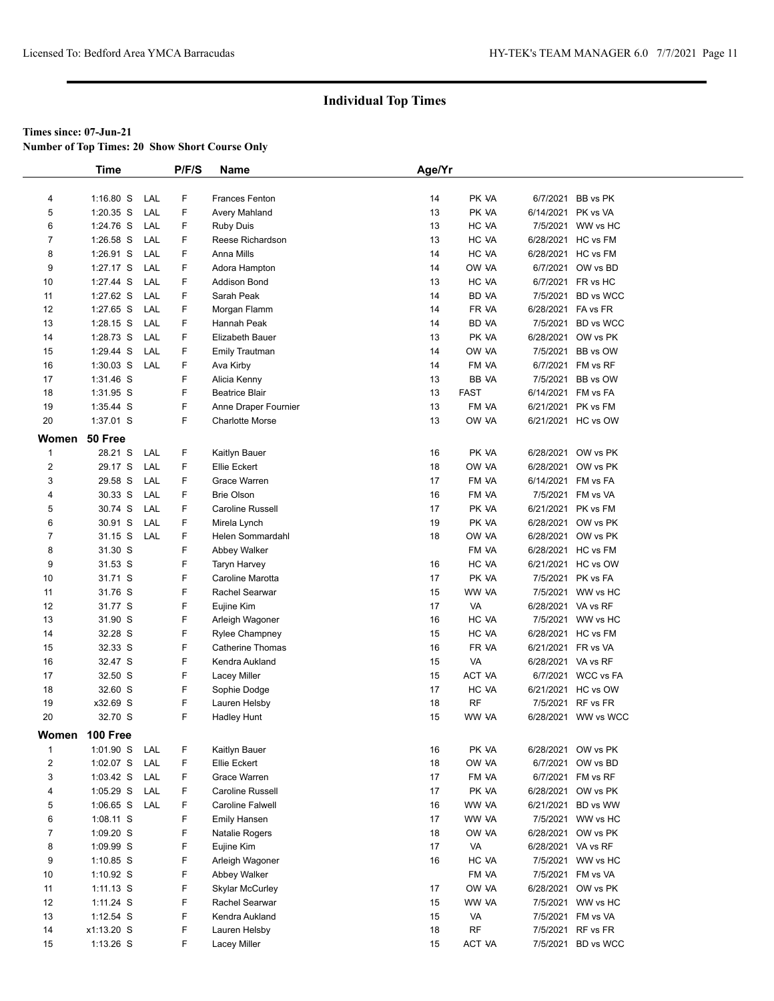**Number of Top Times: 20 Show Short Course Only**

|                | <b>Time</b>     |     | P/F/S | <b>Name</b>             | Age/Yr |               |                    |                     |
|----------------|-----------------|-----|-------|-------------------------|--------|---------------|--------------------|---------------------|
|                |                 |     |       |                         |        |               |                    |                     |
| 4              | $1:16.80$ S     | LAL | F     | <b>Frances Fenton</b>   | 14     | PK VA         |                    | 6/7/2021 BB vs PK   |
| 5              | 1:20.35 S       | LAL | F     | Avery Mahland           | 13     | PK VA         | 6/14/2021 PK vs VA |                     |
| 6              | 1:24.76 S       | LAL | F     | <b>Ruby Duis</b>        | 13     | HC VA         |                    | 7/5/2021 WW vs HC   |
| $\overline{7}$ | 1:26.58 S       | LAL | F     | Reese Richardson        | 13     | HC VA         |                    | 6/28/2021 HC vs FM  |
| 8              | 1:26.91 S       | LAL | F     | Anna Mills              | 14     | HC VA         |                    | 6/28/2021 HC vs FM  |
| 9              | 1:27.17 S       | LAL | F     | Adora Hampton           | 14     | OW VA         |                    | 6/7/2021 OW vs BD   |
| 10             | 1:27.44 S       | LAL | F     | <b>Addison Bond</b>     | 13     | HC VA         |                    | 6/7/2021 FR vs HC   |
| 11             | 1:27.62 S       | LAL | F     | Sarah Peak              | 14     | BD VA         |                    | 7/5/2021 BD vs WCC  |
| 12             | 1:27.65 S       | LAL | F     | Morgan Flamm            | 14     | FR VA         | 6/28/2021 FA vs FR |                     |
| 13             | 1:28.15 S       | LAL | F.    | Hannah Peak             | 14     | BD VA         |                    | 7/5/2021 BD vs WCC  |
| 14             | 1:28.73 S       | LAL | F     | Elizabeth Bauer         | 13     | PK VA         |                    | 6/28/2021 OW vs PK  |
| 15             | 1:29.44 S       | LAL | F     | <b>Emily Trautman</b>   | 14     | OW VA         |                    | 7/5/2021 BB vs OW   |
| 16             | 1:30.03 S       | LAL | F     | Ava Kirby               | 14     | FM VA         |                    | 6/7/2021 FM vs RF   |
| 17             | 1:31.46 S       |     | F     | Alicia Kenny            | 13     | BB VA         |                    | 7/5/2021 BB vs OW   |
| 18             | 1:31.95 S       |     | F     | <b>Beatrice Blair</b>   | 13     | <b>FAST</b>   | 6/14/2021 FM vs FA |                     |
| 19             | 1:35.44 S       |     | F     | Anne Draper Fournier    | 13     | FM VA         |                    | 6/21/2021 PK vs FM  |
| 20             | 1:37.01 S       |     | F     | <b>Charlotte Morse</b>  | 13     | OW VA         |                    | 6/21/2021 HC vs OW  |
| Women          | 50 Free         |     |       |                         |        |               |                    |                     |
| $\mathbf{1}$   | 28.21 S         | LAL | F     | Kaitlyn Bauer           | 16     | PK VA         |                    | 6/28/2021 OW vs PK  |
| $\overline{c}$ | 29.17 S         | LAL | F.    | Ellie Eckert            | 18     | OW VA         |                    | 6/28/2021 OW vs PK  |
| 3              | 29.58 S         | LAL | F     | Grace Warren            | 17     | FM VA         | 6/14/2021 FM vs FA |                     |
| 4              | 30.33 S         | LAL | F     | <b>Brie Olson</b>       | 16     | FM VA         |                    | 7/5/2021 FM vs VA   |
| 5              | 30.74 S         | LAL | F     | Caroline Russell        | 17     | PK VA         | 6/21/2021 PK vs FM |                     |
| 6              | 30.91 S         | LAL | F     | Mirela Lynch            | 19     | PK VA         | 6/28/2021          | OW vs PK            |
| $\overline{7}$ | 31.15 S         | LAL | F     | Helen Sommardahl        | 18     | OW VA         |                    | 6/28/2021 OW vs PK  |
| 8              | 31.30 S         |     | F     | Abbey Walker            |        | FM VA         |                    | 6/28/2021 HC vs FM  |
| 9              | 31.53 S         |     | F     | Taryn Harvey            | 16     | HC VA         |                    | 6/21/2021 HC vs OW  |
| 10             | 31.71 S         |     | F     | Caroline Marotta        | 17     | PK VA         |                    | 7/5/2021 PK vs FA   |
| 11             | 31.76 S         |     | F     | Rachel Searwar          | 15     | WW VA         |                    | 7/5/2021 WW vs HC   |
| 12             | 31.77 S         |     | F     | Eujine Kim              | 17     | VA            | 6/28/2021 VA vs RF |                     |
| 13             | 31.90 S         |     | F     | Arleigh Wagoner         | 16     | HC VA         |                    | 7/5/2021 WW vs HC   |
| 14             | 32.28 S         |     | F     | <b>Rylee Champney</b>   | 15     | HC VA         |                    | 6/28/2021 HC vs FM  |
| 15             | 32.33 S         |     | F     | <b>Catherine Thomas</b> | 16     | FR VA         | 6/21/2021 FR vs VA |                     |
| 16             | 32.47 S         |     | F     | Kendra Aukland          | 15     | VA            | 6/28/2021 VA vs RF |                     |
| 17             | 32.50 S         |     | F     | Lacey Miller            | 15     | <b>ACT VA</b> |                    | 6/7/2021 WCC vs FA  |
| 18             | 32.60 S         |     | F     | Sophie Dodge            | 17     | HC VA         |                    | 6/21/2021 HC vs OW  |
| 19             | x32.69 S        |     | F     | Lauren Helsby           | 18     | RF            |                    | 7/5/2021 RF vs FR   |
| 20             | 32.70 S         |     | F.    | <b>Hadley Hunt</b>      | 15     | WW VA         |                    | 6/28/2021 WW vs WCC |
| Women          | <b>100 Free</b> |     |       |                         |        |               |                    |                     |
| $\mathbf 1$    | 1:01.90 S       | LAL | F     | Kaitlyn Bauer           | 16     | PK VA         |                    | 6/28/2021 OW vs PK  |
| $\overline{2}$ | 1:02.07 S       | LAL | F.    | <b>Ellie Eckert</b>     | 18     | OW VA         |                    | 6/7/2021 OW vs BD   |
| 3              | 1:03.42 S       | LAL | F     | Grace Warren            | 17     | FM VA         |                    | 6/7/2021 FM vs RF   |
| 4              | 1:05.29 S       | LAL | F     | Caroline Russell        | 17     | PK VA         |                    | 6/28/2021 OW vs PK  |
| 5              | $1:06.65$ S     | LAL | F     | Caroline Falwell        | 16     | WW VA         |                    | 6/21/2021 BD vs WW  |
| 6              | 1:08.11 S       |     | F     | Emily Hansen            | 17     | WW VA         |                    | 7/5/2021 WW vs HC   |
| $\overline{7}$ | 1:09.20 S       |     | F     | Natalie Rogers          | 18     | OW VA         |                    | 6/28/2021 OW vs PK  |
| 8              | 1:09.99 S       |     | F     | Eujine Kim              | 17     | VA            | 6/28/2021 VA vs RF |                     |
| 9              | 1:10.85 S       |     | F     | Arleigh Wagoner         | 16     | HC VA         |                    | 7/5/2021 WW vs HC   |
| 10             | 1:10.92 S       |     | F     | Abbey Walker            |        | FM VA         |                    | 7/5/2021 FM vs VA   |
| 11             | $1:11.13$ S     |     | F     | <b>Skylar McCurley</b>  | 17     | OW VA         |                    | 6/28/2021 OW vs PK  |
| 12             | $1:11.24$ S     |     | F     | Rachel Searwar          | 15     | WW VA         |                    | 7/5/2021 WW vs HC   |
| 13             | 1:12.54 S       |     | F     | Kendra Aukland          | 15     | VA            |                    | 7/5/2021 FM vs VA   |
| 14             | x1:13.20 S      |     | F     | Lauren Helsby           | 18     | <b>RF</b>     |                    | 7/5/2021 RF vs FR   |
| 15             | $1:13.26$ S     |     | F.    | Lacey Miller            | 15     | ACT VA        |                    | 7/5/2021 BD vs WCC  |
|                |                 |     |       |                         |        |               |                    |                     |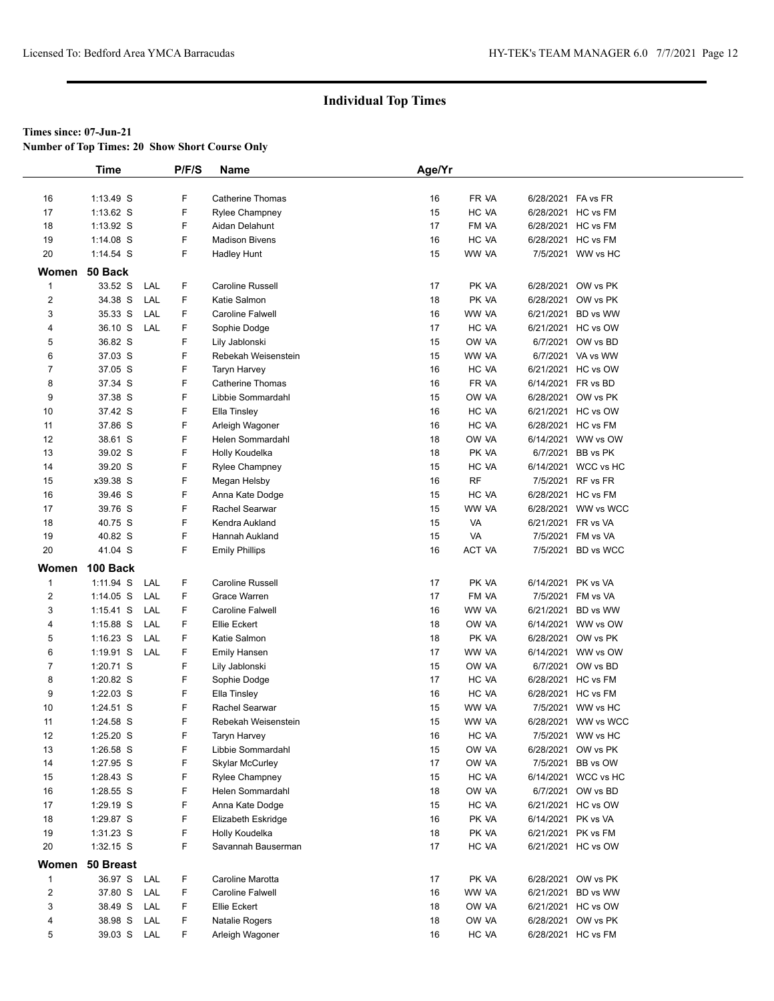**Number of Top Times: 20 Show Short Course Only**

|                         | <b>Time</b>     |     | P/F/S | Name                    | Age/Yr |           |                    |                     |
|-------------------------|-----------------|-----|-------|-------------------------|--------|-----------|--------------------|---------------------|
|                         |                 |     |       |                         |        |           |                    |                     |
| 16                      | $1:13.49$ S     |     | F     | <b>Catherine Thomas</b> | 16     | FR VA     | 6/28/2021 FA vs FR |                     |
| 17                      | $1:13.62$ S     |     | F     | <b>Rylee Champney</b>   | 15     | HC VA     |                    | 6/28/2021 HC vs FM  |
| 18                      | $1:13.92$ S     |     | F     | Aidan Delahunt          | 17     | FM VA     |                    | 6/28/2021 HC vs FM  |
| 19                      | $1:14.08$ S     |     | F     | <b>Madison Bivens</b>   | 16     | HC VA     |                    | 6/28/2021 HC vs FM  |
| 20                      | $1:14.54$ S     |     | F     | <b>Hadley Hunt</b>      | 15     | WW VA     |                    | 7/5/2021 WW vs HC   |
| Women                   | 50 Back         |     |       |                         |        |           |                    |                     |
| $\mathbf{1}$            | 33.52 S         | LAL | F     | Caroline Russell        | 17     | PK VA     |                    | 6/28/2021 OW vs PK  |
| $\overline{\mathbf{c}}$ | 34.38 S         | LAL | F     | Katie Salmon            | 18     | PK VA     |                    | 6/28/2021 OW vs PK  |
| 3                       | 35.33 S         | LAL | F     | Caroline Falwell        | 16     | WW VA     |                    | 6/21/2021 BD vs WW  |
| 4                       | 36.10 S         | LAL | F     | Sophie Dodge            | 17     | HC VA     |                    | 6/21/2021 HC vs OW  |
| 5                       | 36.82 S         |     | F     | Lily Jablonski          | 15     | OW VA     |                    | 6/7/2021 OW vs BD   |
| 6                       | 37.03 S         |     | F     | Rebekah Weisenstein     | 15     | WW VA     |                    | 6/7/2021 VA vs WW   |
| $\overline{7}$          | 37.05 S         |     | F     | <b>Taryn Harvey</b>     | 16     | HC VA     |                    | 6/21/2021 HC vs OW  |
| 8                       | 37.34 S         |     | F     | <b>Catherine Thomas</b> | 16     | FR VA     |                    | 6/14/2021 FR vs BD  |
| 9                       | 37.38 S         |     | F     | Libbie Sommardahl       | 15     | OW VA     |                    | 6/28/2021 OW vs PK  |
| 10                      | 37.42 S         |     | F     | Ella Tinsley            | 16     | HC VA     |                    | 6/21/2021 HC vs OW  |
| 11                      | 37.86 S         |     | F     | Arleigh Wagoner         | 16     | HC VA     |                    | 6/28/2021 HC vs FM  |
| 12                      | 38.61 S         |     | F     | Helen Sommardahl        | 18     | OW VA     |                    | 6/14/2021 WW vs OW  |
| 13                      | 39.02 S         |     | F     | Holly Koudelka          | 18     | PK VA     |                    | 6/7/2021 BB vs PK   |
| 14                      | 39.20 S         |     | F     | <b>Rylee Champney</b>   | 15     | HC VA     |                    | 6/14/2021 WCC vs HC |
| 15                      | x39.38 S        |     | F     | Megan Helsby            | 16     | <b>RF</b> |                    | 7/5/2021 RF vs FR   |
| 16                      | 39.46 S         |     | F     | Anna Kate Dodge         | 15     | HC VA     |                    | 6/28/2021 HC vs FM  |
| 17                      | 39.76 S         |     | F     | Rachel Searwar          | 15     | WW VA     |                    | 6/28/2021 WW vs WCC |
| 18                      | 40.75 S         |     | F     | Kendra Aukland          | 15     | VA        | 6/21/2021 FR vs VA |                     |
| 19                      | 40.82 S         |     | F     | Hannah Aukland          | 15     | VA        |                    | 7/5/2021 FM vs VA   |
| 20                      | 41.04 S         |     | F     | <b>Emily Phillips</b>   | 16     | ACT VA    |                    | 7/5/2021 BD vs WCC  |
| Women                   | 100 Back        |     |       |                         |        |           |                    |                     |
| $\mathbf{1}$            | $1:11.94$ S     | LAL | F     | Caroline Russell        | 17     | PK VA     |                    | 6/14/2021 PK vs VA  |
| 2                       | $1:14.05$ S     | LAL | F     | Grace Warren            | 17     | FM VA     |                    | 7/5/2021 FM vs VA   |
| 3                       | $1:15.41$ S     | LAL | F     | Caroline Falwell        | 16     | WW VA     |                    | 6/21/2021 BD vs WW  |
| 4                       | 1:15.88 S       | LAL | F     | <b>Ellie Eckert</b>     | 18     | OW VA     |                    | 6/14/2021 WW vs OW  |
| 5                       | $1:16.23$ S     | LAL | F     | Katie Salmon            | 18     | PK VA     |                    | 6/28/2021 OW vs PK  |
| 6                       | 1:19.91 S       | LAL | F     | Emily Hansen            | 17     | WW VA     |                    | 6/14/2021 WW vs OW  |
| $\overline{7}$          | 1:20.71 S       |     | F     | Lily Jablonski          | 15     | OW VA     |                    | 6/7/2021 OW vs BD   |
| 8                       | 1:20.82 S       |     | F     | Sophie Dodge            | 17     | HC VA     |                    | 6/28/2021 HC vs FM  |
| 9                       | 1:22.03 S       |     | F     | Ella Tinsley            | 16     | HC VA     |                    | 6/28/2021 HC vs FM  |
| 10                      | 1:24.51 S       |     | F     | Rachel Searwar          | 15     | WW VA     |                    | 7/5/2021 WW vs HC   |
| 11                      | 1:24.58 S       |     | F     | Rebekah Weisenstein     | 15     | WW VA     |                    | 6/28/2021 WW vs WCC |
| 12                      | 1:25.20 S       |     | F     | Taryn Harvey            | 16     | HC VA     |                    | 7/5/2021 WW vs HC   |
| 13                      | 1:26.58 S       |     | F     | Libbie Sommardahl       | 15     | OW VA     |                    | 6/28/2021 OW vs PK  |
| 14                      | 1:27.95 S       |     | F     | <b>Skylar McCurley</b>  | 17     | OW VA     |                    | 7/5/2021 BB vs OW   |
| 15                      | 1:28.43 S       |     | F     | <b>Rylee Champney</b>   | 15     | HC VA     |                    | 6/14/2021 WCC vs HC |
| 16                      | 1:28.55 S       |     | F     | Helen Sommardahl        | 18     | OW VA     |                    | 6/7/2021 OW vs BD   |
| 17                      | 1:29.19 S       |     | F     | Anna Kate Dodge         | 15     | HC VA     |                    | 6/21/2021 HC vs OW  |
| 18                      | 1:29.87 S       |     | F     | Elizabeth Eskridge      | 16     | PK VA     |                    | 6/14/2021 PK vs VA  |
| 19                      | 1:31.23 S       |     | F     | Holly Koudelka          | 18     | PK VA     |                    | 6/21/2021 PK vs FM  |
| 20                      | $1:32.15$ S     |     | F     | Savannah Bauserman      | 17     | HC VA     |                    | 6/21/2021 HC vs OW  |
|                         | Women 50 Breast |     |       |                         |        |           |                    |                     |
| $\mathbf{1}$            | 36.97 S         | LAL | F     | Caroline Marotta        | 17     | PK VA     |                    | 6/28/2021 OW vs PK  |
| $\overline{\mathbf{c}}$ | 37.80 S         | LAL | F     | Caroline Falwell        | 16     | WW VA     |                    | 6/21/2021 BD vs WW  |
| 3                       | 38.49 S         | LAL | F     | <b>Ellie Eckert</b>     | 18     | OW VA     |                    | 6/21/2021 HC vs OW  |
| 4                       | 38.98 S         | LAL | F     | Natalie Rogers          | 18     | OW VA     |                    | 6/28/2021 OW vs PK  |
| 5                       | 39.03 S LAL     |     | F.    | Arleigh Wagoner         | 16     | HC VA     |                    | 6/28/2021 HC vs FM  |
|                         |                 |     |       |                         |        |           |                    |                     |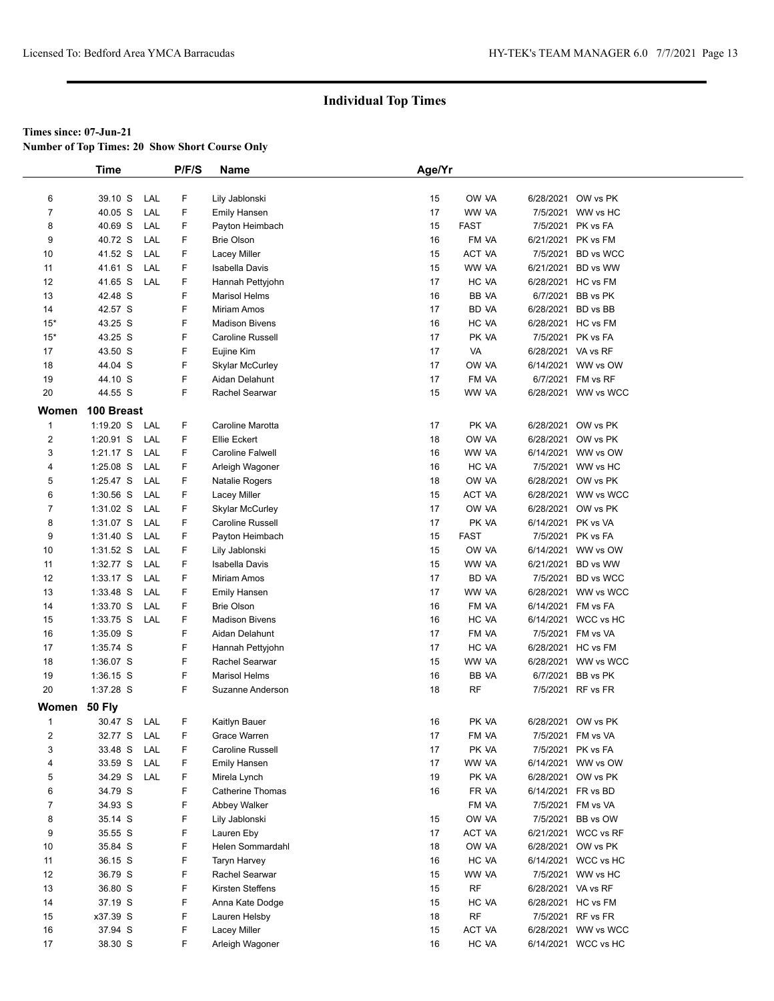**Number of Top Times: 20 Show Short Course Only**

|                | <b>Time</b>        | P/F/S  | <b>Name</b>            | Age/Yr |             |                    |                     |
|----------------|--------------------|--------|------------------------|--------|-------------|--------------------|---------------------|
|                |                    |        |                        |        |             |                    |                     |
| 6              | 39.10 S<br>LAL     | F      | Lily Jablonski         | 15     | OW VA       |                    | 6/28/2021 OW vs PK  |
| $\overline{7}$ | 40.05 S<br>LAL     | F      | <b>Emily Hansen</b>    | 17     | WW VA       |                    | 7/5/2021 WW vs HC   |
| 8              | 40.69 S<br>LAL     | F      | Payton Heimbach        | 15     | <b>FAST</b> |                    | 7/5/2021 PK vs FA   |
| 9              | 40.72 S<br>LAL     | F      | <b>Brie Olson</b>      | 16     | FM VA       |                    | 6/21/2021 PK vs FM  |
| 10             | 41.52 S<br>LAL     | F      | Lacey Miller           | 15     | ACT VA      |                    | 7/5/2021 BD vs WCC  |
| 11             | 41.61 S<br>LAL     | F      | Isabella Davis         | 15     | WW VA       |                    | 6/21/2021 BD vs WW  |
| 12             | 41.65 S<br>LAL     | F      | Hannah Pettyjohn       | 17     | HC VA       |                    | 6/28/2021 HC vs FM  |
| 13             | 42.48 S            | F      | <b>Marisol Helms</b>   | 16     | BB VA       |                    | 6/7/2021 BB vs PK   |
| 14             | 42.57 S            | F      | Miriam Amos            | 17     | BD VA       | 6/28/2021 BD vs BB |                     |
| $15*$          | 43.25 S            | F      | <b>Madison Bivens</b>  | 16     | HC VA       |                    | 6/28/2021 HC vs FM  |
| $15*$          | 43.25 S            | F      | Caroline Russell       | 17     | PK VA       |                    | 7/5/2021 PK vs FA   |
| 17             | 43.50 S            | F      | Eujine Kim             | 17     | VA          | 6/28/2021 VA vs RF |                     |
| 18             | 44.04 S            | F      | <b>Skylar McCurley</b> | 17     | OW VA       |                    | 6/14/2021 WW vs OW  |
| 19             | 44.10 S            | F      | Aidan Delahunt         | 17     | FM VA       |                    | 6/7/2021 FM vs RF   |
| 20             | 44.55 S            | F      | Rachel Searwar         | 15     | WW VA       |                    | 6/28/2021 WW vs WCC |
| Women          | 100 Breast         |        |                        |        |             |                    |                     |
| $\mathbf{1}$   |                    |        |                        |        | PK VA       |                    |                     |
|                | $1:19.20$ S<br>LAL | F      | Caroline Marotta       | 17     |             |                    | 6/28/2021 OW vs PK  |
| $\overline{c}$ | 1:20.91 S<br>LAL   | F<br>F | Ellie Eckert           | 18     | OW VA       |                    | 6/28/2021 OW vs PK  |
| 3              | $1:21.17$ S<br>LAL | F      | Caroline Falwell       | 16     | WW VA       |                    | 6/14/2021 WW vs OW  |
| 4              | 1:25.08 S<br>LAL   |        | Arleigh Wagoner        | 16     | HC VA       |                    | 7/5/2021 WW vs HC   |
| 5              | 1:25.47 S<br>LAL   | F      | Natalie Rogers         | 18     | OW VA       |                    | 6/28/2021 OW vs PK  |
| 6              | $1:30.56$ S<br>LAL | F      | Lacey Miller           | 15     | ACT VA      |                    | 6/28/2021 WW vs WCC |
| $\overline{7}$ | $1:31.02$ S<br>LAL | F      | <b>Skylar McCurley</b> | 17     | OW VA       |                    | 6/28/2021 OW vs PK  |
| 8              | 1:31.07 S<br>LAL   | F      | Caroline Russell       | 17     | PK VA       | 6/14/2021 PK vs VA |                     |
| 9              | $1:31.40$ S<br>LAL | F      | Payton Heimbach        | 15     | <b>FAST</b> |                    | 7/5/2021 PK vs FA   |
| 10             | $1:31.52$ S<br>LAL | F      | Lily Jablonski         | 15     | OW VA       |                    | 6/14/2021 WW vs OW  |
| 11             | 1:32.77 S<br>LAL   | F      | <b>Isabella Davis</b>  | 15     | WW VA       |                    | 6/21/2021 BD vs WW  |
| 12             | 1:33.17 S<br>LAL   | F      | Miriam Amos            | 17     | BD VA       |                    | 7/5/2021 BD vs WCC  |
| 13             | 1:33.48 S<br>LAL   | F      | <b>Emily Hansen</b>    | 17     | WW VA       |                    | 6/28/2021 WW vs WCC |
| 14             | 1:33.70 S<br>LAL   | F      | <b>Brie Olson</b>      | 16     | FM VA       | 6/14/2021 FM vs FA |                     |
| 15             | 1:33.75 S<br>LAL   | F      | <b>Madison Bivens</b>  | 16     | HC VA       |                    | 6/14/2021 WCC vs HC |
| 16             | 1:35.09 S          | F      | Aidan Delahunt         | 17     | FM VA       |                    | 7/5/2021 FM vs VA   |
| 17             | 1:35.74 S          | F      | Hannah Pettyjohn       | 17     | HC VA       |                    | 6/28/2021 HC vs FM  |
| 18             | 1:36.07 S          | F      | Rachel Searwar         | 15     | WW VA       |                    | 6/28/2021 WW vs WCC |
| 19             | $1:36.15$ S        | F      | <b>Marisol Helms</b>   | 16     | BB VA       |                    | 6/7/2021 BB vs PK   |
| 20             | 1:37.28 S          | F      | Suzanne Anderson       | 18     | RF          |                    | 7/5/2021 RF vs FR   |
| Women          | <b>50 Fly</b>      |        |                        |        |             |                    |                     |
| $\mathbf{1}$   | 30.47 S LAL        | F      | Kaitlyn Bauer          | 16     | PK VA       |                    | 6/28/2021 OW vs PK  |
| 2              | 32.77 S<br>LAL     | F      | Grace Warren           | 17     | FM VA       |                    | 7/5/2021 FM vs VA   |
| 3              | 33.48 S<br>LAL     | F      | Caroline Russell       | 17     | PK VA       |                    | 7/5/2021 PK vs FA   |
| $\overline{4}$ | 33.59 S<br>LAL     | F      | Emily Hansen           | 17     | WW VA       |                    | 6/14/2021 WW vs OW  |
| 5              | 34.29 S<br>LAL     | F      | Mirela Lynch           | 19     | PK VA       |                    | 6/28/2021 OW vs PK  |
| 6              | 34.79 S            | F      | Catherine Thomas       | 16     | FR VA       |                    | 6/14/2021 FR vs BD  |
| $\overline{7}$ | 34.93 S            | F      | Abbey Walker           |        | FM VA       |                    | 7/5/2021 FM vs VA   |
| 8              | 35.14 S            | F      | Lily Jablonski         | 15     | OW VA       |                    | 7/5/2021 BB vs OW   |
| 9              | 35.55 S            | F      | Lauren Eby             | 17     | ACT VA      |                    | 6/21/2021 WCC vs RF |
| 10             | 35.84 S            | F      | Helen Sommardahl       | 18     | OW VA       |                    | 6/28/2021 OW vs PK  |
| 11             | 36.15 S            | F      | <b>Taryn Harvey</b>    | 16     | HC VA       |                    | 6/14/2021 WCC vs HC |
| 12             | 36.79 S            | F      | Rachel Searwar         | 15     | WW VA       |                    | 7/5/2021 WW vs HC   |
| 13             | 36.80 S            | F      | Kirsten Steffens       | 15     | <b>RF</b>   | 6/28/2021 VA vs RF |                     |
| 14             | 37.19 S            | F      | Anna Kate Dodge        | 15     | HC VA       |                    | 6/28/2021 HC vs FM  |
| 15             | x37.39 S           | F      | Lauren Helsby          | 18     | RF          |                    | 7/5/2021 RF vs FR   |
| 16             | 37.94 S            | F      | Lacey Miller           | 15     | ACT VA      |                    | 6/28/2021 WW vs WCC |
| 17             | 38.30 S            | F.     | Arleigh Wagoner        | 16     | HC VA       |                    | 6/14/2021 WCC vs HC |
|                |                    |        |                        |        |             |                    |                     |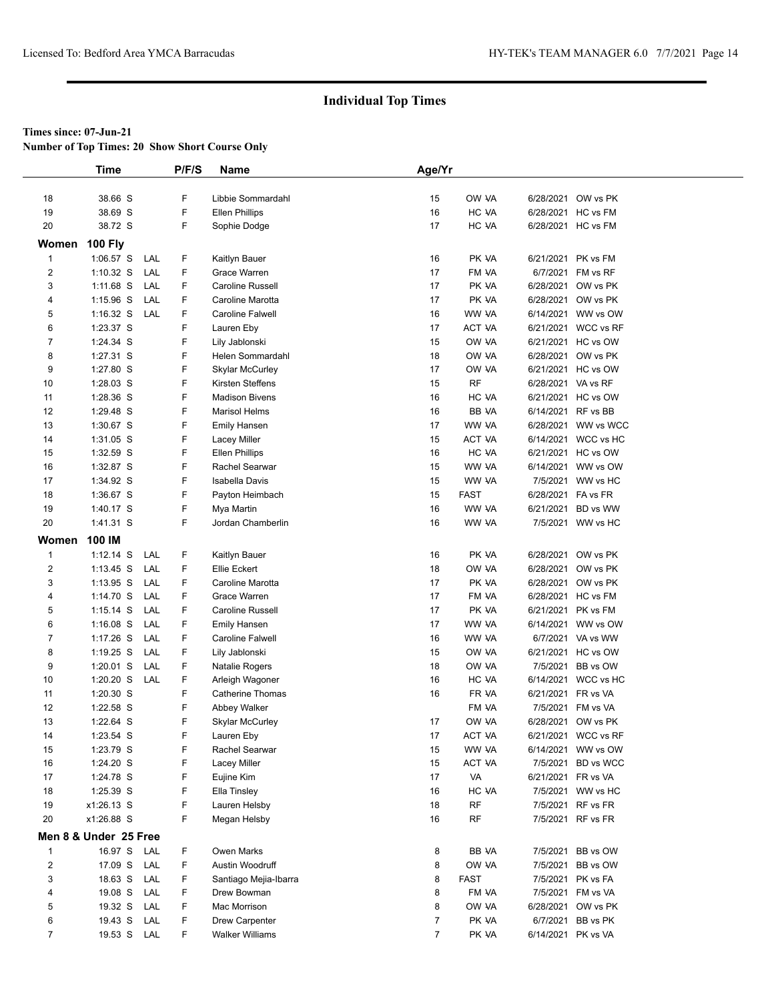**Number of Top Times: 20 Show Short Course Only**

|                | <b>Time</b>           |     | P/F/S | Name                    | Age/Yr         |             |                    |                     |  |
|----------------|-----------------------|-----|-------|-------------------------|----------------|-------------|--------------------|---------------------|--|
|                |                       |     |       |                         |                |             |                    |                     |  |
| 18             | 38.66 S               |     | F     | Libbie Sommardahl       | 15             | OW VA       |                    | 6/28/2021 OW vs PK  |  |
| 19             | 38.69 S               |     | F     | <b>Ellen Phillips</b>   | 16             | HC VA       | 6/28/2021          | HC vs FM            |  |
| 20             | 38.72 S               |     | F     | Sophie Dodge            | 17             | HC VA       |                    | 6/28/2021 HC vs FM  |  |
| Women          | <b>100 Fly</b>        |     |       |                         |                |             |                    |                     |  |
| $\mathbf{1}$   | $1:06.57$ S           | LAL | F     | Kaitlyn Bauer           | 16             | PK VA       | 6/21/2021          | PK vs FM            |  |
| $\overline{2}$ | $1:10.32$ S           | LAL | F     | Grace Warren            | 17             | FM VA       | 6/7/2021           | FM vs RF            |  |
| 3              | $1:11.68$ S           | LAL | F     | Caroline Russell        | 17             | PK VA       |                    | 6/28/2021 OW vs PK  |  |
| 4              | 1:15.96 S             | LAL | F     | Caroline Marotta        | 17             | PK VA       |                    | 6/28/2021 OW vs PK  |  |
| 5              | $1:16.32$ S           | LAL | F     | Caroline Falwell        | 16             | WW VA       |                    | 6/14/2021 WW vs OW  |  |
| 6              | 1:23.37 S             |     | F     | Lauren Eby              | 17             | ACT VA      |                    | 6/21/2021 WCC vs RF |  |
| $\overline{7}$ | 1:24.34 S             |     | F     | Lily Jablonski          | 15             | OW VA       | 6/21/2021          | HC vs OW            |  |
| 8              | 1:27.31 S             |     | F     | Helen Sommardahl        | 18             | OW VA       |                    | 6/28/2021 OW vs PK  |  |
| 9              | 1:27.80 S             |     | F     | <b>Skylar McCurley</b>  | 17             | OW VA       |                    | 6/21/2021 HC vs OW  |  |
| 10             | $1:28.03$ S           |     | F     | Kirsten Steffens        | 15             | <b>RF</b>   | 6/28/2021 VA vs RF |                     |  |
| 11             | 1:28.36 S             |     | F     | <b>Madison Bivens</b>   | 16             | HC VA       |                    | 6/21/2021 HC vs OW  |  |
| 12             | 1:29.48 S             |     | F     | <b>Marisol Helms</b>    | 16             | BB VA       | 6/14/2021 RF vs BB |                     |  |
| 13             | 1:30.67 S             |     | F     | Emily Hansen            | 17             | WW VA       |                    | 6/28/2021 WW vs WCC |  |
| 14             | 1:31.05 S             |     | F     | Lacey Miller            | 15             | ACT VA      |                    | 6/14/2021 WCC vs HC |  |
| 15             | 1:32.59 S             |     | F     | <b>Ellen Phillips</b>   | 16             | HC VA       |                    | 6/21/2021 HC vs OW  |  |
| 16             | 1:32.87 S             |     | F     | Rachel Searwar          | 15             | WW VA       |                    | 6/14/2021 WW vs OW  |  |
| 17             | 1:34.92 S             |     | F     | <b>Isabella Davis</b>   | 15             | WW VA       |                    | 7/5/2021 WW vs HC   |  |
| 18             | 1:36.67 S             |     | F     | Payton Heimbach         | 15             | <b>FAST</b> | 6/28/2021 FA vs FR |                     |  |
| 19             | 1:40.17 S             |     | F     | Mya Martin              | 16             | WW VA       | 6/21/2021          | BD vs WW            |  |
| 20             | 1:41.31 S             |     | F     | Jordan Chamberlin       | 16             | WW VA       |                    | 7/5/2021 WW vs HC   |  |
| Women          | 100 IM                |     |       |                         |                |             |                    |                     |  |
| $\mathbf{1}$   | $1:12.14$ S           | LAL | F     | Kaitlyn Bauer           | 16             | PK VA       |                    | 6/28/2021 OW vs PK  |  |
| $\overline{2}$ | $1:13.45$ S           | LAL | F     | Ellie Eckert            | 18             | OW VA       |                    | 6/28/2021 OW vs PK  |  |
| 3              | $1:13.95$ S           | LAL | F     | Caroline Marotta        | 17             | PK VA       |                    | 6/28/2021 OW vs PK  |  |
| 4              | 1:14.70 S             | LAL | F     | Grace Warren            | 17             | FM VA       |                    | 6/28/2021 HC vs FM  |  |
| 5              | $1:15.14$ S           | LAL | F     | Caroline Russell        | 17             | PK VA       |                    | 6/21/2021 PK vs FM  |  |
| 6              | $1:16.08$ S           | LAL | F     | <b>Emily Hansen</b>     | 17             | WW VA       |                    | 6/14/2021 WW vs OW  |  |
| $\overline{7}$ | $1:17.26$ S           | LAL | F     | Caroline Falwell        | 16             | WW VA       |                    | 6/7/2021 VA vs WW   |  |
| 8              | $1:19.25$ S           | LAL | F     | Lily Jablonski          | 15             | OW VA       | 6/21/2021          | HC vs OW            |  |
| 9              | $1:20.01$ S           | LAL | F     | Natalie Rogers          | 18             | OW VA       | 7/5/2021           | BB vs OW            |  |
| 10             | $1:20.20$ S           | LAL | F     | Arleigh Wagoner         | 16             | HC VA       |                    | 6/14/2021 WCC vs HC |  |
| 11             | 1:20.30 S             |     | F     | <b>Catherine Thomas</b> | 16             | FR VA       | 6/21/2021          | FR vs VA            |  |
| 12             | 1:22.58 S             |     | F     | Abbey Walker            |                | FM VA       | 7/5/2021           | FM vs VA            |  |
| 13             | $1:22.64$ S           |     | F     | <b>Skylar McCurley</b>  | 17             | OW VA       |                    | 6/28/2021 OW vs PK  |  |
| 14             | 1:23.54 S             |     | F     | Lauren Eby              | 17             | ACT VA      |                    | 6/21/2021 WCC vs RF |  |
| 15             | 1:23.79 S             |     | F     | Rachel Searwar          | 15             | WW VA       | 6/14/2021          | WW vs OW            |  |
| 16             | 1:24.20 S             |     | F     | Lacey Miller            | 15             | ACT VA      | 7/5/2021           | BD vs WCC           |  |
| 17             | 1:24.78 S             |     | F     | Eujine Kim              | 17             | VA          | 6/21/2021 FR vs VA |                     |  |
| 18             | 1:25.39 S             |     | F     | Ella Tinsley            | 16             | HC VA       |                    | 7/5/2021 WW vs HC   |  |
| 19             | x1:26.13 S            |     | F     | Lauren Helsby           | 18             | <b>RF</b>   |                    | 7/5/2021 RF vs FR   |  |
| 20             | x1:26.88 S            |     | F     | Megan Helsby            | 16             | <b>RF</b>   |                    | 7/5/2021 RF vs FR   |  |
|                |                       |     |       |                         |                |             |                    |                     |  |
|                | Men 8 & Under 25 Free |     |       |                         |                |             |                    |                     |  |
| $\mathbf{1}$   | 16.97 S               | LAL | F     | Owen Marks              | 8              | BB VA       |                    | 7/5/2021 BB vs OW   |  |
| $\overline{2}$ | 17.09 S               | LAL | F     | Austin Woodruff         | 8              | OW VA       | 7/5/2021           | BB vs OW            |  |
| 3              | 18.63 S               | LAL | F     | Santiago Mejia-Ibarra   | 8              | <b>FAST</b> | 7/5/2021           | PK vs FA            |  |
| 4              | 19.08 S               | LAL | F     | Drew Bowman             | 8              | FM VA       |                    | 7/5/2021 FM vs VA   |  |
| 5              | 19.32 S               | LAL | F     | Mac Morrison            | 8              | OW VA       |                    | 6/28/2021 OW vs PK  |  |
| 6              | 19.43 S               | LAL | F     | Drew Carpenter          | 7              | PK VA       |                    | 6/7/2021 BB vs PK   |  |
| $\overline{7}$ | 19.53 S LAL           |     | F.    | <b>Walker Williams</b>  | $\overline{7}$ | PK VA       | 6/14/2021 PK vs VA |                     |  |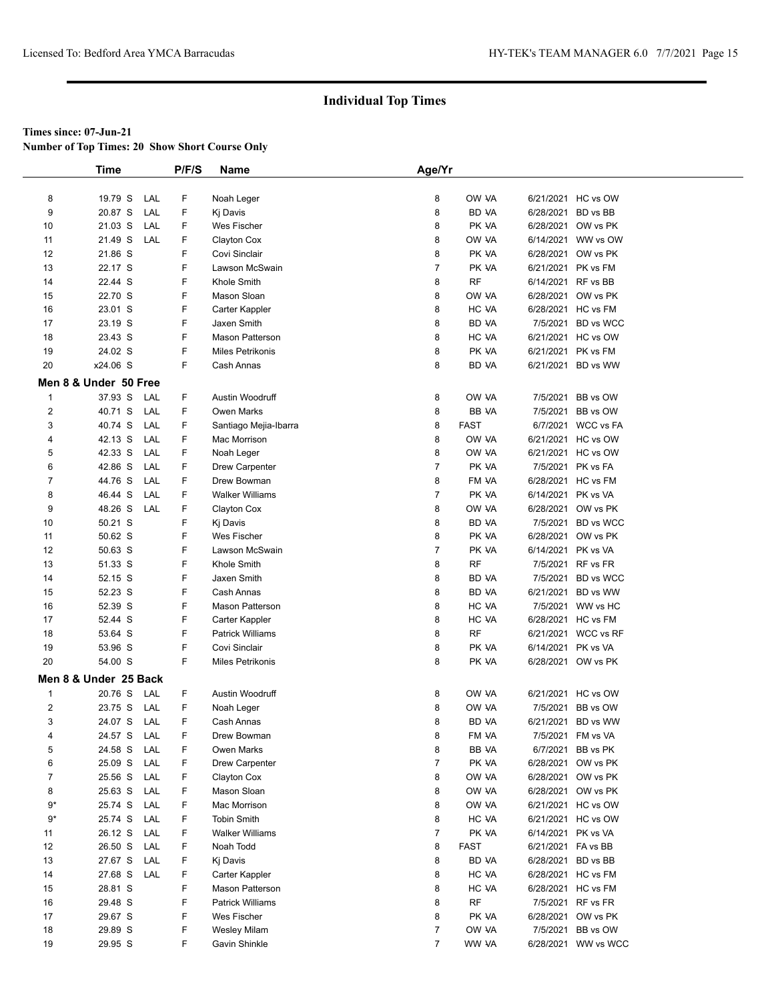**Number of Top Times: 20 Show Short Course Only**

|                | <b>Time</b>                      | P/F/S  | Name                               | Age/Yr         |                      |                    |                                          |
|----------------|----------------------------------|--------|------------------------------------|----------------|----------------------|--------------------|------------------------------------------|
|                |                                  |        |                                    |                |                      |                    |                                          |
| 8              | 19.79 S<br>LAL                   | F      | Noah Leger                         | 8              | OW VA                |                    | 6/21/2021 HC vs OW                       |
| 9              | 20.87 S<br>LAL                   | F      | Kj Davis                           | 8              | BD VA                |                    | 6/28/2021 BD vs BB                       |
| 10             | 21.03 S<br>LAL                   | F      | Wes Fischer                        | 8              | PK VA                |                    | 6/28/2021 OW vs PK                       |
| 11             | 21.49 S<br>LAL                   | F      | Clayton Cox                        | 8              | OW VA                |                    | 6/14/2021 WW vs OW                       |
| 12             | 21.86 S                          | F      | Covi Sinclair                      | 8              | PK VA                |                    | 6/28/2021 OW vs PK                       |
| 13             | 22.17 S                          | F      | Lawson McSwain                     | $\overline{7}$ | PK VA                |                    | 6/21/2021 PK vs FM                       |
| 14             | 22.44 S                          | F      | Khole Smith                        | 8              | <b>RF</b>            | 6/14/2021          | RF vs BB                                 |
| 15             | 22.70 S                          | F      | Mason Sloan                        | 8              | OW VA                |                    | 6/28/2021 OW vs PK                       |
| 16             | 23.01 S                          | F      | Carter Kappler                     | 8              | HC VA                |                    | 6/28/2021 HC vs FM                       |
| 17             | 23.19 S                          | F      | Jaxen Smith                        | 8              | <b>BD VA</b>         |                    | 7/5/2021 BD vs WCC                       |
| 18             | 23.43 S                          | F      | <b>Mason Patterson</b>             | 8              | HC VA                |                    | 6/21/2021 HC vs OW                       |
| 19             | 24.02 S                          | F      | <b>Miles Petrikonis</b>            | 8              | PK VA                |                    | 6/21/2021 PK vs FM                       |
| 20             | x24.06 S                         | F      | Cash Annas                         | 8              | <b>BD VA</b>         |                    | 6/21/2021 BD vs WW                       |
|                | Men 8 & Under 50 Free            |        |                                    |                |                      |                    |                                          |
| $\mathbf{1}$   | 37.93 S<br>LAL                   | F      | Austin Woodruff                    | 8              | OW VA                | 7/5/2021           | BB vs OW                                 |
| $\overline{2}$ | 40.71 S<br>LAL                   | F      | <b>Owen Marks</b>                  | 8              | BB VA                |                    | 7/5/2021 BB vs OW                        |
| 3              | 40.74 S<br>LAL                   | F      | Santiago Mejia-Ibarra              | 8              | <b>FAST</b>          |                    | 6/7/2021 WCC vs FA                       |
| 4              | 42.13 S<br>LAL                   | F      | Mac Morrison                       | 8              | OW VA                |                    | 6/21/2021 HC vs OW                       |
| 5              | 42.33 S<br>LAL                   | F      | Noah Leger                         | 8              | OW VA                |                    | 6/21/2021 HC vs OW                       |
| 6              | 42.86 S<br>LAL                   | F      | Drew Carpenter                     | $\overline{7}$ | PK VA                |                    | 7/5/2021 PK vs FA                        |
| $\overline{7}$ | 44.76 S<br>LAL                   | F      | Drew Bowman                        | 8              | FM VA                |                    | 6/28/2021 HC vs FM                       |
| 8              | 46.44 S<br>LAL                   | F      | <b>Walker Williams</b>             | $\overline{7}$ | PK VA                | 6/14/2021 PK vs VA |                                          |
| 9              | 48.26 S<br>LAL                   | F      | Clayton Cox                        | 8              | OW VA                |                    | 6/28/2021 OW vs PK                       |
| 10             | 50.21 S                          | F      | Ki Davis                           | 8              | <b>BD VA</b>         |                    | 7/5/2021 BD vs WCC                       |
| 11             | 50.62 S                          | F      | Wes Fischer                        | 8              | PK VA                |                    | 6/28/2021 OW vs PK                       |
| 12             | 50.63 S                          | F      | Lawson McSwain                     | $\overline{7}$ | PK VA                | 6/14/2021 PK vs VA |                                          |
| 13             | 51.33 S                          | F      | Khole Smith                        | 8              | RF                   |                    | 7/5/2021 RF vs FR                        |
| 14             | 52.15 S                          | F      | Jaxen Smith                        | 8              | <b>BD VA</b>         |                    | 7/5/2021 BD vs WCC                       |
| 15             | 52.23 S                          | F      | Cash Annas                         | 8              | <b>BD VA</b>         |                    | 6/21/2021 BD vs WW                       |
| 16             | 52.39 S                          | F      | <b>Mason Patterson</b>             | 8              | HC VA                |                    | 7/5/2021 WW vs HC                        |
| 17             | 52.44 S                          | F      | Carter Kappler                     | 8              | HC VA                |                    | 6/28/2021 HC vs FM                       |
| 18             | 53.64 S                          | F      | <b>Patrick Williams</b>            | 8              | RF                   |                    | 6/21/2021 WCC vs RF                      |
| 19             | 53.96 S                          | F      | Covi Sinclair                      | 8              | PK VA                | 6/14/2021          | PK vs VA                                 |
| 20             | 54.00 S                          | F      | Miles Petrikonis                   | 8              | PK VA                |                    | 6/28/2021 OW vs PK                       |
|                | Men 8 & Under 25 Back            |        |                                    |                |                      |                    |                                          |
|                |                                  |        |                                    |                |                      |                    |                                          |
| $\mathbf{1}$   | 20.76 S<br>LAL                   | F      | <b>Austin Woodruff</b>             | 8              | OW VA                |                    | 6/21/2021 HC vs OW                       |
| $\overline{2}$ | 23.75 S<br>LAL                   | F      | Noah Leger                         | 8              | OW VA                |                    | 7/5/2021 BB vs OW                        |
| 3              | 24.07 S<br>LAL                   | F      | Cash Annas                         | 8              | BD VA<br>FM VA       |                    | 6/21/2021 BD vs WW                       |
| 4<br>5         | 24.57 S<br>LAL<br>24.58 S        | F<br>F | Drew Bowman<br>Owen Marks          | 8<br>8         | BB VA                |                    | 7/5/2021 FM vs VA<br>6/7/2021 BB vs PK   |
| 6              | LAL<br>LAL                       |        |                                    | 7              |                      |                    |                                          |
| $\overline{7}$ | 25.09 S<br>25.56 S<br>LAL        | F<br>F | Drew Carpenter<br>Clayton Cox      | 8              | PK VA<br>OW VA       |                    | 6/28/2021 OW vs PK<br>6/28/2021 OW vs PK |
| 8              | 25.63 S<br>LAL                   | F      | Mason Sloan                        | 8              | OW VA                |                    | 6/28/2021 OW vs PK                       |
| $9*$           | LAL                              |        |                                    |                |                      |                    |                                          |
| $9*$           | 25.74 S<br>25.74 S<br>LAL        | F<br>F | Mac Morrison<br><b>Tobin Smith</b> | 8<br>8         | OW VA<br>HC VA       |                    | 6/21/2021 HC vs OW<br>6/21/2021 HC vs OW |
|                | 26.12 S<br>LAL                   | F      | <b>Walker Williams</b>             | 7              | PK VA                | 6/14/2021 PK vs VA |                                          |
| 11             |                                  |        |                                    |                |                      |                    |                                          |
| 12<br>13       | 26.50 S<br>LAL<br>27.67 S<br>LAL | F<br>F | Noah Todd<br>Kj Davis              | 8<br>8         | <b>FAST</b><br>BD VA | 6/21/2021 FA vs BB | 6/28/2021 BD vs BB                       |
| 14             | 27.68 S<br>LAL                   | F      | Carter Kappler                     | 8              | HC VA                |                    | 6/28/2021 HC vs FM                       |
| 15             | 28.81 S                          | F      | <b>Mason Patterson</b>             | 8              | HC VA                |                    | 6/28/2021 HC vs FM                       |
| 16             | 29.48 S                          | F      | <b>Patrick Williams</b>            | 8              | <b>RF</b>            |                    | 7/5/2021 RF vs FR                        |
| 17             | 29.67 S                          | F      | Wes Fischer                        | 8              | PK VA                |                    | 6/28/2021 OW vs PK                       |
| 18             | 29.89 S                          | F      | <b>Wesley Milam</b>                | 7              | OW VA                |                    | 7/5/2021 BB vs OW                        |
| 19             | 29.95 S                          | F      | Gavin Shinkle                      | $\overline{7}$ | WW VA                |                    | 6/28/2021 WW vs WCC                      |
|                |                                  |        |                                    |                |                      |                    |                                          |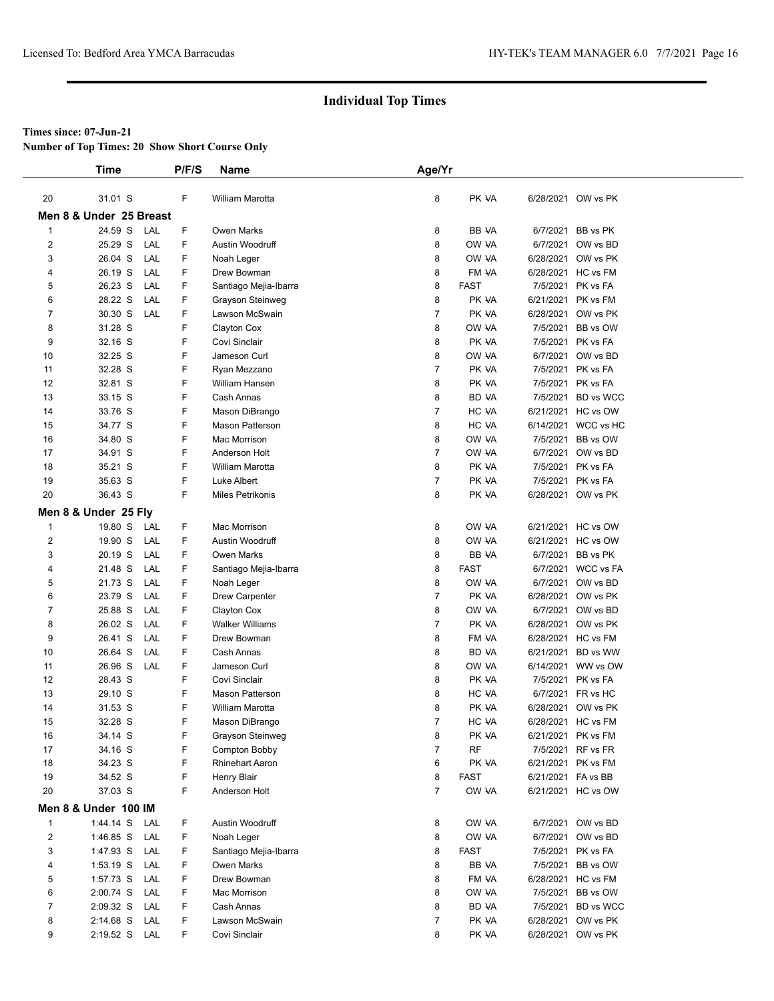**Number of Top Times: 20 Show Short Course Only**

|                         | Time                    |            | P/F/S  | Name                       | Age/Yr         |                |                    |                                          |
|-------------------------|-------------------------|------------|--------|----------------------------|----------------|----------------|--------------------|------------------------------------------|
|                         |                         |            |        |                            |                |                |                    |                                          |
| 20                      | 31.01 S                 |            | F      | William Marotta            | 8              | PK VA          |                    | 6/28/2021 OW vs PK                       |
|                         | Men 8 & Under 25 Breast |            |        |                            |                |                |                    |                                          |
| $\mathbf{1}$            | 24.59 S                 | LAL        | F      | <b>Owen Marks</b>          | 8              | BB VA          | 6/7/2021           | BB vs PK                                 |
| 2                       | 25.29 S                 | LAL        | F      | Austin Woodruff            | 8              | OW VA          |                    | 6/7/2021 OW vs BD                        |
| 3                       | 26.04 S                 | LAL        | F      | Noah Leger                 | 8              | OW VA          |                    | 6/28/2021 OW vs PK                       |
| 4                       | 26.19 S                 | LAL        | F.     | Drew Bowman                | 8              | FM VA          |                    | 6/28/2021 HC vs FM                       |
| 5                       | 26.23 S                 | LAL        | F      | Santiago Mejia-Ibarra      | 8              | <b>FAST</b>    |                    | 7/5/2021 PK vs FA                        |
| 6                       | 28.22 S                 | LAL        | F      | Grayson Steinweg           | 8              | PK VA          |                    | 6/21/2021 PK vs FM                       |
| 7                       | 30.30 S                 | LAL        | F.     | Lawson McSwain             | $\overline{7}$ | PK VA          |                    | 6/28/2021 OW vs PK                       |
| 8                       | 31.28 S                 |            | F      | Clayton Cox                | 8              | OW VA          |                    | 7/5/2021 BB vs OW                        |
| 9                       | 32.16 S                 |            | F      | Covi Sinclair              | 8              | PK VA          |                    | 7/5/2021 PK vs FA                        |
| 10                      | 32.25 S                 |            | F      | Jameson Curl               | 8              | OW VA          |                    | 6/7/2021 OW vs BD                        |
| 11                      | 32.28 S                 |            | F      | Ryan Mezzano               | 7              | PK VA          |                    | 7/5/2021 PK vs FA                        |
| 12                      | 32.81 S                 |            | F      | William Hansen             | 8              | PK VA          |                    | 7/5/2021 PK vs FA                        |
| 13                      | 33.15 S                 |            | F      | Cash Annas                 | 8              | BD VA          |                    | 7/5/2021 BD vs WCC                       |
| 14                      | 33.76 S                 |            | F      | Mason DiBrango             | 7              | HC VA          |                    | 6/21/2021 HC vs OW                       |
| 15                      | 34.77 S                 |            | F      | <b>Mason Patterson</b>     | 8              | HC VA          |                    | 6/14/2021 WCC vs HC                      |
| 16                      | 34.80 S                 |            | F      | Mac Morrison               | 8              | OW VA          |                    | 7/5/2021 BB vs OW                        |
| 17                      | 34.91 S                 |            | F      | Anderson Holt              | $\overline{7}$ | OW VA          |                    | 6/7/2021 OW vs BD                        |
| 18                      | 35.21 S                 |            | F      | <b>William Marotta</b>     | 8              | PK VA          |                    | 7/5/2021 PK vs FA                        |
| 19                      | 35.63 S                 |            | F<br>F | Luke Albert                | $\overline{7}$ | PK VA          |                    | 7/5/2021 PK vs FA                        |
| 20                      | 36.43 S                 |            |        | <b>Miles Petrikonis</b>    | 8              | PK VA          |                    | 6/28/2021 OW vs PK                       |
|                         | Men 8 & Under 25 Fly    |            |        |                            |                |                |                    |                                          |
| $\mathbf{1}$            | 19.80 S                 | LAL        | F      | Mac Morrison               | 8              | OW VA          |                    | 6/21/2021 HC vs OW                       |
| $\overline{\mathbf{c}}$ | 19.90 S                 | LAL        | F      | Austin Woodruff            | 8              | OW VA          |                    | 6/21/2021 HC vs OW                       |
| 3                       | 20.19 S                 | LAL        | F.     | <b>Owen Marks</b>          | 8              | BB VA          |                    | 6/7/2021 BB vs PK                        |
| 4                       | 21.48 S                 | LAL        | F      | Santiago Mejia-Ibarra      | 8              | <b>FAST</b>    |                    | 6/7/2021 WCC vs FA                       |
| 5                       | 21.73 S                 | LAL        | F      | Noah Leger                 | 8              | OW VA          |                    | 6/7/2021 OW vs BD                        |
| 6                       | 23.79 S                 | LAL        | F      | Drew Carpenter             | $\overline{7}$ | PK VA          |                    | 6/28/2021 OW vs PK                       |
| 7                       | 25.88 S                 | LAL        | F      | Clayton Cox                | 8              | OW VA          |                    | 6/7/2021 OW vs BD                        |
| 8                       | 26.02 S                 | LAL        | F      | <b>Walker Williams</b>     | $\overline{7}$ | PK VA          |                    | 6/28/2021 OW vs PK                       |
| 9                       | 26.41 S                 | LAL        | F.     | Drew Bowman                | 8              | FM VA          |                    | 6/28/2021 HC vs FM                       |
| 10                      | 26.64 S<br>26.96 S      | LAL<br>LAL | F<br>F | Cash Annas<br>Jameson Curl | 8<br>8         | BD VA<br>OW VA |                    | 6/21/2021 BD vs WW<br>6/14/2021 WW vs OW |
| 11<br>12                | 28.43 S                 |            | F      | Covi Sinclair              | 8              | PK VA          |                    | 7/5/2021 PK vs FA                        |
| 13                      | 29.10 S                 |            | F      | Mason Patterson            | 8              | HC VA          |                    | 6/7/2021 FR vs HC                        |
| 14                      | 31.53 S                 |            | F      | William Marotta            | 8              | PK VA          | 6/28/2021          | OW vs PK                                 |
| 15                      | 32.28 S                 |            | F.     | Mason DiBrango             | $\overline{7}$ | HC VA          |                    | 6/28/2021 HC vs FM                       |
| 16                      | 34.14 S                 |            | F      | Grayson Steinweg           | 8              | PK VA          |                    | 6/21/2021 PK vs FM                       |
| 17                      | 34.16 S                 |            | F      | Compton Bobby              | 7              | <b>RF</b>      |                    | 7/5/2021 RF vs FR                        |
| 18                      | 34.23 S                 |            | F      | <b>Rhinehart Aaron</b>     | 6              | PK VA          |                    | 6/21/2021 PK vs FM                       |
| 19                      | 34.52 S                 |            | F      | Henry Blair                | 8              | <b>FAST</b>    | 6/21/2021 FA vs BB |                                          |
| 20                      | 37.03 S                 |            | F      | Anderson Holt              | $\overline{7}$ | OW VA          |                    | 6/21/2021 HC vs OW                       |
|                         | Men 8 & Under 100 IM    |            |        |                            |                |                |                    |                                          |
| $\mathbf{1}$            | 1:44.14 S               | LAL        | F      | Austin Woodruff            | 8              | OW VA          |                    | 6/7/2021 OW vs BD                        |
| $\overline{\mathbf{c}}$ | 1:46.85 S               | LAL        | F      | Noah Leger                 | 8              | OW VA          |                    | 6/7/2021 OW vs BD                        |
| 3                       | 1:47.93 S               | LAL        | F      | Santiago Mejia-Ibarra      | 8              | <b>FAST</b>    |                    | 7/5/2021 PK vs FA                        |
| 4                       | $1:53.19$ S             | LAL        | F.     | Owen Marks                 | 8              | BB VA          |                    | 7/5/2021 BB vs OW                        |
| 5                       | 1:57.73 S               | LAL        | F.     | Drew Bowman                | 8              | FM VA          |                    | 6/28/2021 HC vs FM                       |
| 6                       | 2:00.74 S               | LAL        | F      | Mac Morrison               | 8              | OW VA          |                    | 7/5/2021 BB vs OW                        |
| $\overline{7}$          | $2:09.32$ S             | LAL        | F      | Cash Annas                 | 8              | BD VA          |                    | 7/5/2021 BD vs WCC                       |
| 8                       | 2:14.68 S               | LAL        | F      | Lawson McSwain             | 7              | PK VA          |                    | 6/28/2021 OW vs PK                       |
| 9                       | $2:19.52$ S             | LAL        | F.     | Covi Sinclair              | 8              | PK VA          |                    | 6/28/2021 OW vs PK                       |
|                         |                         |            |        |                            |                |                |                    |                                          |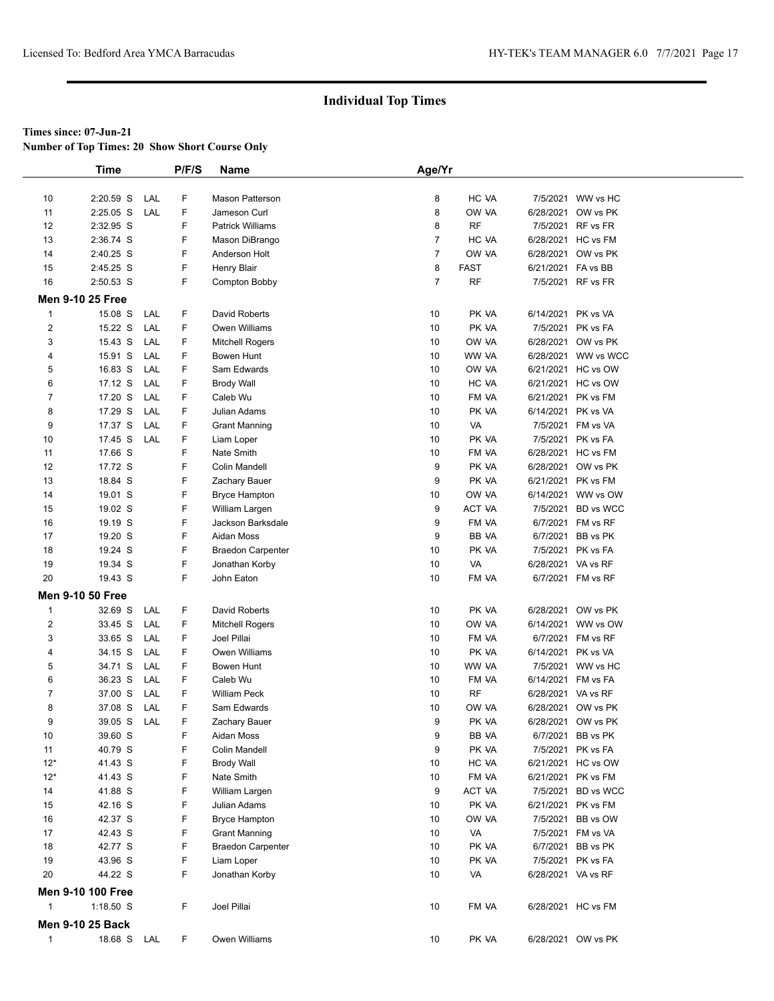**Number of Top Times: 20 Show Short Course Only**

|                         | Time                     |            | P/F/S  | Name                                             | Age/Yr         |                    |                                 |                      |
|-------------------------|--------------------------|------------|--------|--------------------------------------------------|----------------|--------------------|---------------------------------|----------------------|
|                         |                          |            |        |                                                  |                |                    |                                 |                      |
| 10                      | 2:20.59 S                | LAL        | F      | <b>Mason Patterson</b>                           | 8              | HC VA              | 7/5/2021                        | WW vs HC             |
| 11                      | $2:25.05$ S              | LAL        | F      | Jameson Curl                                     | 8              | OW VA              | 6/28/2021                       | OW vs PK             |
| 12                      | 2:32.95 S                |            | F      | <b>Patrick Williams</b>                          | 8              | <b>RF</b>          |                                 | 7/5/2021 RF vs FR    |
| 13                      | 2:36.74 S                |            | F      | Mason DiBrango                                   | $\overline{7}$ | HC VA              |                                 | 6/28/2021 HC vs FM   |
| 14                      | 2:40.25 S                |            | F      | Anderson Holt                                    | $\overline{7}$ | OW VA              | 6/28/2021                       | OW vs PK             |
| 15                      | 2:45.25 S                |            | F      | <b>Henry Blair</b>                               | 8              | <b>FAST</b>        | 6/21/2021 FA vs BB              |                      |
| 16                      | 2:50.53 S                |            | F      | Compton Bobby                                    | $\overline{7}$ | <b>RF</b>          |                                 | 7/5/2021 RF vs FR    |
|                         | <b>Men 9-10 25 Free</b>  |            |        |                                                  |                |                    |                                 |                      |
| $\mathbf{1}$            | 15.08 S                  | LAL        | F      | David Roberts                                    | 10             | PK VA              | 6/14/2021 PK vs VA              |                      |
| $\overline{\mathbf{c}}$ | 15.22 S                  | LAL        | F      | Owen Williams                                    | 10             | PK VA              | 7/5/2021                        | PK vs FA             |
| 3                       | 15.43 S                  | LAL        | F      | <b>Mitchell Rogers</b>                           | 10             | OW VA              | 6/28/2021                       | OW vs PK             |
| 4                       | 15.91 S                  | LAL        | F      | <b>Bowen Hunt</b>                                | 10             | WW VA              | 6/28/2021                       | WW vs WCC            |
| 5                       | 16.83 S                  | LAL        | F      | Sam Edwards                                      | 10             | OW VA              |                                 | 6/21/2021 HC vs OW   |
| 6                       | 17.12 S                  | LAL        | F      | <b>Brody Wall</b>                                | 10             | HC VA              |                                 | 6/21/2021 HC vs OW   |
| $\overline{7}$          | 17.20 S                  | LAL        | F      | Caleb Wu                                         | 10             | FM VA              |                                 | 6/21/2021 PK vs FM   |
| 8                       | 17.29 S                  | LAL        | F      | Julian Adams                                     | 10             | PK VA              | 6/14/2021 PK vs VA              |                      |
| 9                       | 17.37 S                  | LAL        | F      | <b>Grant Manning</b>                             | 10             | VA                 | 7/5/2021                        | FM vs VA             |
| 10                      | 17.45 S                  | LAL        | F      | Liam Loper                                       | 10             | PK VA              | 7/5/2021                        | PK vs FA             |
| 11                      | 17.66 S                  |            | F      | <b>Nate Smith</b>                                | 10             | FM VA              |                                 | 6/28/2021 HC vs FM   |
| 12                      | 17.72 S                  |            | F      | Colin Mandell                                    | 9              | PK VA              | 6/28/2021                       | OW vs PK             |
| 13                      | 18.84 S                  |            | F      | Zachary Bauer                                    | 9              | PK VA              | 6/21/2021                       | PK vs FM             |
| 14                      | 19.01 S                  |            | F      | <b>Bryce Hampton</b>                             | 10             | OW VA              | 6/14/2021                       | WW vs OW             |
| 15                      | 19.02 S                  |            | F      | William Largen                                   | 9              | <b>ACT VA</b>      | 7/5/2021                        | <b>BD</b> vs WCC     |
| 16                      | 19.19 S                  |            | F      | Jackson Barksdale                                | 9              | FM VA              | 6/7/2021                        | FM vs RF             |
| 17                      | 19.20 S                  |            | F      | Aidan Moss                                       | 9              | BB VA              | 6/7/2021                        | BB vs PK             |
| 18                      | 19.24 S                  |            | F      | <b>Braedon Carpenter</b>                         | 10             | PK VA              |                                 | 7/5/2021 PK vs FA    |
| 19                      | 19.34 S                  |            | F      | Jonathan Korby                                   | 10             | VA                 | 6/28/2021 VA vs RF              |                      |
| 20                      | 19.43 S                  |            | F      | John Eaton                                       | 10             | FM VA              |                                 | 6/7/2021 FM vs RF    |
|                         |                          |            |        |                                                  |                |                    |                                 |                      |
|                         | <b>Men 9-10 50 Free</b>  |            |        |                                                  |                |                    |                                 |                      |
| $\mathbf{1}$            | 32.69 S                  | LAL        | F      | David Roberts                                    | 10             | PK VA              | 6/28/2021                       | OW vs PK             |
| $\overline{2}$          | 33.45 S                  | LAL        | F      | <b>Mitchell Rogers</b>                           | 10             | OW VA              |                                 | 6/14/2021 WW vs OW   |
| 3                       | 33.65 S                  | LAL        | F      | Joel Pillai                                      | 10             | FM VA              | 6/7/2021                        | FM vs RF             |
| 4                       | 34.15 S                  | LAL        | F<br>F | Owen Williams                                    | 10             | PK VA              | 6/14/2021                       | PK vs VA             |
| 5                       | 34.71 S                  | LAL        |        | <b>Bowen Hunt</b>                                | 10             | WW VA              |                                 | 7/5/2021 WW vs HC    |
| 6                       | 36.23 S                  | LAL        | F      | Caleb Wu<br><b>William Peck</b>                  | 10             | FM VA              | 6/14/2021 FM vs FA              |                      |
| $\overline{7}$<br>8     | 37.00 S                  | LAL<br>LAL | F<br>F | Sam Edwards                                      | 10             | <b>RF</b><br>OW VA | 6/28/2021 VA vs RF<br>6/28/2021 | OW vs PK             |
|                         | 37.08 S                  |            |        |                                                  | 10             |                    |                                 |                      |
| 9                       | 39.05 S                  | LAL        | F      | Zachary Bauer                                    | 9              | PK VA<br>BB VA     |                                 | 6/28/2021 OW vs PK   |
| 10<br>11                | 39.60 S<br>40.79 S       |            | F<br>F | Aidan Moss<br>Colin Mandell                      | 9<br>9         | PK VA              | 6/7/2021<br>7/5/2021            | BB vs PK<br>PK vs FA |
| $12*$                   | 41.43 S                  |            | F      | <b>Brody Wall</b>                                | 10             | HC VA              |                                 | 6/21/2021 HC vs OW   |
| $12*$                   | 41.43 S                  |            | F      |                                                  | 10             | FM VA              |                                 | 6/21/2021 PK vs FM   |
| 14                      | 41.88 S                  |            | F      | Nate Smith                                       | 9              | ACT VA             | 7/5/2021                        | BD vs WCC            |
| 15                      | 42.16 S                  |            | F      | William Largen                                   | 10             | PK VA              |                                 | PK vs FM             |
| 16                      | 42.37 S                  |            | F      | Julian Adams<br><b>Bryce Hampton</b>             | 10             | OW VA              | 6/21/2021<br>7/5/2021           | BB vs OW             |
| 17                      | 42.43 S                  |            | F      |                                                  | 10             | VA                 |                                 | 7/5/2021 FM vs VA    |
| 18                      | 42.77 S                  |            | F      | <b>Grant Manning</b><br><b>Braedon Carpenter</b> | 10             | PK VA              | 6/7/2021                        | BB vs PK             |
| 19                      | 43.96 S                  |            | F      | Liam Loper                                       | 10             | PK VA              |                                 | 7/5/2021 PK vs FA    |
| 20                      | 44.22 S                  |            | F      | Jonathan Korby                                   | 10             | VA                 | 6/28/2021 VA vs RF              |                      |
|                         |                          |            |        |                                                  |                |                    |                                 |                      |
|                         | <b>Men 9-10 100 Free</b> |            |        |                                                  |                |                    |                                 |                      |
| $\mathbf{1}$            | 1:18.50 S                |            | F      | Joel Pillai                                      | 10             | FM VA              |                                 | 6/28/2021 HC vs FM   |
|                         | <b>Men 9-10 25 Back</b>  |            |        |                                                  |                |                    |                                 |                      |
| $\mathbf{1}$            | 18.68 S LAL              |            | F      | Owen Williams                                    | 10             | PK VA              |                                 | 6/28/2021 OW vs PK   |
|                         |                          |            |        |                                                  |                |                    |                                 |                      |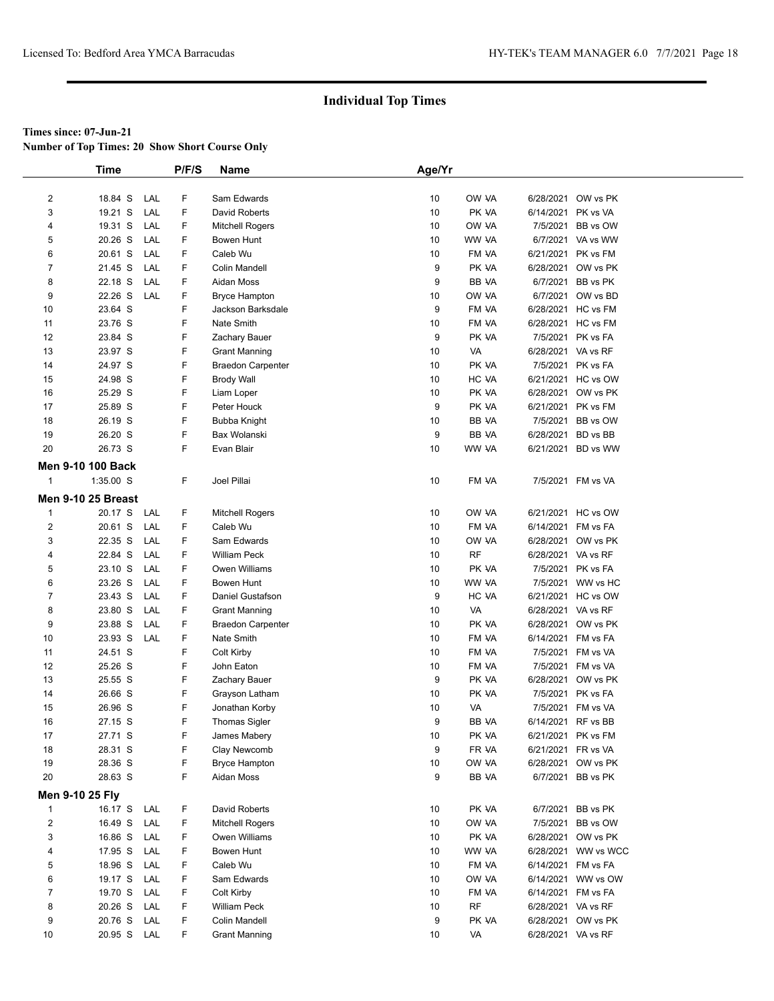**Number of Top Times: 20 Show Short Course Only**

|                         | <b>Time</b>               |     | P/F/S | <b>Name</b>              | Age/Yr |              |                    |                     |
|-------------------------|---------------------------|-----|-------|--------------------------|--------|--------------|--------------------|---------------------|
|                         |                           |     |       |                          |        |              |                    |                     |
| $\overline{2}$          | 18.84 S                   | LAL | F     | Sam Edwards              | 10     | OW VA        |                    | 6/28/2021 OW vs PK  |
| 3                       | 19.21 S                   | LAL | F     | David Roberts            | 10     | PK VA        | 6/14/2021 PK vs VA |                     |
| 4                       | 19.31 S                   | LAL | F     | <b>Mitchell Rogers</b>   | 10     | OW VA        | 7/5/2021           | BB vs OW            |
| 5                       | 20.26 S                   | LAL | F     | Bowen Hunt               | 10     | WW VA        |                    | 6/7/2021 VA vs WW   |
| 6                       | 20.61 S                   | LAL | F     | Caleb Wu                 | 10     | FM VA        |                    | 6/21/2021 PK vs FM  |
| $\overline{7}$          | 21.45 S                   | LAL | F     | <b>Colin Mandell</b>     | 9      | PK VA        |                    | 6/28/2021 OW vs PK  |
| 8                       | 22.18 S                   | LAL | F     | Aidan Moss               | 9      | <b>BB VA</b> |                    | 6/7/2021 BB vs PK   |
| 9                       | 22.26 S                   | LAL | F     | <b>Bryce Hampton</b>     | 10     | OW VA        |                    | 6/7/2021 OW vs BD   |
| 10                      | 23.64 S                   |     | F     | Jackson Barksdale        | 9      | FM VA        |                    | 6/28/2021 HC vs FM  |
| 11                      | 23.76 S                   |     | F     | Nate Smith               | 10     | FM VA        |                    | 6/28/2021 HC vs FM  |
| 12                      | 23.84 S                   |     | F     | Zachary Bauer            | 9      | PK VA        |                    | 7/5/2021 PK vs FA   |
| 13                      | 23.97 S                   |     | F     | <b>Grant Manning</b>     | 10     | VA           | 6/28/2021 VA vs RF |                     |
| 14                      | 24.97 S                   |     | F     | <b>Braedon Carpenter</b> | 10     | PK VA        |                    | 7/5/2021 PK vs FA   |
| 15                      | 24.98 S                   |     | F     | <b>Brody Wall</b>        | 10     | HC VA        |                    | 6/21/2021 HC vs OW  |
| 16                      | 25.29 S                   |     | F     | Liam Loper               | 10     | PK VA        |                    | 6/28/2021 OW vs PK  |
| 17                      | 25.89 S                   |     | F     | Peter Houck              | 9      | PK VA        |                    | 6/21/2021 PK vs FM  |
| 18                      | 26.19 S                   |     | F     | Bubba Knight             | 10     | BB VA        | 7/5/2021           | BB vs OW            |
| 19                      | 26.20 S                   |     | F     | Bax Wolanski             | 9      | <b>BB VA</b> | 6/28/2021 BD vs BB |                     |
| 20                      | 26.73 S                   |     | F     | Evan Blair               | 10     | WW VA        |                    | 6/21/2021 BD vs WW  |
|                         | <b>Men 9-10 100 Back</b>  |     |       |                          |        |              |                    |                     |
| $\mathbf{1}$            | $1:35.00$ S               |     | F     | Joel Pillai              | 10     | FM VA        |                    | 7/5/2021 FM vs VA   |
|                         | <b>Men 9-10 25 Breast</b> |     |       |                          |        |              |                    |                     |
| $\mathbf{1}$            | 20.17 S                   | LAL | F     | <b>Mitchell Rogers</b>   | 10     | OW VA        |                    | 6/21/2021 HC vs OW  |
| $\overline{2}$          | 20.61 S                   | LAL | F     | Caleb Wu                 | 10     | FM VA        | 6/14/2021 FM vs FA |                     |
| 3                       | 22.35 S                   | LAL | F     | Sam Edwards              | 10     | OW VA        |                    | 6/28/2021 OW vs PK  |
| 4                       | 22.84 S                   | LAL | F     | <b>William Peck</b>      | 10     | <b>RF</b>    | 6/28/2021 VA vs RF |                     |
| 5                       | 23.10 S                   | LAL | F     | Owen Williams            | 10     | PK VA        |                    | 7/5/2021 PK vs FA   |
| 6                       | 23.26 S                   | LAL | F     | Bowen Hunt               | 10     | WW VA        |                    | 7/5/2021 WW vs HC   |
| $\overline{7}$          | 23.43 S                   | LAL | F     | Daniel Gustafson         | 9      | HC VA        |                    | 6/21/2021 HC vs OW  |
| 8                       | 23.80 S                   | LAL | F     | <b>Grant Manning</b>     | 10     | VA           | 6/28/2021 VA vs RF |                     |
| 9                       | 23.88 S                   | LAL | F     | <b>Braedon Carpenter</b> | 10     | PK VA        |                    | 6/28/2021 OW vs PK  |
| 10                      | 23.93 S                   | LAL | F     | Nate Smith               | 10     | FM VA        | 6/14/2021 FM vs FA |                     |
| 11                      | 24.51 S                   |     | F     | Colt Kirby               | 10     | FM VA        |                    | 7/5/2021 FM vs VA   |
| 12                      | 25.26 S                   |     | F     | John Eaton               | 10     | FM VA        | 7/5/2021           | FM vs VA            |
| 13                      | 25.55 S                   |     | F     | Zachary Bauer            | 9      | PK VA        |                    | 6/28/2021 OW vs PK  |
| 14                      | 26.66 S                   |     | F     | Grayson Latham           | 10     | PK VA        |                    | 7/5/2021 PK vs FA   |
| 15                      | 26.96 S                   |     | F     | Jonathan Korby           | 10     | VA           | 7/5/2021           | FM vs VA            |
| 16                      | 27.15 S                   |     | F     | <b>Thomas Sigler</b>     | 9      | <b>BB VA</b> | 6/14/2021 RF vs BB |                     |
| 17                      | 27.71 S                   |     | F     | James Mabery             | 10     | PK VA        | 6/21/2021 PK vs FM |                     |
| 18                      | 28.31 S                   |     | F     | Clay Newcomb             | 9      | FR VA        | 6/21/2021          | FR vs VA            |
| 19                      | 28.36 S                   |     | F     | <b>Bryce Hampton</b>     | 10     | OW VA        |                    | 6/28/2021 OW vs PK  |
| 20                      | 28.63 S                   |     | F     | Aidan Moss               | 9      | <b>BB VA</b> |                    | 6/7/2021 BB vs PK   |
|                         | Men 9-10 25 Fly           |     |       |                          |        |              |                    |                     |
| $\mathbf{1}$            | 16.17 S                   | LAL | F     | David Roberts            | 10     | PK VA        | 6/7/2021           | BB vs PK            |
| $\overline{\mathbf{c}}$ | 16.49 S                   | LAL | F     | <b>Mitchell Rogers</b>   | 10     | OW VA        | 7/5/2021           | BB vs OW            |
| 3                       | 16.86 S                   | LAL | F     | Owen Williams            | 10     | PK VA        |                    | 6/28/2021 OW vs PK  |
| 4                       | 17.95 S                   | LAL | F     | Bowen Hunt               | 10     | WW VA        |                    | 6/28/2021 WW vs WCC |
| 5                       | 18.96 S                   | LAL | F     | Caleb Wu                 | 10     | FM VA        | 6/14/2021 FM vs FA |                     |
| 6                       | 19.17 S                   | LAL | F     | Sam Edwards              | 10     | OW VA        |                    | 6/14/2021 WW vs OW  |
| $\overline{7}$          | 19.70 S                   | LAL | F     | Colt Kirby               | 10     | FM VA        | 6/14/2021 FM vs FA |                     |
| 8                       | 20.26 S                   | LAL | F     | William Peck             | 10     | RF           | 6/28/2021 VA vs RF |                     |
| 9                       | 20.76 S                   | LAL | F     | Colin Mandell            | 9      | PK VA        |                    | 6/28/2021 OW vs PK  |
| 10                      | 20.95 S                   | LAL | F     | <b>Grant Manning</b>     | 10     | VA           | 6/28/2021 VA vs RF |                     |
|                         |                           |     |       |                          |        |              |                    |                     |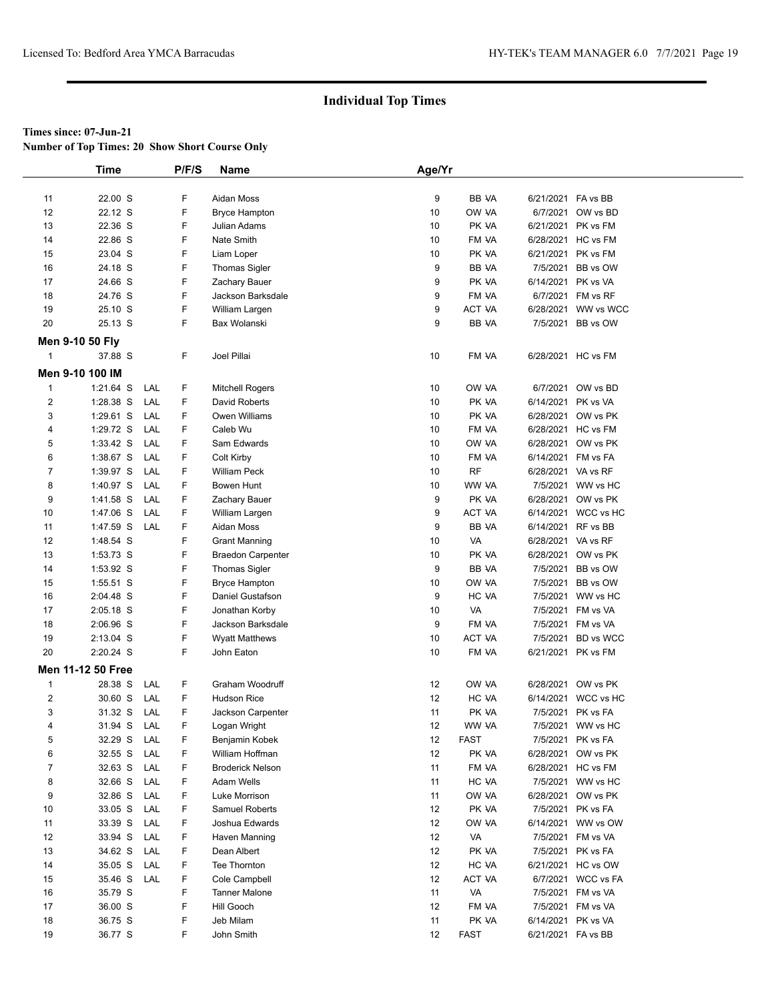**Number of Top Times: 20 Show Short Course Only**

|                | <b>Time</b>       |     | P/F/S | <b>Name</b>              | Age/Yr |             |                    |                     |  |
|----------------|-------------------|-----|-------|--------------------------|--------|-------------|--------------------|---------------------|--|
|                |                   |     |       |                          |        |             |                    |                     |  |
| 11             | 22.00 S           |     | F     | Aidan Moss               | 9      | BB VA       | 6/21/2021 FA vs BB |                     |  |
| 12             | 22.12 S           |     | F     | <b>Bryce Hampton</b>     | 10     | OW VA       |                    | 6/7/2021 OW vs BD   |  |
| 13             | 22.36 S           |     | F     | Julian Adams             | 10     | PK VA       | 6/21/2021 PK vs FM |                     |  |
| 14             | 22.86 S           |     | F     | Nate Smith               | 10     | FM VA       |                    | 6/28/2021 HC vs FM  |  |
| 15             | 23.04 S           |     | F     | Liam Loper               | 10     | PK VA       | 6/21/2021 PK vs FM |                     |  |
| 16             | 24.18 S           |     | F     | <b>Thomas Sigler</b>     | 9      | BB VA       |                    | 7/5/2021 BB vs OW   |  |
| 17             | 24.66 S           |     | F     | Zachary Bauer            | 9      | PK VA       | 6/14/2021 PK vs VA |                     |  |
| 18             | 24.76 S           |     | F     | Jackson Barksdale        | 9      | FM VA       |                    | 6/7/2021 FM vs RF   |  |
| 19             | 25.10 S           |     | F     | William Largen           | 9      | ACT VA      |                    | 6/28/2021 WW vs WCC |  |
| 20             | 25.13 S           |     | F     | Bax Wolanski             | 9      | BB VA       |                    | 7/5/2021 BB vs OW   |  |
|                |                   |     |       |                          |        |             |                    |                     |  |
|                | Men 9-10 50 Fly   |     |       |                          |        |             |                    |                     |  |
| $\mathbf{1}$   | 37.88 S           |     | F     | Joel Pillai              | 10     | FM VA       |                    | 6/28/2021 HC vs FM  |  |
|                | Men 9-10 100 IM   |     |       |                          |        |             |                    |                     |  |
| $\mathbf{1}$   | $1:21.64$ S       | LAL | F     | <b>Mitchell Rogers</b>   | 10     | OW VA       |                    | 6/7/2021 OW vs BD   |  |
| $\overline{c}$ | 1:28.38 S         | LAL | F     | David Roberts            | 10     | PK VA       | 6/14/2021 PK vs VA |                     |  |
| 3              | $1:29.61$ S       | LAL | F     | Owen Williams            | 10     | PK VA       |                    | 6/28/2021 OW vs PK  |  |
| 4              | 1:29.72 S         | LAL | F     | Caleb Wu                 | 10     | FM VA       |                    | 6/28/2021 HC vs FM  |  |
| 5              | $1:33.42$ S       | LAL | F     | Sam Edwards              | 10     | OW VA       |                    | 6/28/2021 OW vs PK  |  |
| 6              | 1:38.67 S         | LAL | F     | Colt Kirby               | 10     | FM VA       | 6/14/2021 FM vs FA |                     |  |
| $\overline{7}$ | 1:39.97 S         | LAL | F     | <b>William Peck</b>      | 10     | <b>RF</b>   | 6/28/2021 VA vs RF |                     |  |
| 8              | 1:40.97 S         | LAL | F     | Bowen Hunt               | 10     | WW VA       |                    | 7/5/2021 WW vs HC   |  |
| 9              | 1:41.58 S         | LAL | F     | Zachary Bauer            | 9      | PK VA       |                    | 6/28/2021 OW vs PK  |  |
| 10             | 1:47.06 S         | LAL | F     | William Largen           | 9      | ACT VA      |                    | 6/14/2021 WCC vs HC |  |
| 11             | 1:47.59 S         | LAL | F     | Aidan Moss               | 9      | BB VA       | 6/14/2021 RF vs BB |                     |  |
| 12             | 1:48.54 S         |     | F     | <b>Grant Manning</b>     | 10     | VA          | 6/28/2021 VA vs RF |                     |  |
| 13             | 1:53.73 S         |     | F     | <b>Braedon Carpenter</b> | 10     | PK VA       |                    | 6/28/2021 OW vs PK  |  |
| 14             | 1:53.92 S         |     | F     | Thomas Sigler            | 9      | BB VA       |                    | 7/5/2021 BB vs OW   |  |
| 15             | 1:55.51 S         |     | F     | <b>Bryce Hampton</b>     | 10     | OW VA       |                    | 7/5/2021 BB vs OW   |  |
| 16             | 2:04.48 S         |     | F     | Daniel Gustafson         | 9      | HC VA       |                    | 7/5/2021 WW vs HC   |  |
| 17             | 2:05.18 S         |     | F     | Jonathan Korby           | 10     | VA          |                    | 7/5/2021 FM vs VA   |  |
| 18             | 2:06.96 S         |     | F     | Jackson Barksdale        | 9      | FM VA       |                    | 7/5/2021 FM vs VA   |  |
| 19             | 2:13.04 S         |     | F     | <b>Wyatt Matthews</b>    | 10     | ACT VA      |                    | 7/5/2021 BD vs WCC  |  |
| 20             | 2:20.24 S         |     | F     | John Eaton               | 10     | FM VA       | 6/21/2021 PK vs FM |                     |  |
|                | Men 11-12 50 Free |     |       |                          |        |             |                    |                     |  |
|                |                   |     |       |                          |        |             |                    |                     |  |
| $\mathbf{1}$   | 28.38 S           | LAL | F     | Graham Woodruff          | 12     | OW VA       |                    | 6/28/2021 OW vs PK  |  |
| $\overline{2}$ | 30.60 S           | LAL | F.    | <b>Hudson Rice</b>       | 12     | HC VA       |                    | 6/14/2021 WCC vs HC |  |
| 3              | 31.32 S           | LAL | F     | Jackson Carpenter        | 11     | PK VA       |                    | 7/5/2021 PK vs FA   |  |
| 4              | 31.94 S           | LAL | F     | Logan Wright             | 12     | WW VA       |                    | 7/5/2021 WW vs HC   |  |
| 5              | 32.29 S LAL       |     | F     | Benjamin Kobek           | 12     | <b>FAST</b> |                    | 7/5/2021 PK vs FA   |  |
| 6              | 32.55 S           | LAL | F     | William Hoffman          | 12     | PK VA       |                    | 6/28/2021 OW vs PK  |  |
| $\overline{7}$ | 32.63 S           | LAL | F     | <b>Broderick Nelson</b>  | 11     | FM VA       |                    | 6/28/2021 HC vs FM  |  |
| 8              | 32.66 S           | LAL | F.    | Adam Wells               | 11     | HC VA       |                    | 7/5/2021 WW vs HC   |  |
| 9              | 32.86 S           | LAL | F     | Luke Morrison            | 11     | OW VA       |                    | 6/28/2021 OW vs PK  |  |
| 10             | 33.05 S           | LAL | F     | Samuel Roberts           | 12     | PK VA       |                    | 7/5/2021 PK vs FA   |  |
| 11             | 33.39 S           | LAL | F     | Joshua Edwards           | 12     | OW VA       |                    | 6/14/2021 WW vs OW  |  |
| 12             | 33.94 S           | LAL | F     | Haven Manning            | 12     | VA          |                    | 7/5/2021 FM vs VA   |  |
| 13             | 34.62 S           | LAL | F     | Dean Albert              | 12     | PK VA       |                    | 7/5/2021 PK vs FA   |  |
| 14             | 35.05 S           | LAL | F     | Tee Thornton             | 12     | HC VA       |                    | 6/21/2021 HC vs OW  |  |
| 15             | 35.46 S           | LAL | F     | Cole Campbell            | 12     | ACT VA      |                    | 6/7/2021 WCC vs FA  |  |
| 16             | 35.79 S           |     | F     | <b>Tanner Malone</b>     | 11     | VA          |                    | 7/5/2021 FM vs VA   |  |
| 17             | 36.00 S           |     | F     | Hill Gooch               | 12     | FM VA       |                    | 7/5/2021 FM vs VA   |  |
| 18             | 36.75 S           |     | F     | Jeb Milam                | 11     | PK VA       | 6/14/2021 PK vs VA |                     |  |
| 19             | 36.77 S           |     | F.    | John Smith               | 12     | <b>FAST</b> | 6/21/2021 FA vs BB |                     |  |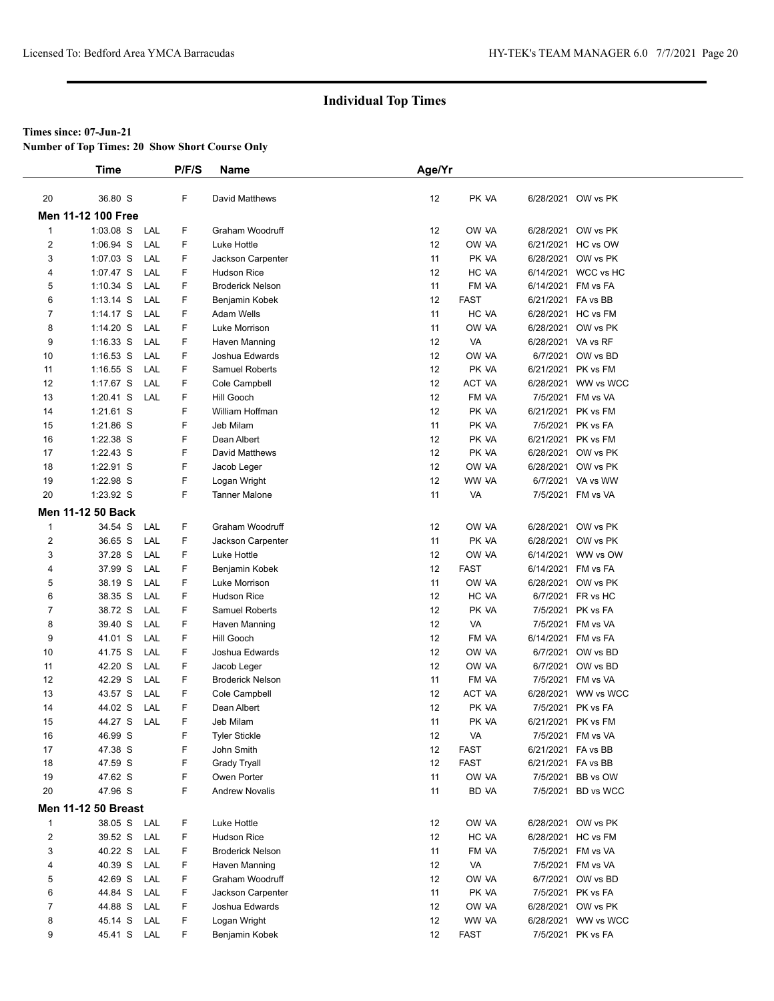**Number of Top Times: 20 Show Short Course Only**

|                  | <b>Time</b>                |     | P/F/S | Name                    | Age/Yr |             |                    |                     |
|------------------|----------------------------|-----|-------|-------------------------|--------|-------------|--------------------|---------------------|
|                  |                            |     |       |                         |        |             |                    |                     |
| 20               | 36.80 S                    |     | F     | David Matthews          | 12     | PK VA       |                    | 6/28/2021 OW vs PK  |
|                  | <b>Men 11-12 100 Free</b>  |     |       |                         |        |             |                    |                     |
| $\mathbf{1}$     | $1:03.08$ S                | LAL | F     | Graham Woodruff         | 12     | OW VA       |                    | 6/28/2021 OW vs PK  |
| 2                | 1:06.94 S                  | LAL | F     | Luke Hottle             | 12     | OW VA       |                    | 6/21/2021 HC vs OW  |
| 3                | 1:07.03 S                  | LAL | F     | Jackson Carpenter       | 11     | PK VA       |                    | 6/28/2021 OW vs PK  |
| 4                | 1:07.47 S                  | LAL | F     | <b>Hudson Rice</b>      | 12     | HC VA       |                    | 6/14/2021 WCC vs HC |
| 5                | $1:10.34$ S                | LAL | F     | <b>Broderick Nelson</b> | 11     | FM VA       |                    | 6/14/2021 FM vs FA  |
| 6                | $1:13.14$ S                | LAL | F     | Benjamin Kobek          | 12     | <b>FAST</b> | 6/21/2021 FA vs BB |                     |
| $\overline{7}$   | $1:14.17$ S                | LAL | F     | Adam Wells              | 11     | HC VA       |                    | 6/28/2021 HC vs FM  |
| 8                | $1:14.20$ S                | LAL | F     | Luke Morrison           | 11     | OW VA       |                    | 6/28/2021 OW vs PK  |
| 9                | $1:16.33$ S                | LAL | F     | Haven Manning           | 12     | VA          | 6/28/2021 VA vs RF |                     |
| 10               | $1:16.53$ S                | LAL | F     | Joshua Edwards          | 12     | OW VA       |                    | 6/7/2021 OW vs BD   |
| 11               | $1:16.55$ S                | LAL | F     | Samuel Roberts          | 12     | PK VA       |                    | 6/21/2021 PK vs FM  |
| 12               | 1:17.67 $S$                | LAL | F     | Cole Campbell           | 12     | ACT VA      |                    | 6/28/2021 WW vs WCC |
| 13               | $1:20.41$ S                | LAL | F     | Hill Gooch              | 12     | FM VA       |                    | 7/5/2021 FM vs VA   |
| 14               | $1:21.61$ S                |     | F     | William Hoffman         | 12     | PK VA       | 6/21/2021          | PK vs FM            |
| 15               | 1:21.86 S                  |     | F     | Jeb Milam               | 11     | PK VA       |                    | 7/5/2021 PK vs FA   |
| 16               | 1:22.38 S                  |     | F     | Dean Albert             | 12     | PK VA       |                    | 6/21/2021 PK vs FM  |
| 17               | 1:22.43 S                  |     | F     | David Matthews          | 12     | PK VA       |                    | 6/28/2021 OW vs PK  |
| 18               | 1:22.91 S                  |     | F     | Jacob Leger             | 12     | OW VA       |                    | 6/28/2021 OW vs PK  |
| 19               | 1:22.98 S                  |     | F     | Logan Wright            | 12     | WW VA       |                    | 6/7/2021 VA vs WW   |
| 20               | 1:23.92 S                  |     | F     | <b>Tanner Malone</b>    | 11     | VA          |                    | 7/5/2021 FM vs VA   |
|                  | Men 11-12 50 Back          |     |       |                         |        |             |                    |                     |
| $\mathbf{1}$     | 34.54 S                    | LAL | F     | Graham Woodruff         | 12     | OW VA       |                    | 6/28/2021 OW vs PK  |
| $\boldsymbol{2}$ | 36.65 S                    | LAL | F     | Jackson Carpenter       | 11     | PK VA       |                    | 6/28/2021 OW vs PK  |
| 3                | 37.28 S                    | LAL | F     | Luke Hottle             | 12     | OW VA       | 6/14/2021          | WW vs OW            |
| 4                | 37.99 S                    | LAL | F     | Benjamin Kobek          | 12     | <b>FAST</b> |                    | 6/14/2021 FM vs FA  |
| 5                | 38.19 S                    | LAL | F     | Luke Morrison           | 11     | OW VA       |                    | 6/28/2021 OW vs PK  |
| 6                | 38.35 S                    | LAL | F     | <b>Hudson Rice</b>      | 12     | HC VA       |                    | 6/7/2021 FR vs HC   |
| 7                | 38.72 S                    | LAL | F.    | <b>Samuel Roberts</b>   | 12     | PK VA       |                    | 7/5/2021 PK vs FA   |
| 8                | 39.40 S                    | LAL | F     | Haven Manning           | 12     | VA          |                    | 7/5/2021 FM vs VA   |
| 9                | 41.01 S                    | LAL | F     | Hill Gooch              | 12     | FM VA       |                    | 6/14/2021 FM vs FA  |
| 10               | 41.75 S                    | LAL | F     | Joshua Edwards          | 12     | OW VA       |                    | 6/7/2021 OW vs BD   |
| 11               | 42.20 S                    | LAL | F     | Jacob Leger             | 12     | OW VA       |                    | 6/7/2021 OW vs BD   |
| 12               | 42.29 S                    | LAL | F     | <b>Broderick Nelson</b> | 11     | FM VA       |                    | 7/5/2021 FM vs VA   |
| 13               | 43.57 S                    | LAL | F     | Cole Campbell           | 12     | ACT VA      |                    | 6/28/2021 WW vs WCC |
| 14               | 44.02 S                    | LAL | F     | Dean Albert             | 12     | PK VA       | 7/5/2021           | PK vs FA            |
| 15               | 44.27 S                    | LAL | F     | Jeb Milam               | 11     | PK VA       |                    | 6/21/2021 PK vs FM  |
| 16               | 46.99 S                    |     | F     | <b>Tyler Stickle</b>    | 12     | VA          |                    | 7/5/2021 FM vs VA   |
| 17               | 47.38 S                    |     | F     | John Smith              | 12     | <b>FAST</b> | 6/21/2021 FA vs BB |                     |
| 18               | 47.59 S                    |     | F     | <b>Grady Tryall</b>     | 12     | <b>FAST</b> | 6/21/2021 FA vs BB |                     |
| 19               | 47.62 S                    |     | F     | Owen Porter             | 11     | OW VA       |                    | 7/5/2021 BB vs OW   |
| 20               | 47.96 S                    |     | F     | <b>Andrew Novalis</b>   | 11     | BD VA       |                    | 7/5/2021 BD vs WCC  |
|                  | <b>Men 11-12 50 Breast</b> |     |       |                         |        |             |                    |                     |
| $\mathbf{1}$     | 38.05 S LAL                |     | F     | Luke Hottle             | 12     | OW VA       |                    | 6/28/2021 OW vs PK  |
| $\boldsymbol{2}$ | 39.52 S                    | LAL | F     | <b>Hudson Rice</b>      | 12     | HC VA       |                    | 6/28/2021 HC vs FM  |
| 3                | 40.22 S                    | LAL | F     | <b>Broderick Nelson</b> | 11     | FM VA       |                    | 7/5/2021 FM vs VA   |
| 4                | 40.39 S                    | LAL | F     | Haven Manning           | 12     | VA          |                    | 7/5/2021 FM vs VA   |
| 5                | 42.69 S                    | LAL | F     | Graham Woodruff         | 12     | OW VA       |                    | 6/7/2021 OW vs BD   |
| 6                | 44.84 S                    | LAL | F     | Jackson Carpenter       | 11     | PK VA       |                    | 7/5/2021 PK vs FA   |
| 7                | 44.88 S                    | LAL | F     | Joshua Edwards          | 12     | OW VA       |                    | 6/28/2021 OW vs PK  |
| 8                | 45.14 S                    | LAL | F     | Logan Wright            | 12     | WW VA       |                    | 6/28/2021 WW vs WCC |
| 9                | 45.41 S                    | LAL | F     | Benjamin Kobek          | 12     | <b>FAST</b> |                    | 7/5/2021 PK vs FA   |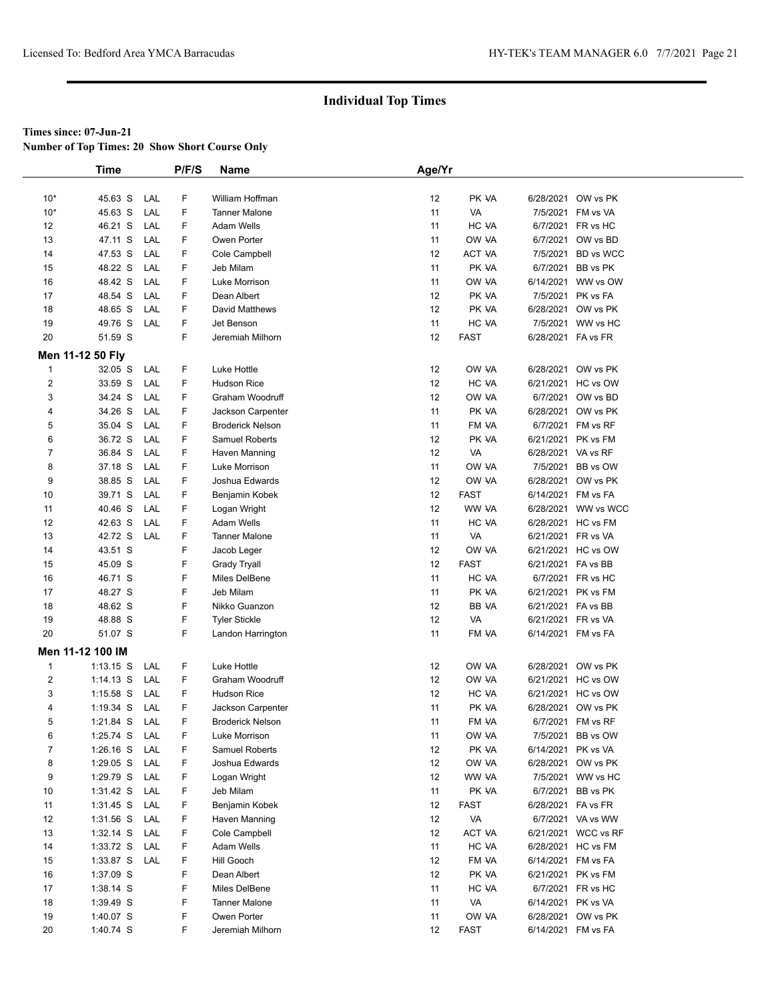**Number of Top Times: 20 Show Short Course Only**

|                | <b>Time</b>      |     | P/F/S | <b>Name</b>             | Age/Yr |             |                    |                     |  |
|----------------|------------------|-----|-------|-------------------------|--------|-------------|--------------------|---------------------|--|
|                |                  |     |       |                         |        |             |                    |                     |  |
| $10*$          | 45.63 S          | LAL | F     | William Hoffman         | 12     | PK VA       |                    | 6/28/2021 OW vs PK  |  |
| $10*$          | 45.63 S          | LAL | F     | <b>Tanner Malone</b>    | 11     | VA          |                    | 7/5/2021 FM vs VA   |  |
| 12             | 46.21 S          | LAL | F     | <b>Adam Wells</b>       | 11     | HC VA       |                    | 6/7/2021 FR vs HC   |  |
| 13             | 47.11 S          | LAL | F     | Owen Porter             | 11     | OW VA       |                    | 6/7/2021 OW vs BD   |  |
| 14             | 47.53 S          | LAL | F     | Cole Campbell           | 12     | ACT VA      |                    | 7/5/2021 BD vs WCC  |  |
| 15             | 48.22 S          | LAL | F     | Jeb Milam               | 11     | PK VA       |                    | 6/7/2021 BB vs PK   |  |
| 16             | 48.42 S          | LAL | F     | Luke Morrison           | 11     | OW VA       | 6/14/2021          | WW vs OW            |  |
| 17             | 48.54 S          | LAL | F     | Dean Albert             | 12     | PK VA       |                    | 7/5/2021 PK vs FA   |  |
| 18             | 48.65 S          | LAL | F     | David Matthews          | 12     | PK VA       |                    | 6/28/2021 OW vs PK  |  |
| 19             | 49.76 S          | LAL | F     | Jet Benson              | 11     | HC VA       |                    | 7/5/2021 WW vs HC   |  |
| 20             | 51.59 S          |     | F     | Jeremiah Milhorn        | 12     | <b>FAST</b> | 6/28/2021 FA vs FR |                     |  |
|                | Men 11-12 50 Fly |     |       |                         |        |             |                    |                     |  |
| $\mathbf 1$    | 32.05 S          | LAL | F     | Luke Hottle             | 12     | OW VA       |                    | 6/28/2021 OW vs PK  |  |
| $\overline{c}$ | 33.59 S          | LAL | F     | <b>Hudson Rice</b>      | 12     | HC VA       |                    | 6/21/2021 HC vs OW  |  |
| 3              | 34.24 S          | LAL | F     | Graham Woodruff         | 12     | OW VA       |                    | 6/7/2021 OW vs BD   |  |
| 4              | 34.26 S          | LAL | F     | Jackson Carpenter       | 11     | PK VA       |                    | 6/28/2021 OW vs PK  |  |
| 5              | 35.04 S          | LAL | F     | <b>Broderick Nelson</b> | 11     | FM VA       |                    | 6/7/2021 FM vs RF   |  |
| 6              | 36.72 S          | LAL | F     | <b>Samuel Roberts</b>   | 12     | PK VA       | 6/21/2021 PK vs FM |                     |  |
| 7              | 36.84 S          | LAL | F     | Haven Manning           | 12     | VA          | 6/28/2021 VA vs RF |                     |  |
| 8              | 37.18 S          | LAL | F     | Luke Morrison           | 11     | OW VA       |                    | 7/5/2021 BB vs OW   |  |
| 9              | 38.85 S          | LAL | F     | Joshua Edwards          | 12     | OW VA       |                    | 6/28/2021 OW vs PK  |  |
| 10             | 39.71 S          | LAL | F     | Benjamin Kobek          | 12     | <b>FAST</b> | 6/14/2021 FM vs FA |                     |  |
| 11             | 40.46 S          | LAL | F     | Logan Wright            | 12     | WW VA       |                    | 6/28/2021 WW vs WCC |  |
| 12             | 42.63 S          | LAL | F     | Adam Wells              | 11     | HC VA       | 6/28/2021 HC vs FM |                     |  |
| 13             | 42.72 S          | LAL | F     | <b>Tanner Malone</b>    | 11     | VA          | 6/21/2021 FR vs VA |                     |  |
| 14             | 43.51 S          |     | F     | Jacob Leger             | 12     | OW VA       |                    | 6/21/2021 HC vs OW  |  |
| 15             | 45.09 S          |     | F     | <b>Grady Tryall</b>     | 12     | <b>FAST</b> | 6/21/2021 FA vs BB |                     |  |
| 16             | 46.71 S          |     | F     | Miles DelBene           | 11     | HC VA       |                    | 6/7/2021 FR vs HC   |  |
| 17             | 48.27 S          |     | F     | Jeb Milam               | 11     | PK VA       | 6/21/2021 PK vs FM |                     |  |
| 18             | 48.62 S          |     | F     | Nikko Guanzon           | 12     | BB VA       | 6/21/2021 FA vs BB |                     |  |
| 19             | 48.88 S          |     | F     | <b>Tyler Stickle</b>    | 12     | VA          | 6/21/2021 FR vs VA |                     |  |
| 20             | 51.07 S          |     | F     | Landon Harrington       | 11     | FM VA       | 6/14/2021 FM vs FA |                     |  |
|                | Men 11-12 100 IM |     |       |                         |        |             |                    |                     |  |
| $\mathbf{1}$   | $1:13.15$ S      | LAL | F     | Luke Hottle             | 12     | OW VA       |                    | 6/28/2021 OW vs PK  |  |
| $\overline{c}$ | $1:14.13$ S      | LAL | F     | Graham Woodruff         | 12     | OW VA       |                    | 6/21/2021 HC vs OW  |  |
| 3              | $1:15.58$ S      | LAL | F     | <b>Hudson Rice</b>      | 12     | HC VA       |                    | 6/21/2021 HC vs OW  |  |
| 4              | 1:19.34 S        | LAL | F     | Jackson Carpenter       | 11     | PK VA       |                    | 6/28/2021 OW vs PK  |  |
| 5              | 1:21.84 S        | LAL | F     | <b>Broderick Nelson</b> | 11     | FM VA       |                    | 6/7/2021 FM vs RF   |  |
| 6              | $1:25.74$ S      | LAL | F     | Luke Morrison           | 11     | OW VA       |                    | 7/5/2021 BB vs OW   |  |
| 7              | $1:26.16$ S      | LAL | F     | Samuel Roberts          | 12     | PK VA       | 6/14/2021 PK vs VA |                     |  |
| 8              | 1:29.05 S        | LAL | F     | Joshua Edwards          | 12     | OW VA       |                    | 6/28/2021 OW vs PK  |  |
| 9              | 1:29.79 S        | LAL | F     | Logan Wright            | 12     | WW VA       |                    | 7/5/2021 WW vs HC   |  |
| 10             | 1:31.42 S        | LAL | F     | Jeb Milam               | 11     | PK VA       |                    | 6/7/2021 BB vs PK   |  |
| 11             | 1:31.45 S        | LAL | F     | Benjamin Kobek          | 12     | FAST        | 6/28/2021 FA vs FR |                     |  |
| 12             | 1:31.56 S        | LAL | F     | Haven Manning           | 12     | VA          |                    | 6/7/2021 VA vs WW   |  |
| 13             | $1:32.14$ S      | LAL | F     | Cole Campbell           | 12     | ACT VA      |                    | 6/21/2021 WCC vs RF |  |
| 14             | 1:33.72 S        | LAL | F     | Adam Wells              | 11     | HC VA       |                    | 6/28/2021 HC vs FM  |  |
| 15             | 1:33.87 S        | LAL | F     | Hill Gooch              | 12     | FM VA       | 6/14/2021 FM vs FA |                     |  |
| 16             | 1:37.09 S        |     | F     | Dean Albert             | 12     | PK VA       | 6/21/2021 PK vs FM |                     |  |
| 17             | 1:38.14 S        |     | F     | Miles DelBene           | 11     | HC VA       |                    | 6/7/2021 FR vs HC   |  |
| 18             | 1:39.49 S        |     | F     | <b>Tanner Malone</b>    | 11     | VA          | 6/14/2021 PK vs VA |                     |  |
| 19             | 1:40.07 S        |     | F     | Owen Porter             | 11     | OW VA       |                    | 6/28/2021 OW vs PK  |  |
| 20             | 1:40.74 S        |     | F     | Jeremiah Milhorn        |        | <b>FAST</b> | 6/14/2021 FM vs FA |                     |  |
|                |                  |     |       |                         | 12     |             |                    |                     |  |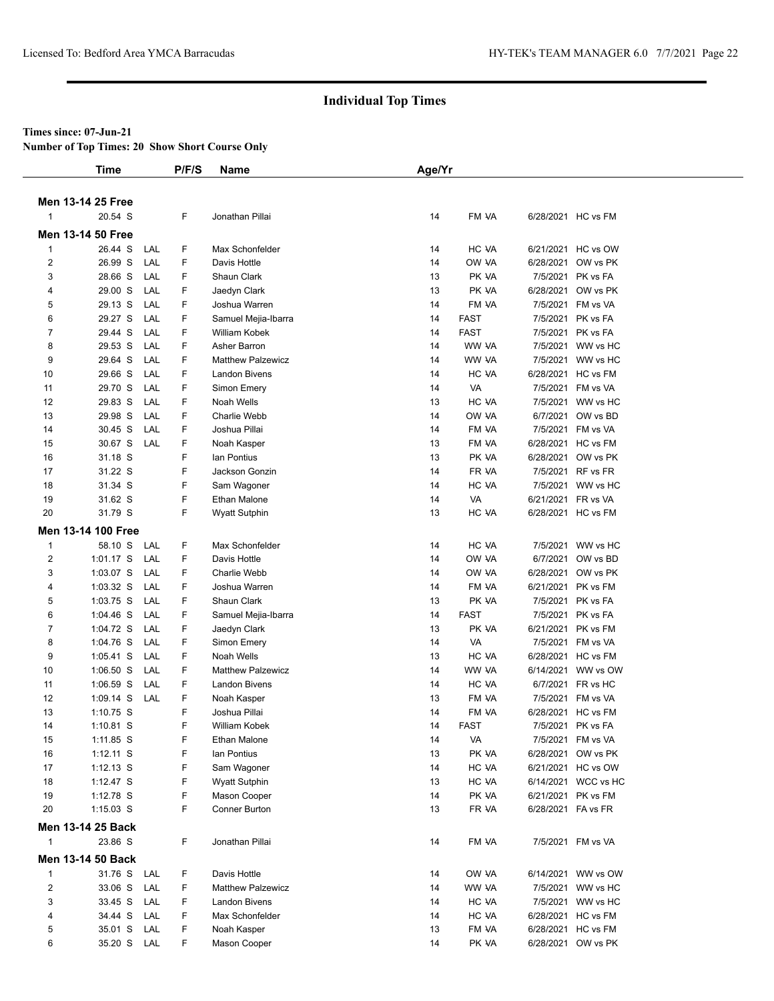#### **Times since: 07-Jun-21**

**Number of Top Times: 20 Show Short Course Only**

|                | <b>Time</b>               |     | P/F/S | <b>Name</b>              | Age/Yr |             |           |                     |
|----------------|---------------------------|-----|-------|--------------------------|--------|-------------|-----------|---------------------|
|                | Men 13-14 25 Free         |     |       |                          |        |             |           |                     |
|                | 20.54 S                   |     | F     | Jonathan Pillai          | 14     | FM VA       |           | 6/28/2021 HC vs FM  |
|                | Men 13-14 50 Free         |     |       |                          |        |             |           |                     |
| $\mathbf{1}$   | 26.44 S                   | LAL | F     | Max Schonfelder          | 14     | HC VA       |           | 6/21/2021 HC vs OW  |
| $\overline{2}$ | 26.99 S                   | LAL | F     | Davis Hottle             | 14     | OW VA       | 6/28/2021 | OW vs PK            |
| 3              | 28.66 S                   | LAL | F     | Shaun Clark              | 13     | PK VA       | 7/5/2021  | PK vs FA            |
| 4              | 29.00 S                   | LAL | F     | Jaedyn Clark             | 13     | PK VA       | 6/28/2021 | OW vs PK            |
| 5              | 29.13 S                   | LAL | F     | Joshua Warren            | 14     | FM VA       | 7/5/2021  | FM vs VA            |
| 6              | 29.27 S                   | LAL | F     | Samuel Mejia-Ibarra      | 14     | <b>FAST</b> | 7/5/2021  | PK vs FA            |
| 7              | 29.44 S                   | LAL | F     | William Kobek            | 14     | <b>FAST</b> | 7/5/2021  | PK vs FA            |
| 8              | 29.53 S                   | LAL | F     | Asher Barron             | 14     | WW VA       | 7/5/2021  | WW vs HC            |
| 9              | 29.64 S                   | LAL | F     | <b>Matthew Palzewicz</b> | 14     | WW VA       |           | 7/5/2021 WW vs HC   |
| 10             | 29.66 S                   | LAL | F     | Landon Bivens            | 14     | HC VA       | 6/28/2021 | HC vs FM            |
| 11             | 29.70 S                   | LAL | F     | Simon Emery              | 14     | VA          | 7/5/2021  | FM vs VA            |
| 12             | 29.83 S                   | LAL | F     | Noah Wells               | 13     | HC VA       |           | 7/5/2021 WW vs HC   |
| 13             | 29.98 S                   | LAL | F     | <b>Charlie Webb</b>      | 14     | OW VA       | 6/7/2021  | OW vs BD            |
| 14             | 30.45 S                   | LAL | F     | Joshua Pillai            | 14     | FM VA       | 7/5/2021  | FM vs VA            |
| 15             | 30.67 S                   | LAL | F     | Noah Kasper              | 13     | FM VA       | 6/28/2021 | HC vs FM            |
| 16             | 31.18 S                   |     | F     | lan Pontius              | 13     | PK VA       | 6/28/2021 | OW vs PK            |
| 17             | 31.22 S                   |     | F     | Jackson Gonzin           | 14     | FR VA       | 7/5/2021  | RF vs FR            |
| 18             | 31.34 S                   |     | F     | Sam Wagoner              | 14     | HC VA       |           | 7/5/2021 WW vs HC   |
| 19             | 31.62 S                   |     | F     | Ethan Malone             | 14     | VA          | 6/21/2021 | FR vs VA            |
| 20             | 31.79 S                   |     | F     | <b>Wyatt Sutphin</b>     | 13     | HC VA       |           | 6/28/2021 HC vs FM  |
|                | <b>Men 13-14 100 Free</b> |     |       |                          |        |             |           |                     |
|                |                           |     |       |                          |        |             |           |                     |
| $\mathbf{1}$   | 58.10 S                   | LAL | F     | Max Schonfelder          | 14     | HC VA       | 7/5/2021  | WW vs HC            |
| 2              | $1:01.17$ S               | LAL | F     | Davis Hottle             | 14     | OW VA       | 6/7/2021  | OW vs BD            |
| 3              | $1:03.07$ S               | LAL | F     | Charlie Webb             | 14     | OW VA       | 6/28/2021 | OW vs PK            |
| 4              | $1:03.32$ S               | LAL | F     | Joshua Warren            | 14     | FM VA       | 6/21/2021 | PK vs FM            |
| 5              | $1:03.75$ S               | LAL | F     | Shaun Clark              | 13     | PK VA       | 7/5/2021  | PK vs FA            |
| 6              | $1:04.46$ S               | LAL | F     | Samuel Mejia-Ibarra      | 14     | <b>FAST</b> | 7/5/2021  | PK vs FA            |
| 7              | 1:04.72 S                 | LAL | F     | Jaedyn Clark             | 13     | PK VA       | 6/21/2021 | PK vs FM            |
| 8              | 1:04.76 S                 | LAL | F     | Simon Emery              | 14     | VA          | 7/5/2021  | FM vs VA            |
| 9              | $1:05.41$ S               | LAL | F     | Noah Wells               | 13     | HC VA       | 6/28/2021 | HC vs FM            |
| 10             | $1:06.50$ S               | LAL | F     | <b>Matthew Palzewicz</b> | 14     | WW VA       | 6/14/2021 | WW vs OW            |
| 11             | $1:06.59$ S               | LAL | F     | Landon Bivens            | 14     | HC VA       | 6/7/2021  | FR vs HC            |
| 12             | $1:09.14$ S               | LAL | F     | Noah Kasper              | 13     | FM VA       | 7/5/2021  | FM vs VA            |
| 13             | $1:10.75$ S               |     | F     | Joshua Pillai            | 14     | FM VA       |           | 6/28/2021 HC vs FM  |
| 14             | 1:10.81 S                 |     | F     | William Kobek            | 14     | <b>FAST</b> |           | 7/5/2021 PK vs FA   |
| 15             | $1:11.85$ S               |     | F     | Ethan Malone             | 14     | VA          |           | 7/5/2021 FM vs VA   |
| 16             | $1:12.11$ S               |     | F     | lan Pontius              | 13     | PK VA       |           | 6/28/2021 OW vs PK  |
| 17             | $1:12.13$ S               |     | F     | Sam Wagoner              | 14     | HC VA       |           | 6/21/2021 HC vs OW  |
| 18             | $1:12.47$ S               |     | F     | <b>Wyatt Sutphin</b>     | 13     | HC VA       |           | 6/14/2021 WCC vs HC |
| 19             | 1:12.78 S                 |     | F     | Mason Cooper             | 14     | PK VA       | 6/21/2021 | PK vs FM            |
| 20             | $1:15.03$ S               |     | F     | Conner Burton            | 13     | FR VA       | 6/28/2021 | FA vs FR            |
|                | Men 13-14 25 Back         |     |       |                          |        |             |           |                     |
| $\mathbf{1}$   | 23.86 S                   |     | F.    | Jonathan Pillai          | 14     | FM VA       |           | 7/5/2021 FM vs VA   |
|                | Men 13-14 50 Back         |     |       |                          |        |             |           |                     |
| $\mathbf{1}$   | 31.76 S                   | LAL | F     | Davis Hottle             | 14     | OW VA       |           | 6/14/2021 WW vs OW  |
| $\overline{c}$ | 33.06 S LAL               |     | F.    | <b>Matthew Palzewicz</b> | 14     | WW VA       |           | 7/5/2021 WW vs HC   |
| 3              | 33.45 S LAL               |     | F     | Landon Bivens            | 14     | HC VA       |           | 7/5/2021 WW vs HC   |
| 4              | 34.44 S                   | LAL | F     | Max Schonfelder          | 14     | HC VA       |           | 6/28/2021 HC vs FM  |
| 5              | 35.01 S LAL               |     | F     | Noah Kasper              | 13     | FM VA       |           | 6/28/2021 HC vs FM  |
| 6              | 35.20 S LAL               |     | F.    | Mason Cooper             | 14     | PK VA       |           | 6/28/2021 OW vs PK  |
|                |                           |     |       |                          |        |             |           |                     |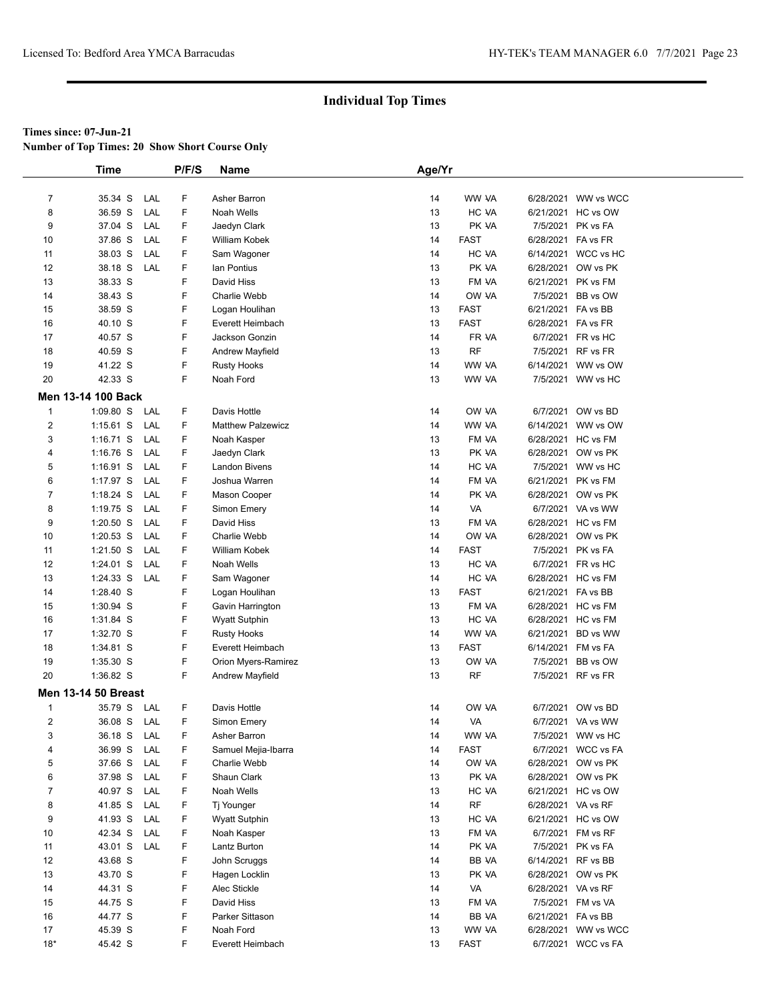**Number of Top Times: 20 Show Short Course Only**

|                | <b>Time</b>                |     | P/F/S | <b>Name</b>              | Age/Yr |                |                    |                     |
|----------------|----------------------------|-----|-------|--------------------------|--------|----------------|--------------------|---------------------|
|                |                            |     |       |                          |        |                |                    |                     |
| 7              | 35.34 S                    | LAL | F     | Asher Barron             | 14     | WW VA          | 6/28/2021          | WW vs WCC           |
| 8              | 36.59 S                    | LAL | F     | Noah Wells               | 13     | HC VA          |                    | 6/21/2021 HC vs OW  |
| 9              | 37.04 S                    | LAL | F     | Jaedyn Clark             | 13     | PK VA          | 7/5/2021           | PK vs FA            |
| 10             | 37.86 S                    | LAL | F     | William Kobek            | 14     | <b>FAST</b>    | 6/28/2021          | FA vs FR            |
| 11             | 38.03 S                    | LAL | F     | Sam Wagoner              | 14     | HC VA          |                    | 6/14/2021 WCC vs HC |
| 12             | 38.18 S                    | LAL | F     | lan Pontius              | 13     | PK VA          | 6/28/2021          | OW vs PK            |
| 13             | 38.33 S                    |     | F     | David Hiss               | 13     | FM VA          | 6/21/2021          | PK vs FM            |
| 14             | 38.43 S                    |     | F     | Charlie Webb             | 14     | OW VA          | 7/5/2021           | BB vs OW            |
| 15             | 38.59 S                    |     | F     | Logan Houlihan           | 13     | <b>FAST</b>    | 6/21/2021 FA vs BB |                     |
| 16             | 40.10 S                    |     | F     | Everett Heimbach         | 13     | <b>FAST</b>    | 6/28/2021          | FA vs FR            |
| 17             | 40.57 S                    |     | F     | Jackson Gonzin           | 14     | FR VA          |                    | 6/7/2021 FR vs HC   |
| 18             | 40.59 S                    |     | F     | Andrew Mayfield          | 13     | <b>RF</b>      | 7/5/2021           | RF vs FR            |
| 19             | 41.22 S                    |     | F     | <b>Rusty Hooks</b>       | 14     | WW VA          | 6/14/2021          | WW vs OW            |
| 20             | 42.33 S                    |     | F     | Noah Ford                | 13     | WW VA          |                    | 7/5/2021 WW vs HC   |
|                | Men 13-14 100 Back         |     |       |                          |        |                |                    |                     |
|                |                            |     |       |                          |        |                |                    |                     |
| $\mathbf{1}$   | 1:09.80 S                  | LAL | F.    | Davis Hottle             | 14     | OW VA<br>WW VA | 6/7/2021           | OW vs BD            |
| 2              | $1:15.61$ S                | LAL | F     | <b>Matthew Palzewicz</b> | 14     |                | 6/14/2021          | WW vs OW            |
| 3              | $1:16.71$ S                | LAL | F     | Noah Kasper              | 13     | FM VA          |                    | 6/28/2021 HC vs FM  |
| 4              | $1:16.76$ S                | LAL | F     | Jaedyn Clark             | 13     | PK VA          | 6/28/2021          | OW vs PK            |
| 5              | $1:16.91$ S                | LAL | F     | Landon Bivens            | 14     | HC VA          |                    | 7/5/2021 WW vs HC   |
| 6              | $1:17.97$ S                | LAL | F     | Joshua Warren            | 14     | FM VA          | 6/21/2021          | PK vs FM            |
| $\overline{7}$ | 1:18.24 S                  | LAL | F.    | Mason Cooper             | 14     | PK VA          | 6/28/2021          | OW vs PK            |
| 8              | 1:19.75 S                  | LAL | F     | Simon Emery              | 14     | VA             |                    | 6/7/2021 VA vs WW   |
| 9              | $1:20.50$ S                | LAL | F     | David Hiss               | 13     | FM VA          |                    | 6/28/2021 HC vs FM  |
| 10             | $1:20.53$ S                | LAL | F.    | Charlie Webb             | 14     | OW VA          | 6/28/2021          | OW vs PK            |
| 11             | $1:21.50$ S                | LAL | F     | William Kobek            | 14     | <b>FAST</b>    |                    | 7/5/2021 PK vs FA   |
| 12             | $1:24.01$ S                | LAL | F     | Noah Wells               | 13     | HC VA          |                    | 6/7/2021 FR vs HC   |
| 13             | 1:24.33 S                  | LAL | F.    | Sam Wagoner              | 14     | HC VA          | 6/28/2021          | HC vs FM            |
| 14             | 1:28.40 S                  |     | F     | Logan Houlihan           | 13     | <b>FAST</b>    | 6/21/2021 FA vs BB |                     |
| 15             | 1:30.94 S                  |     | F     | Gavin Harrington         | 13     | FM VA          |                    | 6/28/2021 HC vs FM  |
| 16             | 1:31.84 S                  |     | F     | <b>Wyatt Sutphin</b>     | 13     | HC VA          |                    | 6/28/2021 HC vs FM  |
| 17             | 1:32.70 S                  |     | F     | <b>Rusty Hooks</b>       | 14     | WW VA          | 6/21/2021          | BD vs WW            |
| 18             | 1:34.81 S                  |     | F     | Everett Heimbach         | 13     | <b>FAST</b>    | 6/14/2021          | FM vs FA            |
| 19             | 1:35.30 S                  |     | F     | Orion Myers-Ramirez      | 13     | OW VA          | 7/5/2021           | BB vs OW            |
| 20             | 1:36.82 S                  |     | F     | Andrew Mayfield          | 13     | <b>RF</b>      |                    | 7/5/2021 RF vs FR   |
|                | <b>Men 13-14 50 Breast</b> |     |       |                          |        |                |                    |                     |
| $\mathbf{1}$   | 35.79 S                    | LAL | F     | Davis Hottle             | 14     | OW VA          | 6/7/2021           | OW vs BD            |
| $\overline{2}$ | 36.08 S                    | LAL | F     | Simon Emery              | 14     | VA             |                    | 6/7/2021 VA vs WW   |
| 3              | 36.18 S                    | LAL | F     | Asher Barron             | 14     | WW VA          |                    | 7/5/2021 WW vs HC   |
| 4              | 36.99 S                    | LAL | F     | Samuel Mejia-Ibarra      | 14     | <b>FAST</b>    | 6/7/2021           | WCC vs FA           |
| 5              | 37.66 S                    | LAL | F     | Charlie Webb             | 14     | OW VA          |                    | 6/28/2021 OW vs PK  |
| 6              | 37.98 S                    | LAL | F     | Shaun Clark              | 13     | PK VA          |                    | 6/28/2021 OW vs PK  |
| 7              | 40.97 S                    | LAL | F     | Noah Wells               | 13     | HC VA          |                    | 6/21/2021 HC vs OW  |
| 8              | 41.85 S                    | LAL | F     | Tj Younger               | 14     | <b>RF</b>      | 6/28/2021 VA vs RF |                     |
| 9              | 41.93 S                    | LAL | F     | <b>Wyatt Sutphin</b>     | 13     | HC VA          |                    | 6/21/2021 HC vs OW  |
| 10             | 42.34 S                    | LAL | F     | Noah Kasper              | 13     | FM VA          |                    | 6/7/2021 FM vs RF   |
| 11             | 43.01 S                    | LAL | F     | Lantz Burton             | 14     | PK VA          |                    | 7/5/2021 PK vs FA   |
| 12             | 43.68 S                    |     | F     | John Scruggs             | 14     | BB VA          | 6/14/2021 RF vs BB |                     |
| 13             | 43.70 S                    |     | F     | Hagen Locklin            | 13     | PK VA          |                    | 6/28/2021 OW vs PK  |
| 14             | 44.31 S                    |     | F     | Alec Stickle             | 14     | VA             | 6/28/2021 VA vs RF |                     |
| 15             | 44.75 S                    |     | F     | David Hiss               | 13     | FM VA          |                    | 7/5/2021 FM vs VA   |
| 16             | 44.77 S                    |     | F     | Parker Sittason          | 14     | BB VA          | 6/21/2021 FA vs BB |                     |
| 17             | 45.39 S                    |     | F     | Noah Ford                | 13     | WW VA          |                    | 6/28/2021 WW vs WCC |
| $18*$          | 45.42 S                    |     | F     | Everett Heimbach         | 13     | <b>FAST</b>    |                    | 6/7/2021 WCC vs FA  |
|                |                            |     |       |                          |        |                |                    |                     |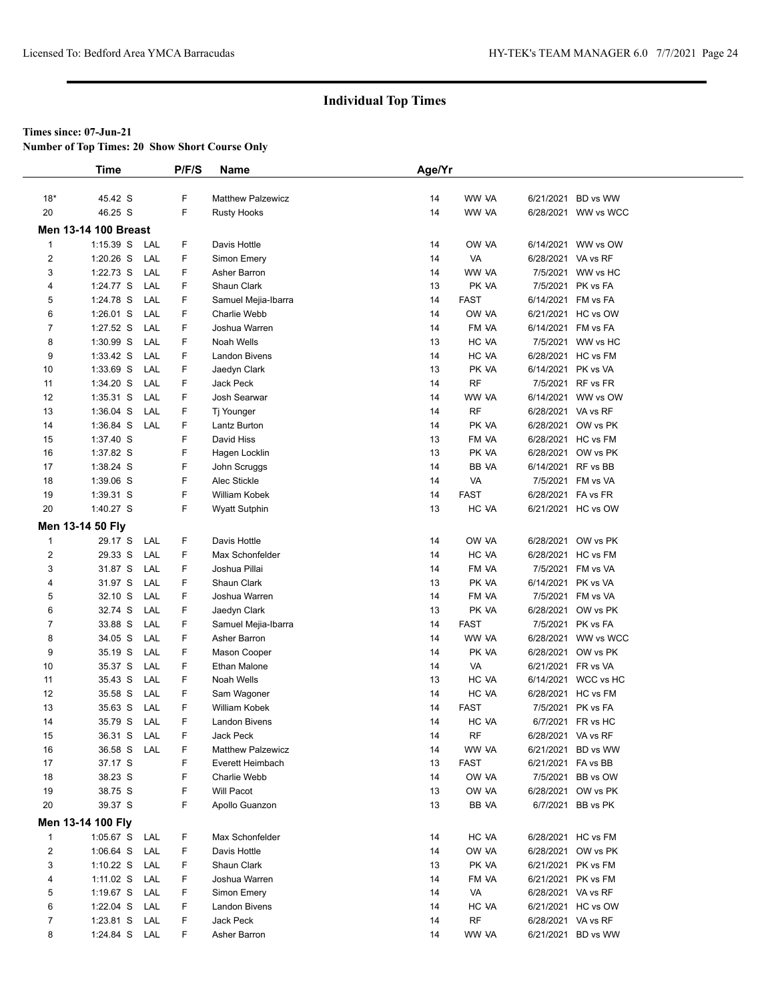**Number of Top Times: 20 Show Short Course Only**

|                | <b>Time</b>                 |     | P/F/S | <b>Name</b>              | Age/Yr |             |                    |                     |
|----------------|-----------------------------|-----|-------|--------------------------|--------|-------------|--------------------|---------------------|
|                |                             |     |       |                          |        |             |                    |                     |
| $18*$          | 45.42 S                     |     | F     | <b>Matthew Palzewicz</b> | 14     | WW VA       | 6/21/2021          | BD vs WW            |
| 20             | 46.25 S                     |     | F     | <b>Rusty Hooks</b>       | 14     | WW VA       |                    | 6/28/2021 WW vs WCC |
|                | <b>Men 13-14 100 Breast</b> |     |       |                          |        |             |                    |                     |
| $\mathbf{1}$   | 1:15.39 S LAL               |     | F     | Davis Hottle             | 14     | OW VA       |                    | 6/14/2021 WW vs OW  |
| 2              | 1:20.26 S                   | LAL | F     | Simon Emery              | 14     | VA          | 6/28/2021 VA vs RF |                     |
| 3              | 1:22.73 S                   | LAL | F     | Asher Barron             | 14     | WW VA       | 7/5/2021           | WW vs HC            |
| 4              | 1:24.77 S                   | LAL | F     | Shaun Clark              | 13     | PK VA       | 7/5/2021           | PK vs FA            |
| 5              | 1:24.78 S                   | LAL | F     | Samuel Mejia-Ibarra      | 14     | <b>FAST</b> |                    | 6/14/2021 FM vs FA  |
| 6              | $1:26.01$ S                 | LAL | F     | Charlie Webb             | 14     | OW VA       |                    | 6/21/2021 HC vs OW  |
| 7              | $1:27.52$ S                 | LAL | F     | Joshua Warren            | 14     | FM VA       | 6/14/2021          | FM vs FA            |
| 8              | 1:30.99 S                   | LAL | F     | Noah Wells               | 13     | HC VA       |                    | 7/5/2021 WW vs HC   |
| 9              | 1:33.42 S                   | LAL | F     | <b>Landon Bivens</b>     | 14     | HC VA       | 6/28/2021          | HC vs FM            |
| 10             | 1:33.69 S                   | LAL | F     | Jaedyn Clark             | 13     | PK VA       | 6/14/2021          | PK vs VA            |
| 11             | 1:34.20 S                   | LAL | F     | Jack Peck                | 14     | <b>RF</b>   |                    | 7/5/2021 RF vs FR   |
| 12             | $1:35.31$ S                 | LAL | F     | Josh Searwar             | 14     | WW VA       |                    | 6/14/2021 WW vs OW  |
| 13             | $1:36.04$ S                 | LAL | F     | Tj Younger               | 14     | <b>RF</b>   | 6/28/2021 VA vs RF |                     |
| 14             | 1:36.84 S                   | LAL | F     | Lantz Burton             | 14     | PK VA       |                    | 6/28/2021 OW vs PK  |
| 15             | 1:37.40 S                   |     | F     | David Hiss               | 13     | FM VA       |                    | 6/28/2021 HC vs FM  |
| 16             | 1:37.82 S                   |     | F     | Hagen Locklin            | 13     | PK VA       | 6/28/2021          | OW vs PK            |
| 17             | 1:38.24 S                   |     | F     | John Scruggs             | 14     | BB VA       | 6/14/2021 RF vs BB |                     |
| 18             | 1:39.06 S                   |     | F     | Alec Stickle             | 14     | VA          |                    | 7/5/2021 FM vs VA   |
| 19             | 1:39.31 S                   |     | F     | William Kobek            | 14     | <b>FAST</b> | 6/28/2021 FA vs FR |                     |
| 20             | 1:40.27 S                   |     | F     | <b>Wyatt Sutphin</b>     | 13     | HC VA       |                    | 6/21/2021 HC vs OW  |
|                | Men 13-14 50 Fly            |     |       |                          |        |             |                    |                     |
| 1              | 29.17 S                     | LAL | F     | Davis Hottle             | 14     | OW VA       |                    | 6/28/2021 OW vs PK  |
| 2              | 29.33 S                     | LAL | F     | Max Schonfelder          | 14     | HC VA       |                    | 6/28/2021 HC vs FM  |
| 3              | 31.87 S                     | LAL | F     | Joshua Pillai            | 14     | FM VA       |                    | 7/5/2021 FM vs VA   |
| 4              | 31.97 S                     | LAL | F     | Shaun Clark              | 13     | PK VA       | 6/14/2021          | PK vs VA            |
| 5              | 32.10 S                     | LAL | F     | Joshua Warren            | 14     | FM VA       | 7/5/2021           | FM vs VA            |
| 6              | 32.74 S                     | LAL | F     | Jaedyn Clark             | 13     | PK VA       | 6/28/2021          | OW vs PK            |
| 7              | 33.88 S                     | LAL | F     | Samuel Mejia-Ibarra      | 14     | FAST        | 7/5/2021           | PK vs FA            |
| 8              | 34.05 S                     | LAL | F     | Asher Barron             | 14     | WW VA       |                    | 6/28/2021 WW vs WCC |
| 9              | 35.19 S                     | LAL | F     | Mason Cooper             | 14     | PK VA       |                    | 6/28/2021 OW vs PK  |
| 10             | 35.37 S                     | LAL | F     | Ethan Malone             | 14     | VA          | 6/21/2021          | FR vs VA            |
| 11             | 35.43 S                     | LAL | F     | Noah Wells               | 13     | HC VA       |                    | 6/14/2021 WCC vs HC |
| 12             | 35.58 S                     | LAL | F     | Sam Wagoner              | 14     | HC VA       |                    | 6/28/2021 HC vs FM  |
| 13             | 35.63 S                     | LAL | F     | William Kobek            | 14     | FAST        | 7/5/2021           | PK vs FA            |
| 14             | 35.79 S                     | LAL | F     | <b>Landon Bivens</b>     | 14     | HC VA       |                    | 6/7/2021 FR vs HC   |
| 15             | 36.31 S LAL                 |     | F     | Jack Peck                | 14     | RF          | 6/28/2021 VA vs RF |                     |
| 16             | 36.58 S                     | LAL | F     | <b>Matthew Palzewicz</b> | 14     | WW VA       |                    | 6/21/2021 BD vs WW  |
| 17             | 37.17 S                     |     | F     | Everett Heimbach         | 13     | FAST        | 6/21/2021 FA vs BB |                     |
| 18             | 38.23 S                     |     | F     | Charlie Webb             | 14     | OW VA       |                    | 7/5/2021 BB vs OW   |
| 19             | 38.75 S                     |     | F     | Will Pacot               | 13     | OW VA       |                    | 6/28/2021 OW vs PK  |
| 20             | 39.37 S                     |     | F     | Apollo Guanzon           | 13     | BB VA       |                    | 6/7/2021 BB vs PK   |
|                | Men 13-14 100 Fly           |     |       |                          |        |             |                    |                     |
| $\mathbf{1}$   | 1:05.67 S LAL               |     | F     | Max Schonfelder          | 14     | HC VA       |                    | 6/28/2021 HC vs FM  |
| $\overline{c}$ | 1:06.64 S LAL               |     | F     | Davis Hottle             | 14     | OW VA       |                    | 6/28/2021 OW vs PK  |
| 3              | 1:10.22 S LAL               |     | F     | Shaun Clark              | 13     | PK VA       |                    | 6/21/2021 PK vs FM  |
| 4              | 1:11.02 $S$                 | LAL | F     | Joshua Warren            | 14     | FM VA       |                    | 6/21/2021 PK vs FM  |
| 5              | 1:19.67 S LAL               |     | F     | Simon Emery              | 14     | VA          | 6/28/2021 VA vs RF |                     |
| 6              | 1:22.04 S LAL               |     | F     | Landon Bivens            | 14     | HC VA       |                    | 6/21/2021 HC vs OW  |
| 7              | 1:23.81 S                   | LAL | F     | Jack Peck                | 14     | RF          | 6/28/2021 VA vs RF |                     |
| 8              | 1:24.84 S LAL               |     | F     | Asher Barron             | 14     | WW VA       |                    | 6/21/2021 BD vs WW  |
|                |                             |     |       |                          |        |             |                    |                     |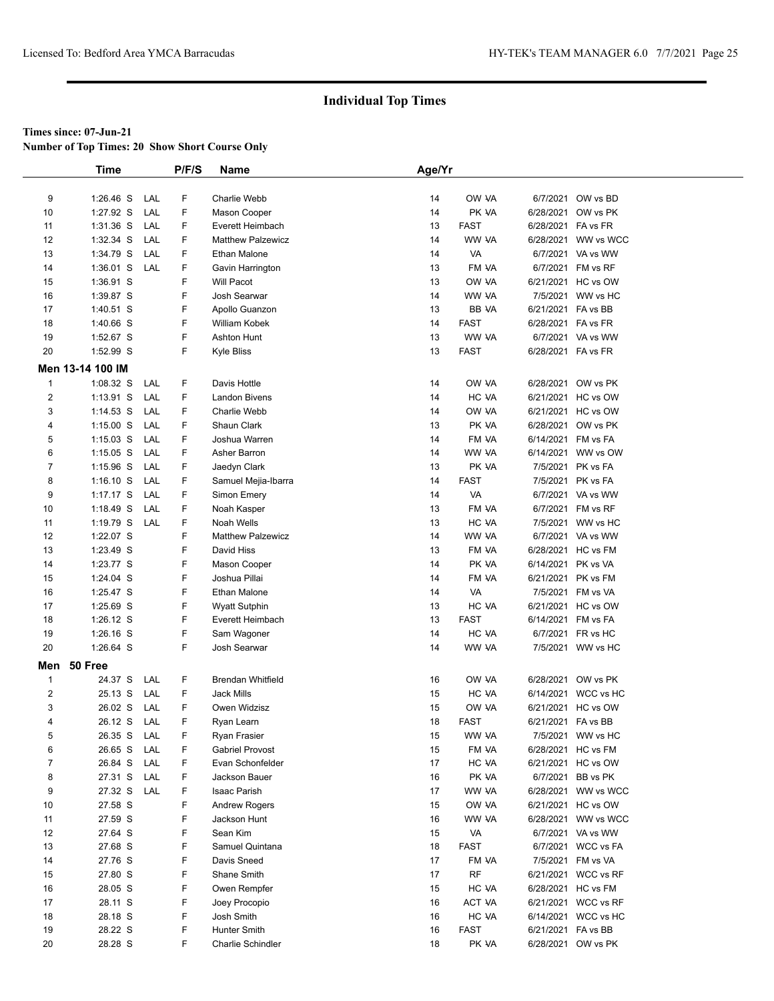**Number of Top Times: 20 Show Short Course Only**

|                | <b>Time</b>      |     | P/F/S | Name                     | Age/Yr |             |                    |                     |  |
|----------------|------------------|-----|-------|--------------------------|--------|-------------|--------------------|---------------------|--|
|                |                  |     |       |                          |        |             |                    |                     |  |
| 9              | $1:26.46$ S      | LAL | F     | Charlie Webb             | 14     | OW VA       |                    | 6/7/2021 OW vs BD   |  |
| 10             | 1:27.92 S        | LAL | F     | Mason Cooper             | 14     | PK VA       | 6/28/2021          | OW vs PK            |  |
| 11             | $1:31.36$ S      | LAL | F     | Everett Heimbach         | 13     | <b>FAST</b> | 6/28/2021 FA vs FR |                     |  |
| 12             | 1:32.34 S        | LAL | F     | <b>Matthew Palzewicz</b> | 14     | WW VA       |                    | 6/28/2021 WW vs WCC |  |
| 13             | 1:34.79 S        | LAL | F     | <b>Ethan Malone</b>      | 14     | VA          |                    | 6/7/2021 VA vs WW   |  |
| 14             | $1:36.01$ S      | LAL | F     | Gavin Harrington         | 13     | FM VA       |                    | 6/7/2021 FM vs RF   |  |
| 15             | 1:36.91 S        |     | F     | <b>Will Pacot</b>        | 13     | OW VA       |                    | 6/21/2021 HC vs OW  |  |
| 16             | 1:39.87 S        |     | F     | Josh Searwar             | 14     | WW VA       |                    | 7/5/2021 WW vs HC   |  |
| 17             | 1:40.51 S        |     | F     | Apollo Guanzon           | 13     | BB VA       | 6/21/2021 FA vs BB |                     |  |
| 18             | 1:40.66 S        |     | F     | William Kobek            | 14     | <b>FAST</b> | 6/28/2021 FA vs FR |                     |  |
| 19             | 1:52.67 S        |     | F     | Ashton Hunt              | 13     | WW VA       |                    | 6/7/2021 VA vs WW   |  |
| 20             | 1:52.99 S        |     | F     | Kyle Bliss               | 13     | <b>FAST</b> | 6/28/2021 FA vs FR |                     |  |
|                | Men 13-14 100 IM |     |       |                          |        |             |                    |                     |  |
| $\mathbf{1}$   | 1:08.32 S        | LAL | F     | Davis Hottle             | 14     | OW VA       |                    | 6/28/2021 OW vs PK  |  |
| $\overline{2}$ | $1:13.91$ S      | LAL | F     | <b>Landon Bivens</b>     | 14     | HC VA       |                    | 6/21/2021 HC vs OW  |  |
| 3              | $1:14.53$ S      | LAL | F     | Charlie Webb             | 14     | OW VA       |                    | 6/21/2021 HC vs OW  |  |
| 4              | $1:15.00$ S      | LAL | F     | Shaun Clark              | 13     | PK VA       |                    | 6/28/2021 OW vs PK  |  |
| 5              | $1:15.03$ S      | LAL | F     | Joshua Warren            | 14     | FM VA       |                    | 6/14/2021 FM vs FA  |  |
| 6              | $1:15.05$ S      | LAL | F     | Asher Barron             | 14     | WW VA       |                    | 6/14/2021 WW vs OW  |  |
| $\overline{7}$ | $1:15.96$ S      | LAL | F     | Jaedyn Clark             | 13     | PK VA       |                    | 7/5/2021 PK vs FA   |  |
| 8              | $1:16.10$ S      | LAL | F     | Samuel Mejia-Ibarra      | 14     | <b>FAST</b> |                    | 7/5/2021 PK vs FA   |  |
| 9              | $1:17.17$ S      | LAL | F     | Simon Emery              | 14     | <b>VA</b>   |                    | 6/7/2021 VA vs WW   |  |
| 10             | $1:18.49$ S      | LAL | F     | Noah Kasper              | 13     | FM VA       | 6/7/2021           | FM vs RF            |  |
| 11             | 1:19.79 S        | LAL | F     | Noah Wells               | 13     | HC VA       |                    | 7/5/2021 WW vs HC   |  |
| 12             | 1:22.07 S        |     | F     | <b>Matthew Palzewicz</b> | 14     | WW VA       |                    | 6/7/2021 VA vs WW   |  |
| 13             | 1:23.49 S        |     | F     | David Hiss               | 13     | FM VA       |                    | 6/28/2021 HC vs FM  |  |
| 14             | 1:23.77 S        |     | F     | Mason Cooper             | 14     | PK VA       | 6/14/2021 PK vs VA |                     |  |
| 15             | 1:24.04 S        |     | F     | Joshua Pillai            | 14     | FM VA       |                    | 6/21/2021 PK vs FM  |  |
| 16             | 1:25.47 S        |     | F     | Ethan Malone             | 14     | VA          |                    | 7/5/2021 FM vs VA   |  |
| 17             | 1:25.69 S        |     | F     | <b>Wyatt Sutphin</b>     | 13     | HC VA       |                    | 6/21/2021 HC vs OW  |  |
| 18             | 1:26.12 S        |     | F     | Everett Heimbach         | 13     | <b>FAST</b> |                    | 6/14/2021 FM vs FA  |  |
| 19             | $1:26.16$ S      |     | F     | Sam Wagoner              | 14     | HC VA       |                    | 6/7/2021 FR vs HC   |  |
| 20             | 1:26.64 S        |     | F     | Josh Searwar             | 14     | WW VA       |                    | 7/5/2021 WW vs HC   |  |
| Men            | 50 Free          |     |       |                          |        |             |                    |                     |  |
| $\mathbf{1}$   | 24.37 S          | LAL | F     | <b>Brendan Whitfield</b> | 16     | OW VA       |                    | 6/28/2021 OW vs PK  |  |
| $\overline{2}$ | 25.13 S          | LAL | F     | <b>Jack Mills</b>        | 15     | HC VA       |                    | 6/14/2021 WCC vs HC |  |
| 3              | 26.02 S          | LAL | F     | Owen Widzisz             | 15     | OW VA       |                    | 6/21/2021 HC vs OW  |  |
| 4              | 26.12 S          | LAL | F     | Ryan Learn               | 18     | <b>FAST</b> | 6/21/2021 FA vs BB |                     |  |
| 5              | 26.35 S          | LAL | F     | Ryan Frasier             | 15     | WW VA       |                    | 7/5/2021 WW vs HC   |  |
| 6              | 26.65 S          | LAL | F     | <b>Gabriel Provost</b>   | 15     | FM VA       |                    | 6/28/2021 HC vs FM  |  |
| $\overline{7}$ | 26.84 S          | LAL | F     | Evan Schonfelder         | 17     | HC VA       |                    | 6/21/2021 HC vs OW  |  |
| 8              | 27.31 S          | LAL | F     | Jackson Bauer            | 16     | PK VA       |                    | 6/7/2021 BB vs PK   |  |
| 9              | 27.32 S          | LAL | F     | Isaac Parish             | 17     | WW VA       |                    | 6/28/2021 WW vs WCC |  |
| 10             | 27.58 S          |     | F     | Andrew Rogers            | 15     | OW VA       |                    | 6/21/2021 HC vs OW  |  |
| 11             | 27.59 S          |     | F     | Jackson Hunt             | 16     | WW VA       |                    | 6/28/2021 WW vs WCC |  |
| 12             | 27.64 S          |     | F     | Sean Kim                 | 15     | VA          |                    | 6/7/2021 VA vs WW   |  |
| 13             | 27.68 S          |     | F     | Samuel Quintana          | 18     | FAST        |                    | 6/7/2021 WCC vs FA  |  |
| 14             | 27.76 S          |     | F     | Davis Sneed              | 17     | FM VA       |                    | 7/5/2021 FM vs VA   |  |
| 15             | 27.80 S          |     | F     | Shane Smith              | 17     | RF          |                    | 6/21/2021 WCC vs RF |  |
| 16             | 28.05 S          |     | F     | Owen Rempfer             | 15     | HC VA       |                    | 6/28/2021 HC vs FM  |  |
| 17             | 28.11 S          |     | F     | Joey Procopio            | 16     | ACT VA      |                    | 6/21/2021 WCC vs RF |  |
| 18             | 28.18 S          |     | F     | Josh Smith               | 16     | HC VA       |                    | 6/14/2021 WCC vs HC |  |
| 19             | 28.22 S          |     | F     | Hunter Smith             | 16     | <b>FAST</b> | 6/21/2021 FA vs BB |                     |  |
| 20             | 28.28 S          |     | F     | <b>Charlie Schindler</b> | 18     | PK VA       |                    | 6/28/2021 OW vs PK  |  |
|                |                  |     |       |                          |        |             |                    |                     |  |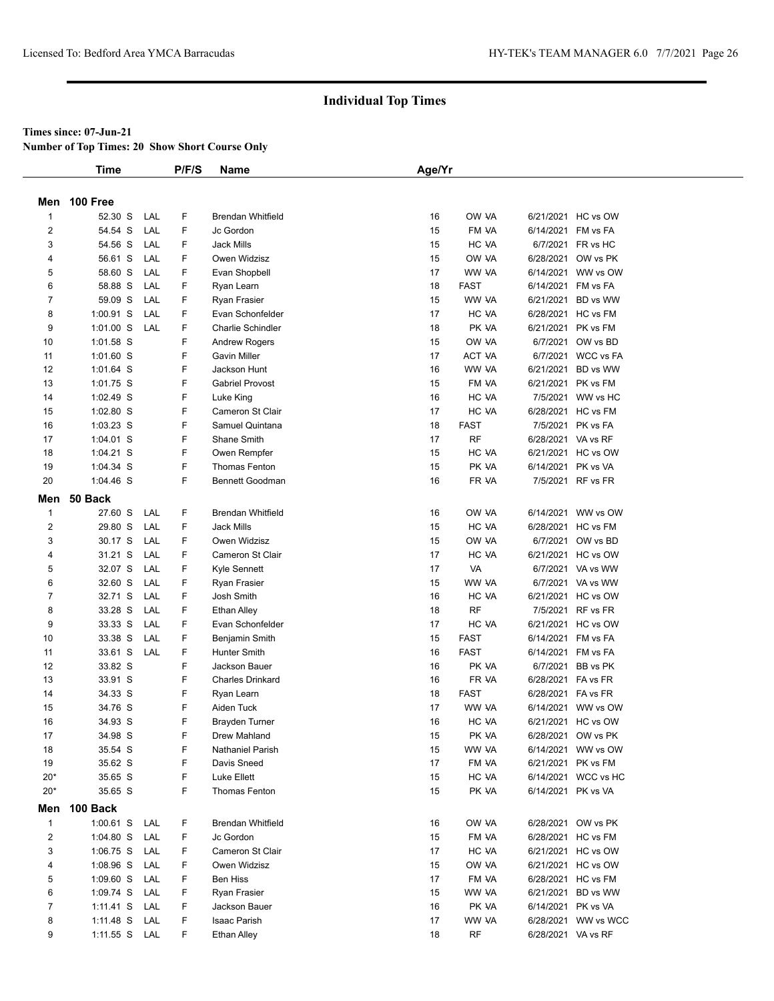#### **Times since: 07-Jun-21**

**Number of Top Times: 20 Show Short Course Only**

|                         | <b>Time</b>   |     | P/F/S  | <b>Name</b>                | Age/Yr |             |                    |                     |
|-------------------------|---------------|-----|--------|----------------------------|--------|-------------|--------------------|---------------------|
|                         |               |     |        |                            |        |             |                    |                     |
|                         | Men 100 Free  |     |        |                            |        |             |                    |                     |
| $\mathbf{1}$            | 52.30 S       | LAL | F      | <b>Brendan Whitfield</b>   | 16     | OW VA       |                    | 6/21/2021 HC vs OW  |
| $\overline{\mathbf{c}}$ | 54.54 S       | LAL | F      | Jc Gordon                  | 15     | FM VA       |                    | 6/14/2021 FM vs FA  |
| 3                       | 54.56 S       | LAL | F      | <b>Jack Mills</b>          | 15     | HC VA       |                    | 6/7/2021 FR vs HC   |
| 4                       | 56.61 S       | LAL | F      | Owen Widzisz               | 15     | OW VA       |                    | 6/28/2021 OW vs PK  |
| 5                       | 58.60 S       | LAL | F      | Evan Shopbell              | 17     | WW VA       |                    | 6/14/2021 WW vs OW  |
| 6                       | 58.88 S       | LAL | F      | Ryan Learn                 | 18     | <b>FAST</b> |                    | 6/14/2021 FM vs FA  |
| 7                       | 59.09 S       | LAL | F      | Ryan Frasier               | 15     | WW VA       |                    | 6/21/2021 BD vs WW  |
| 8                       | $1:00.91$ S   | LAL | F      | Evan Schonfelder           | 17     | HC VA       |                    | 6/28/2021 HC vs FM  |
| 9                       | $1:01.00$ S   | LAL | F      | <b>Charlie Schindler</b>   | 18     | PK VA       |                    | 6/21/2021 PK vs FM  |
| 10                      | 1:01.58 S     |     | F      | <b>Andrew Rogers</b>       | 15     | OW VA       |                    | 6/7/2021 OW vs BD   |
| 11                      | $1:01.60$ S   |     | F      | <b>Gavin Miller</b>        | 17     | ACT VA      |                    | 6/7/2021 WCC vs FA  |
| 12                      | 1:01.64 S     |     | F      | Jackson Hunt               | 16     | WW VA       |                    | 6/21/2021 BD vs WW  |
| 13                      | 1:01.75 S     |     | F      | <b>Gabriel Provost</b>     | 15     | FM VA       |                    | 6/21/2021 PK vs FM  |
| 14                      | 1:02.49 S     |     | F      | Luke King                  | 16     | HC VA       |                    | 7/5/2021 WW vs HC   |
| 15                      | $1:02.80$ S   |     | F      | Cameron St Clair           | 17     | HC VA       |                    | 6/28/2021 HC vs FM  |
| 16                      | 1:03.23 S     |     | F      | Samuel Quintana            | 18     | <b>FAST</b> |                    | 7/5/2021 PK vs FA   |
| 17                      | 1:04.01 S     |     | F      | Shane Smith                | 17     | <b>RF</b>   |                    | 6/28/2021 VA vs RF  |
| 18                      | $1:04.21$ S   |     | F      | Owen Rempfer               | 15     | HC VA       |                    | 6/21/2021 HC vs OW  |
| 19                      | 1:04.34 S     |     | F      | <b>Thomas Fenton</b>       | 15     | PK VA       |                    | 6/14/2021 PK vs VA  |
| 20                      | $1:04.46$ S   |     | F      | <b>Bennett Goodman</b>     | 16     | FR VA       |                    | 7/5/2021 RF vs FR   |
| Men                     | 50 Back       |     |        |                            |        |             |                    |                     |
| $\mathbf{1}$            | 27.60 S       | LAL | F      | <b>Brendan Whitfield</b>   | 16     | OW VA       |                    | 6/14/2021 WW vs OW  |
| $\overline{2}$          | 29.80 S       | LAL | F      | <b>Jack Mills</b>          | 15     | HC VA       |                    | 6/28/2021 HC vs FM  |
| 3                       | 30.17 S       | LAL | F      | Owen Widzisz               | 15     | OW VA       |                    | 6/7/2021 OW vs BD   |
| 4                       | 31.21 S       | LAL | F      | Cameron St Clair           | 17     | HC VA       |                    | 6/21/2021 HC vs OW  |
| 5                       | 32.07 S       | LAL | F      | Kyle Sennett               | 17     | VA          |                    | 6/7/2021 VA vs WW   |
| 6                       | 32.60 S       | LAL | F      |                            | 15     | WW VA       |                    | 6/7/2021 VA vs WW   |
| 7                       | 32.71 S       | LAL | F      | Ryan Frasier<br>Josh Smith | 16     | HC VA       |                    | 6/21/2021 HC vs OW  |
| 8                       | 33.28 S       | LAL | F      | Ethan Alley                | 18     | <b>RF</b>   |                    | 7/5/2021 RF vs FR   |
| 9                       | 33.33 S       | LAL | F      | Evan Schonfelder           | 17     | HC VA       |                    | 6/21/2021 HC vs OW  |
| 10                      | 33.38 S       | LAL | F      | Benjamin Smith             | 15     | <b>FAST</b> |                    | 6/14/2021 FM vs FA  |
| 11                      | 33.61 S       | LAL | F      | <b>Hunter Smith</b>        | 16     | <b>FAST</b> |                    | 6/14/2021 FM vs FA  |
| 12                      | 33.82 S       |     | F      | Jackson Bauer              | 16     | PK VA       |                    | 6/7/2021 BB vs PK   |
| 13                      | 33.91 S       |     | F      | <b>Charles Drinkard</b>    | 16     | FR VA       |                    | 6/28/2021 FA vs FR  |
| 14                      | 34.33 S       |     | F      |                            | 18     | <b>FAST</b> | 6/28/2021 FA vs FR |                     |
| 15                      | 34.76 S       |     | F      | Ryan Learn<br>Aiden Tuck   | 17     | WW VA       |                    | 6/14/2021 WW vs OW  |
| 16                      |               |     | F      | <b>Brayden Turner</b>      | 16     | HC VA       |                    | 6/21/2021 HC vs OW  |
|                         | 34.93 S       |     |        | Drew Mahland               |        |             |                    |                     |
| 17                      | 34.98 S       |     | F<br>F |                            | 15     | PK VA       |                    | 6/28/2021 OW vs PK  |
| 18                      | 35.54 S       |     |        | Nathaniel Parish           | 15     | WW VA       |                    | 6/14/2021 WW vs OW  |
| 19                      | 35.62 S       |     | F      | Davis Sneed                | 17     | FM VA       |                    | 6/21/2021 PK vs FM  |
| $20*$<br>$20*$          | 35.65 S       |     | F<br>F | Luke Ellett                | 15     | HC VA       |                    | 6/14/2021 WCC vs HC |
|                         | 35.65 S       |     |        | <b>Thomas Fenton</b>       | 15     | PK VA       |                    | 6/14/2021 PK vs VA  |
| Men                     | 100 Back      |     |        |                            |        |             |                    |                     |
| $\mathbf{1}$            | 1:00.61 S LAL |     | F      | <b>Brendan Whitfield</b>   | 16     | OW VA       |                    | 6/28/2021 OW vs PK  |
| $\overline{2}$          | 1:04.80 S LAL |     | F      | Jc Gordon                  | 15     | FM VA       |                    | 6/28/2021 HC vs FM  |
| 3                       | $1:06.75$ S   | LAL | F      | Cameron St Clair           | 17     | HC VA       |                    | 6/21/2021 HC vs OW  |
| 4                       | $1:08.96$ S   | LAL | F      | Owen Widzisz               | 15     | OW VA       |                    | 6/21/2021 HC vs OW  |
| 5                       | $1:09.60$ S   | LAL | F      | <b>Ben Hiss</b>            | 17     | FM VA       |                    | 6/28/2021 HC vs FM  |
| 6                       | 1:09.74 S LAL |     | F      | Ryan Frasier               | 15     | WW VA       |                    | 6/21/2021 BD vs WW  |
| $\overline{7}$          | 1:11.41 S     | LAL | F      | Jackson Bauer              | 16     | PK VA       |                    | 6/14/2021 PK vs VA  |
| 8                       | 1:11.48 S     | LAL | F      | Isaac Parish               | 17     | WW VA       |                    | 6/28/2021 WW vs WCC |
| 9                       | 1:11.55 S LAL |     | F      | <b>Ethan Alley</b>         | 18     | RF          |                    | 6/28/2021 VA vs RF  |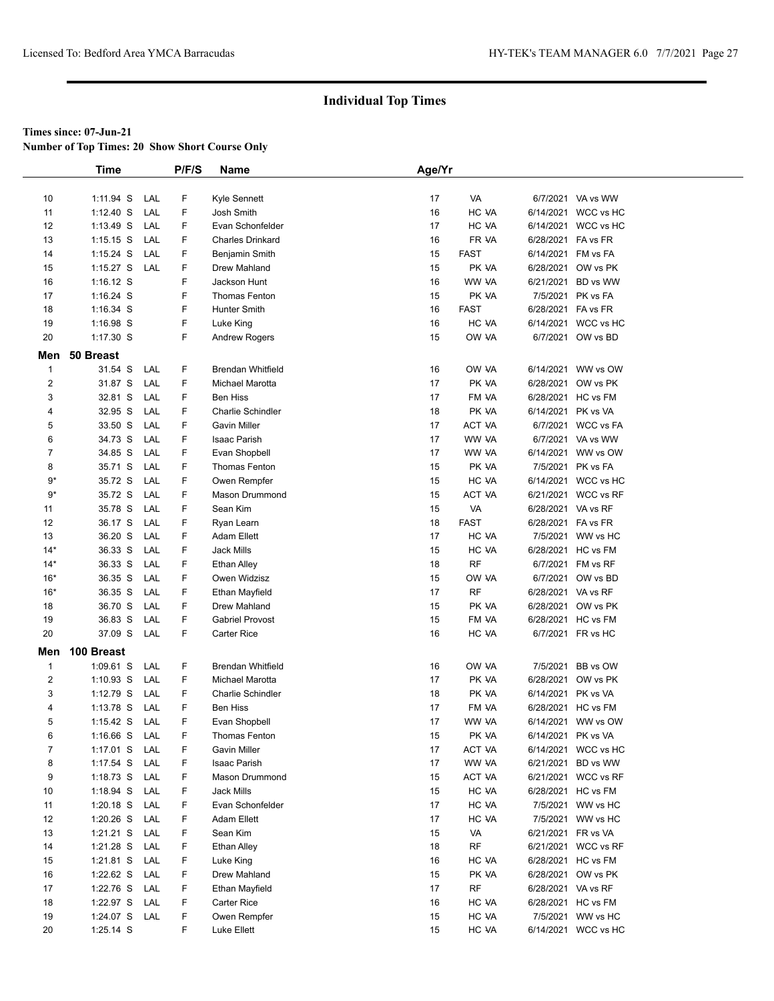**Number of Top Times: 20 Show Short Course Only**

|                | Time          |     | P/F/S | <b>Name</b>              | Age/Yr |             |                    |                     |  |
|----------------|---------------|-----|-------|--------------------------|--------|-------------|--------------------|---------------------|--|
|                |               |     |       |                          |        |             |                    |                     |  |
| 10             | 1:11.94 S     | LAL | F     | Kyle Sennett             | 17     | VA          |                    | 6/7/2021 VA vs WW   |  |
| 11             | $1:12.40$ S   | LAL | F     | Josh Smith               | 16     | HC VA       |                    | 6/14/2021 WCC vs HC |  |
| 12             | $1:13.49$ S   | LAL | F     | Evan Schonfelder         | 17     | HC VA       |                    | 6/14/2021 WCC vs HC |  |
| 13             | $1:15.15$ S   | LAL | F     | <b>Charles Drinkard</b>  | 16     | FR VA       | 6/28/2021 FA vs FR |                     |  |
| 14             | $1:15.24$ S   | LAL | F     | Benjamin Smith           | 15     | <b>FAST</b> | 6/14/2021 FM vs FA |                     |  |
| 15             | $1:15.27$ S   | LAL | F     | Drew Mahland             | 15     | PK VA       |                    | 6/28/2021 OW vs PK  |  |
| 16             | $1:16.12$ S   |     | F     | Jackson Hunt             | 16     | WW VA       |                    | 6/21/2021 BD vs WW  |  |
| 17             | $1:16.24$ S   |     | F     | Thomas Fenton            | 15     | PK VA       |                    | 7/5/2021 PK vs FA   |  |
| 18             | 1:16.34 S     |     | F     | Hunter Smith             | 16     | <b>FAST</b> | 6/28/2021 FA vs FR |                     |  |
| 19             | 1:16.98 S     |     | F     | Luke King                | 16     | HC VA       |                    | 6/14/2021 WCC vs HC |  |
| 20             | 1:17.30 S     |     | F     | <b>Andrew Rogers</b>     | 15     | OW VA       |                    | 6/7/2021 OW vs BD   |  |
| Men            | 50 Breast     |     |       |                          |        |             |                    |                     |  |
| $\mathbf 1$    | 31.54 S       | LAL | F     | <b>Brendan Whitfield</b> | 16     | OW VA       |                    | 6/14/2021 WW vs OW  |  |
| $\overline{2}$ | 31.87 S       | LAL | F     | Michael Marotta          | 17     | PK VA       |                    | 6/28/2021 OW vs PK  |  |
| 3              | 32.81 S       | LAL | F     | Ben Hiss                 | 17     | FM VA       |                    | 6/28/2021 HC vs FM  |  |
| 4              | 32.95 S       | LAL | F     | Charlie Schindler        | 18     | PK VA       | 6/14/2021 PK vs VA |                     |  |
| 5              | 33.50 S       | LAL | F     | <b>Gavin Miller</b>      | 17     | ACT VA      |                    | 6/7/2021 WCC vs FA  |  |
| 6              | 34.73 S       | LAL | F     | Isaac Parish             | 17     | WW VA       |                    | 6/7/2021 VA vs WW   |  |
| 7              | 34.85 S       | LAL | F     | Evan Shopbell            | 17     | WW VA       |                    | 6/14/2021 WW vs OW  |  |
| 8              | 35.71 S       | LAL | F     | Thomas Fenton            | 15     | PK VA       |                    | 7/5/2021 PK vs FA   |  |
| $9*$           | 35.72 S       | LAL | F     | Owen Rempfer             | 15     | HC VA       |                    | 6/14/2021 WCC vs HC |  |
| $9*$           | 35.72 S       | LAL | F     | <b>Mason Drummond</b>    | 15     | ACT VA      |                    | 6/21/2021 WCC vs RF |  |
| 11             | 35.78 S       | LAL | F     | Sean Kim                 | 15     | VA          | 6/28/2021 VA vs RF |                     |  |
| 12             | 36.17 S       | LAL | F     | Ryan Learn               | 18     | <b>FAST</b> | 6/28/2021 FA vs FR |                     |  |
| 13             | 36.20 S       | LAL | F     | Adam Ellett              | 17     | HC VA       |                    | 7/5/2021 WW vs HC   |  |
| $14*$          | 36.33 S       | LAL | F     | <b>Jack Mills</b>        | 15     | HC VA       |                    | 6/28/2021 HC vs FM  |  |
| $14*$          | 36.33 S       | LAL | F     | <b>Ethan Alley</b>       | 18     | <b>RF</b>   |                    | 6/7/2021 FM vs RF   |  |
| $16*$          | 36.35 S       | LAL | F     | Owen Widzisz             | 15     | OW VA       |                    | 6/7/2021 OW vs BD   |  |
| $16*$          | 36.35 S       | LAL | F     | Ethan Mayfield           | 17     | <b>RF</b>   | 6/28/2021 VA vs RF |                     |  |
| 18             | 36.70 S       | LAL | F     | Drew Mahland             | 15     | PK VA       |                    | 6/28/2021 OW vs PK  |  |
| 19             | 36.83 S       | LAL | F     | <b>Gabriel Provost</b>   | 15     | FM VA       |                    | 6/28/2021 HC vs FM  |  |
| 20             | 37.09 S       | LAL | F     | Carter Rice              | 16     | HC VA       |                    | 6/7/2021 FR vs HC   |  |
|                |               |     |       |                          |        |             |                    |                     |  |
| Men            | 100 Breast    |     |       |                          |        |             |                    |                     |  |
| $\mathbf{1}$   | 1:09.61 S     | LAL | F     | <b>Brendan Whitfield</b> | 16     | OW VA       |                    | 7/5/2021 BB vs OW   |  |
| $\overline{c}$ | $1:10.93$ S   | LAL | F     | Michael Marotta          | 17     | PK VA       |                    | 6/28/2021 OW vs PK  |  |
| 3              | 1:12.79 S     | LAL | F     | Charlie Schindler        | 18     | PK VA       | 6/14/2021 PK vs VA |                     |  |
| 4              | 1:13.78 S     | LAL | F     | Ben Hiss                 | 17     | FM VA       |                    | 6/28/2021 HC vs FM  |  |
| 5              | $1:15.42$ S   | LAL | F     | Evan Shopbell            | 17     | WW VA       |                    | 6/14/2021 WW vs OW  |  |
| 6              | $1:16.66$ S   | LAL | F     | Thomas Fenton            | 15     | PK VA       | 6/14/2021 PK vs VA |                     |  |
| 7              | $1:17.01$ S   | LAL | F     | Gavin Miller             | 17     | ACT VA      |                    | 6/14/2021 WCC vs HC |  |
| 8              | 1:17.54 $S$   | LAL | F     | Isaac Parish             | 17     | WW VA       |                    | 6/21/2021 BD vs WW  |  |
| 9              | $1:18.73$ S   | LAL | F     | <b>Mason Drummond</b>    | 15     | ACT VA      |                    | 6/21/2021 WCC vs RF |  |
| 10             | 1:18.94 S     | LAL | F     | Jack Mills               | 15     | HC VA       |                    | 6/28/2021 HC vs FM  |  |
| 11             | $1:20.18$ S   | LAL | F     | Evan Schonfelder         | 17     | HC VA       |                    | 7/5/2021 WW vs HC   |  |
| 12             | $1:20.26$ S   | LAL | F     | Adam Ellett              | 17     | HC VA       |                    | 7/5/2021 WW vs HC   |  |
| 13             | 1:21.21 S LAL |     | F     | Sean Kim                 | 15     | VA          | 6/21/2021 FR vs VA |                     |  |
| 14             | $1:21.28$ S   | LAL | F     | <b>Ethan Alley</b>       | 18     | RF          |                    | 6/21/2021 WCC vs RF |  |
| 15             | $1:21.81$ S   | LAL | F     | Luke King                | 16     | HC VA       |                    | 6/28/2021 HC vs FM  |  |
| 16             | 1:22.62 S     | LAL | F     | Drew Mahland             | 15     | PK VA       |                    | 6/28/2021 OW vs PK  |  |
| 17             | $1:22.76$ S   | LAL | F     | Ethan Mayfield           | 17     | RF          | 6/28/2021 VA vs RF |                     |  |
| 18             | 1:22.97 S     | LAL | F     | Carter Rice              | 16     | HC VA       |                    | 6/28/2021 HC vs FM  |  |
| 19             | $1:24.07$ S   | LAL | F.    | Owen Rempfer             | 15     | HC VA       |                    | 7/5/2021 WW vs HC   |  |
| 20             | 1:25.14 S     |     | F     | Luke Ellett              | 15     | HC VA       |                    | 6/14/2021 WCC vs HC |  |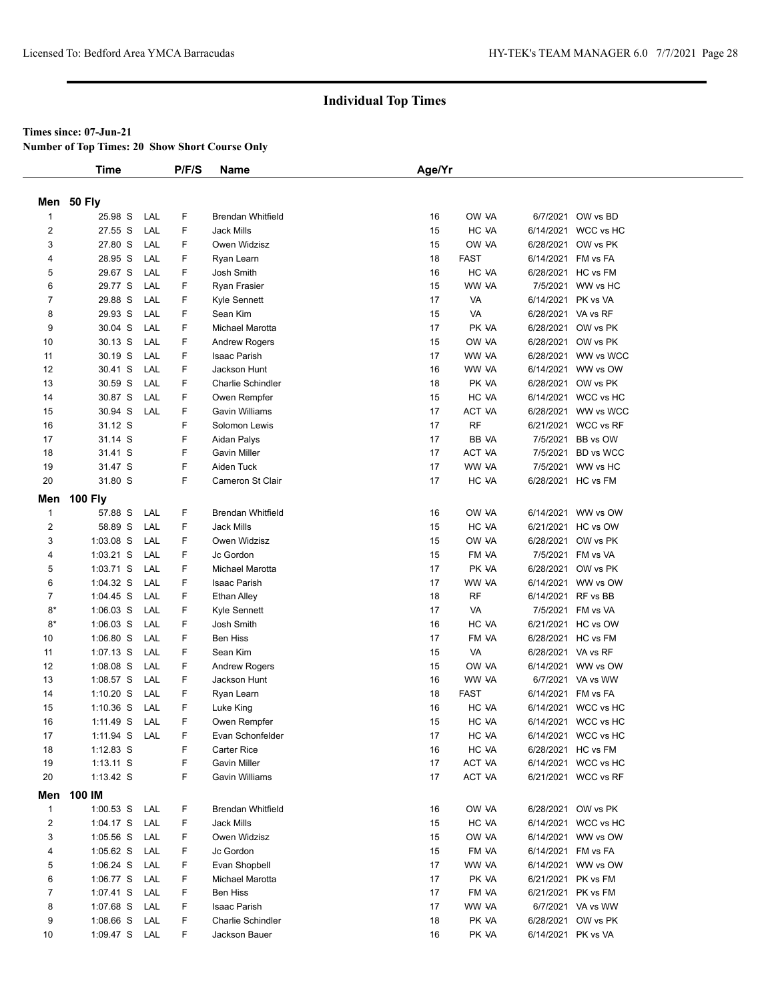#### **Times since: 07-Jun-21**

**Number of Top Times: 20 Show Short Course Only**

|                         | <b>Time</b>    |     | P/F/S | Name                     | Age/Yr |             |                    |                     |
|-------------------------|----------------|-----|-------|--------------------------|--------|-------------|--------------------|---------------------|
|                         |                |     |       |                          |        |             |                    |                     |
|                         | Men 50 Fly     |     |       |                          |        |             |                    |                     |
| $\mathbf{1}$            | 25.98 S        | LAL | F     | <b>Brendan Whitfield</b> | 16     | OW VA       |                    | 6/7/2021 OW vs BD   |
| $\overline{\mathbf{c}}$ | 27.55 S        | LAL | F     | <b>Jack Mills</b>        | 15     | HC VA       |                    | 6/14/2021 WCC vs HC |
| 3                       | 27.80 S        | LAL | F     | Owen Widzisz             | 15     | OW VA       |                    | 6/28/2021 OW vs PK  |
| 4                       | 28.95 S        | LAL | F     | Ryan Learn               | 18     | <b>FAST</b> |                    | 6/14/2021 FM vs FA  |
| 5                       | 29.67 S        | LAL | F     | Josh Smith               | 16     | HC VA       |                    | 6/28/2021 HC vs FM  |
| 6                       | 29.77 S        | LAL | F     | Ryan Frasier             | 15     | WW VA       |                    | 7/5/2021 WW vs HC   |
| 7                       | 29.88 S        | LAL | F     | Kyle Sennett             | 17     | VA          | 6/14/2021 PK vs VA |                     |
| 8                       | 29.93 S        | LAL | F     | Sean Kim                 | 15     | VA          |                    | 6/28/2021 VA vs RF  |
| 9                       | 30.04 S        | LAL | F     | Michael Marotta          | 17     | PK VA       |                    | 6/28/2021 OW vs PK  |
| 10                      | 30.13 S        | LAL | F     | <b>Andrew Rogers</b>     | 15     | OW VA       |                    | 6/28/2021 OW vs PK  |
| 11                      | 30.19 S        | LAL | F     | Isaac Parish             | 17     | WW VA       |                    | 6/28/2021 WW vs WCC |
| 12                      | 30.41 S        | LAL | F     | Jackson Hunt             | 16     | WW VA       |                    | 6/14/2021 WW vs OW  |
| 13                      | 30.59 S        | LAL | F     | Charlie Schindler        | 18     | PK VA       |                    | 6/28/2021 OW vs PK  |
| 14                      | 30.87 S        | LAL | F     | Owen Rempfer             | 15     | HC VA       |                    | 6/14/2021 WCC vs HC |
| 15                      | 30.94 S        | LAL | F     | <b>Gavin Williams</b>    | 17     | ACT VA      |                    | 6/28/2021 WW vs WCC |
| 16                      | 31.12 S        |     | F     | Solomon Lewis            | 17     | <b>RF</b>   |                    | 6/21/2021 WCC vs RF |
| 17                      | 31.14 S        |     | F     | Aidan Palys              | 17     | BB VA       | 7/5/2021           | BB vs OW            |
| 18                      | 31.41 S        |     | F     | <b>Gavin Miller</b>      | 17     | ACT VA      |                    | 7/5/2021 BD vs WCC  |
| 19                      | 31.47 S        |     | F     | Aiden Tuck               | 17     | WW VA       |                    | 7/5/2021 WW vs HC   |
| 20                      | 31.80 S        |     | F     | Cameron St Clair         | 17     | HC VA       |                    | 6/28/2021 HC vs FM  |
| Men                     | <b>100 Fly</b> |     |       |                          |        |             |                    |                     |
| $\mathbf{1}$            | 57.88 S        | LAL | F     | <b>Brendan Whitfield</b> | 16     | OW VA       |                    | 6/14/2021 WW vs OW  |
| $\overline{\mathbf{c}}$ | 58.89 S        | LAL | F     | <b>Jack Mills</b>        | 15     | HC VA       |                    | 6/21/2021 HC vs OW  |
| 3                       | $1:03.08$ S    | LAL | F     | Owen Widzisz             | 15     | OW VA       |                    | 6/28/2021 OW vs PK  |
| 4                       | $1:03.21$ S    | LAL | F     | Jc Gordon                | 15     | FM VA       |                    | 7/5/2021 FM vs VA   |
| 5                       | $1:03.71$ S    | LAL | F     | Michael Marotta          | 17     | PK VA       |                    | 6/28/2021 OW vs PK  |
| 6                       | 1:04.32 S      | LAL | F     | Isaac Parish             | 17     | WW VA       |                    | 6/14/2021 WW vs OW  |
| $\overline{7}$          | $1:04.45$ S    | LAL | F     | <b>Ethan Alley</b>       | 18     | <b>RF</b>   |                    | 6/14/2021 RF vs BB  |
| $8*$                    | $1:06.03$ S    | LAL | F     | Kyle Sennett             | 17     | VA          |                    | 7/5/2021 FM vs VA   |
| $8*$                    | $1:06.03$ S    | LAL | F     | Josh Smith               | 16     | HC VA       |                    | 6/21/2021 HC vs OW  |
| 10                      | $1:06.80$ S    | LAL | F     | <b>Ben Hiss</b>          | 17     | FM VA       |                    | 6/28/2021 HC vs FM  |
| 11                      | $1:07.13$ S    | LAL | F     | Sean Kim                 | 15     | VA          |                    | 6/28/2021 VA vs RF  |
| 12                      | $1:08.08$ S    | LAL | F     | Andrew Rogers            | 15     | OW VA       |                    | 6/14/2021 WW vs OW  |
| 13                      | $1:08.57$ S    | LAL | F     | Jackson Hunt             | 16     | WW VA       |                    | 6/7/2021 VA vs WW   |
| 14                      | $1:10.20$ S    | LAL | F     | Ryan Learn               | 18     | <b>FAST</b> |                    | 6/14/2021 FM vs FA  |
| 15                      | $1:10.36$ S    | LAL | F     | Luke King                | 16     | HC VA       |                    | 6/14/2021 WCC vs HC |
| 16                      | $1:11.49$ S    | LAL | F     | Owen Rempfer             | 15     | HC VA       |                    | 6/14/2021 WCC vs HC |
| 17                      | 1:11.94 S LAL  |     | F     | Evan Schonfelder         | 17     | HC VA       |                    | 6/14/2021 WCC vs HC |
| 18                      | $1:12.83$ S    |     | F     | Carter Rice              | 16     | HC VA       |                    | 6/28/2021 HC vs FM  |
| 19                      | $1:13.11$ S    |     | F     | <b>Gavin Miller</b>      | 17     | ACT VA      |                    | 6/14/2021 WCC vs HC |
| 20                      | $1:13.42$ S    |     | F     | <b>Gavin Williams</b>    | 17     | ACT VA      |                    | 6/21/2021 WCC vs RF |
| Men                     | 100 IM         |     |       |                          |        |             |                    |                     |
| $\mathbf{1}$            | 1:00.53 S LAL  |     | F     | <b>Brendan Whitfield</b> | 16     | OW VA       |                    | 6/28/2021 OW vs PK  |
| $\overline{2}$          | 1:04.17 S LAL  |     | F     | Jack Mills               | 15     | HC VA       |                    | 6/14/2021 WCC vs HC |
| 3                       | 1:05.56 S LAL  |     | F     | Owen Widzisz             | 15     | OW VA       |                    | 6/14/2021 WW vs OW  |
| 4                       | $1:05.62$ S    | LAL | F     | Jc Gordon                | 15     | FM VA       |                    | 6/14/2021 FM vs FA  |
| 5                       | $1:06.24$ S    | LAL | F     | Evan Shopbell            | 17     | WW VA       |                    | 6/14/2021 WW vs OW  |
| 6                       | 1:06.77 S LAL  |     | F     | Michael Marotta          | 17     | PK VA       |                    | 6/21/2021 PK vs FM  |
| $\overline{7}$          | 1:07.41 S      | LAL | F     | Ben Hiss                 | 17     | FM VA       |                    | 6/21/2021 PK vs FM  |
| 8                       | 1:07.68 S      | LAL | F     | Isaac Parish             | 17     | WW VA       |                    | 6/7/2021 VA vs WW   |
| 9                       | 1:08.66 S LAL  |     | F     | Charlie Schindler        | 18     | PK VA       |                    | 6/28/2021 OW vs PK  |
| 10                      | 1:09.47 S LAL  |     | F.    | Jackson Bauer            | 16     | PK VA       |                    | 6/14/2021 PK vs VA  |
|                         |                |     |       |                          |        |             |                    |                     |